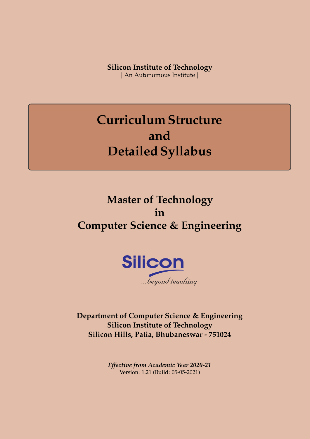**Silicon Institute of Technology** | An Autonomous Institute |

**Curriculum Structure and Detailed Syllabus**

## **Master of Technology in Computer Science & Engineering**



**Department of Computer Science & Engineering Silicon Institute of Technology Silicon Hills, Patia, Bhubaneswar - 751024**

> *Effective from Academic Year 2020-21* Version: 1.21 (Build: 05-05-2021)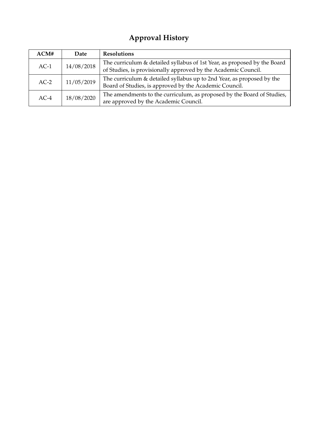## **Approval History**

| ACM#   | Date       | <b>Resolutions</b>                                                                                                                         |
|--------|------------|--------------------------------------------------------------------------------------------------------------------------------------------|
| $AC-1$ | 14/08/2018 | The curriculum & detailed syllabus of 1st Year, as proposed by the Board<br>of Studies, is provisionally approved by the Academic Council. |
| $AC-2$ | 11/05/2019 | The curriculum & detailed syllabus up to 2nd Year, as proposed by the<br>Board of Studies, is approved by the Academic Council.            |
| $AC-4$ | 18/08/2020 | The amendments to the curriculum, as proposed by the Board of Studies,<br>are approved by the Academic Council.                            |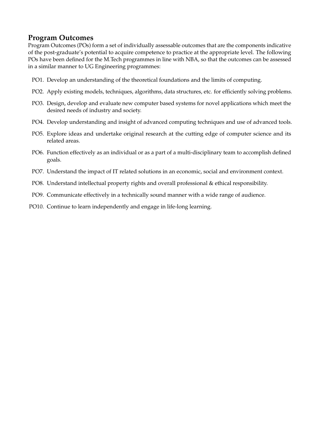## **Program Outcomes**

Program Outcomes (POs) form a set of individually assessable outcomes that are the components indicative of the post-graduate's potential to acquire competence to practice at the appropriate level. The following POs have been defined for the M.Tech programmes in line with NBA, so that the outcomes can be assessed in a similar manner to UG Engineering programmes:

- PO1. Develop an understanding of the theoretical foundations and the limits of computing.
- PO2. Apply existing models, techniques, algorithms, data structures, etc. for efficiently solving problems.
- PO3. Design, develop and evaluate new computer based systems for novel applications which meet the desired needs of industry and society.
- PO4. Develop understanding and insight of advanced computing techniques and use of advanced tools.
- PO5. Explore ideas and undertake original research at the cutting edge of computer science and its related areas.
- PO6. Function effectively as an individual or as a part of a multi-disciplinary team to accomplish defined goals.
- PO7. Understand the impact of IT related solutions in an economic, social and environment context.
- PO8. Understand intellectual property rights and overall professional & ethical responsibility.
- PO9. Communicate effectively in a technically sound manner with a wide range of audience.
- PO10. Continue to learn independently and engage in life-long learning.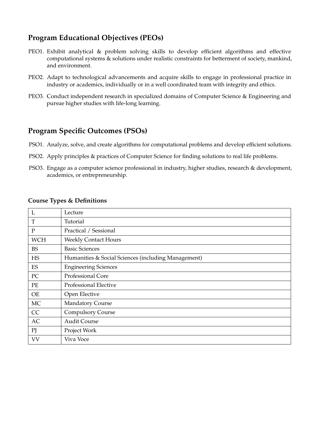## **Program Educational Objectives (PEOs)**

- PEO1. Exhibit analytical & problem solving skills to develop efficient algorithms and effective computational systems & solutions under realistic constraints for betterment of society, mankind, and environment.
- PEO2. Adapt to technological advancements and acquire skills to engage in professional practice in industry or academics, individually or in a well coordinated team with integrity and ethics.
- PEO3. Conduct independent research in specialized domains of Computer Science & Engineering and pursue higher studies with life-long learning.

## **Program Specific Outcomes (PSOs)**

- PSO1. Analyze, solve, and create algorithms for computational problems and develop efficient solutions.
- PSO2. Apply principles & practices of Computer Science for finding solutions to real life problems.
- PSO3. Engage as a computer science professional in industry, higher studies, research & development, academics, or entrepreneurship.

## **Course Types & Definitions**

| L          | Lecture                                             |
|------------|-----------------------------------------------------|
| T          | Tutorial                                            |
| P          | Practical / Sessional                               |
| <b>WCH</b> | <b>Weekly Contact Hours</b>                         |
| <b>BS</b>  | <b>Basic Sciences</b>                               |
| <b>HS</b>  | Humanities & Social Sciences (including Management) |
| ES         | <b>Engineering Sciences</b>                         |
| PC         | <b>Professional Core</b>                            |
| PE         | Professional Elective                               |
| <b>OE</b>  | Open Elective                                       |
| MC         | <b>Mandatory Course</b>                             |
| CC         | <b>Compulsory Course</b>                            |
| AC         | <b>Audit Course</b>                                 |
| PI         | Project Work                                        |
| <b>VV</b>  | Viva Voce                                           |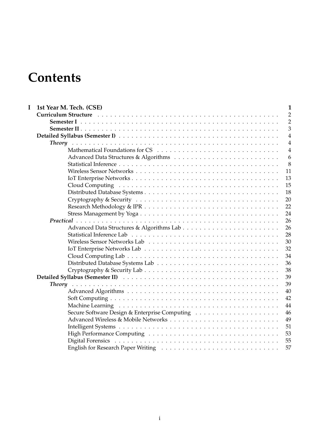## <span id="page-4-0"></span>**Contents**

| $\mathbf I$ | 1st Year M. Tech. (CSE)                                                                                                                                                                                                        | $\mathbf{1}$   |
|-------------|--------------------------------------------------------------------------------------------------------------------------------------------------------------------------------------------------------------------------------|----------------|
|             | Curriculum Structure (and a state of the contract of the contract of the contract of the current of the current of the current of the current of the current of the current of the current of the current of the current of th | $\overline{2}$ |
|             |                                                                                                                                                                                                                                | $\overline{2}$ |
|             |                                                                                                                                                                                                                                | 3              |
|             |                                                                                                                                                                                                                                | $\overline{4}$ |
|             |                                                                                                                                                                                                                                | $\overline{4}$ |
|             |                                                                                                                                                                                                                                | $\overline{4}$ |
|             |                                                                                                                                                                                                                                | 6              |
|             |                                                                                                                                                                                                                                | 8              |
|             |                                                                                                                                                                                                                                | 11             |
|             |                                                                                                                                                                                                                                | 13             |
|             |                                                                                                                                                                                                                                | 15             |
|             |                                                                                                                                                                                                                                | 18             |
|             |                                                                                                                                                                                                                                | 20             |
|             |                                                                                                                                                                                                                                | 22             |
|             |                                                                                                                                                                                                                                | 24             |
|             |                                                                                                                                                                                                                                | 26             |
|             |                                                                                                                                                                                                                                | 26             |
|             |                                                                                                                                                                                                                                | 28             |
|             |                                                                                                                                                                                                                                | 30             |
|             |                                                                                                                                                                                                                                | 32             |
|             |                                                                                                                                                                                                                                | 34             |
|             |                                                                                                                                                                                                                                | 36             |
|             |                                                                                                                                                                                                                                | 38             |
|             |                                                                                                                                                                                                                                | 39             |
|             |                                                                                                                                                                                                                                | 39             |
|             |                                                                                                                                                                                                                                | 40             |
|             |                                                                                                                                                                                                                                | 42             |
|             |                                                                                                                                                                                                                                | 44             |
|             |                                                                                                                                                                                                                                | 46             |
|             |                                                                                                                                                                                                                                | 49             |
|             |                                                                                                                                                                                                                                | 51             |
|             |                                                                                                                                                                                                                                | 53             |
|             |                                                                                                                                                                                                                                | 55             |
|             |                                                                                                                                                                                                                                | 57             |
|             |                                                                                                                                                                                                                                |                |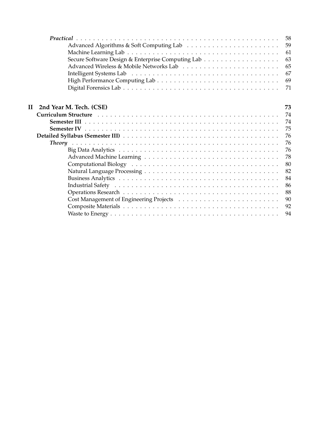|   |                         | 58 |
|---|-------------------------|----|
|   |                         | 59 |
|   |                         | 61 |
|   |                         | 63 |
|   |                         | 65 |
|   |                         | 67 |
|   |                         | 69 |
|   |                         | 71 |
|   |                         |    |
| Н | 2nd Year M. Tech. (CSE) | 73 |
|   |                         | 74 |
|   |                         | 74 |
|   |                         | 75 |
|   |                         | 76 |
|   |                         | 76 |
|   |                         | 76 |
|   |                         | 78 |
|   |                         | 80 |
|   |                         | 82 |
|   |                         | 84 |
|   |                         | 86 |
|   |                         | 88 |
|   |                         | 90 |
|   |                         | 92 |
|   |                         | 94 |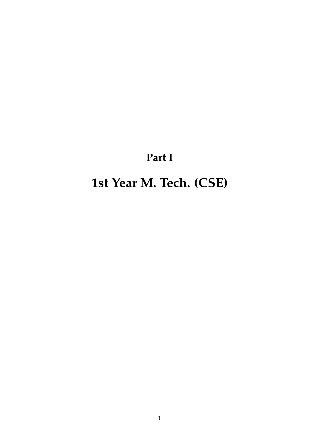# **Part I**

# <span id="page-6-0"></span>**1st Year M. Tech. (CSE)**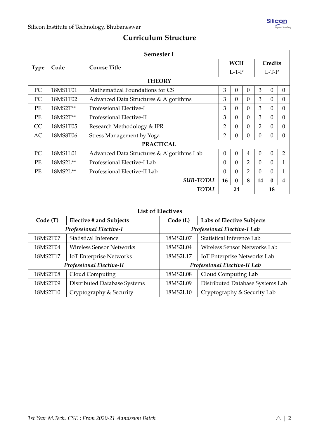## **Curriculum Structure**

<span id="page-7-1"></span><span id="page-7-0"></span>

|             | Semester I       |                                           |                                             |              |                |                |          |                |
|-------------|------------------|-------------------------------------------|---------------------------------------------|--------------|----------------|----------------|----------|----------------|
| <b>Type</b> | Code             | <b>Course Title</b>                       | <b>WCH</b><br>Credits<br>$L-T-P$<br>$L-T-P$ |              |                |                |          |                |
|             |                  | <b>THEORY</b>                             |                                             |              |                |                |          |                |
| PC          | 18MS1T01         | Mathematical Foundations for CS           | 3                                           | $\theta$     | $\Omega$       | 3              | $\theta$ | $\Omega$       |
| PC          | 18MS1T02         | Advanced Data Structures & Algorithms     | 3                                           | $\Omega$     | $\Omega$       | 3              | $\Omega$ | $\Omega$       |
| PE          | 18MS2T**         | Professional Elective-I                   | 3                                           | $\Omega$     | $\Omega$       | 3              | $\theta$ | $\Omega$       |
| PE          | 18MS2T**         | Professional Elective-II                  | 3                                           | $\Omega$     | $\Omega$       | 3              | $\Omega$ | $\Omega$       |
| CC          | 18MS1T05         | Research Methodology & IPR                | 2                                           | $\Omega$     | $\Omega$       | $\overline{2}$ | $\Omega$ | $\Omega$       |
| AC          | 18MS8T06         | Stress Management by Yoga                 | 2                                           | $\theta$     | $\theta$       | $\theta$       | $\theta$ | $\Omega$       |
|             | <b>PRACTICAL</b> |                                           |                                             |              |                |                |          |                |
| PC          | 18MS1L01         | Advanced Data Structures & Algorithms Lab | $\theta$                                    | $\theta$     | 4              | $\theta$       | $\theta$ | $\overline{2}$ |
| PE          | $18MS2L**$       | Professional Elective-I Lab               | $\theta$                                    | $\Omega$     | 2              | $\Omega$       | $\Omega$ | 1              |
| PE          | 18MS2L**         | Professional Elective-II Lab              | $\theta$                                    | $\Omega$     | $\overline{2}$ | $\theta$       | $\theta$ | 1              |
|             |                  | <b>SUB-TOTAL</b>                          | 16                                          | $\mathbf{0}$ | 8              | 14             | $\bf{0}$ | 4              |
|             |                  | <b>TOTAL</b>                              |                                             | 24           |                |                | 18       |                |

## **List of Electives**

| Code (T)                        | <b>Elective # and Subjects</b>  | Code (L)                              | Labs of Elective Subjects        |  |  |  |
|---------------------------------|---------------------------------|---------------------------------------|----------------------------------|--|--|--|
| <b>Professional Elective-I</b>  |                                 |                                       | Professional Elective-I Lab      |  |  |  |
| 18MS2T07                        | <b>Statistical Inference</b>    | Statistical Inference Lab<br>18MS2L07 |                                  |  |  |  |
| 18MS2T04                        | <b>Wireless Sensor Networks</b> | 18MS2L04                              | Wireless Sensor Networks Lab     |  |  |  |
| 18MS2T17                        | <b>IoT Enterprise Networks</b>  | 18MS2L17                              | IoT Enterprise Networks Lab      |  |  |  |
| <b>Professional Elective-II</b> |                                 |                                       | Professional Elective-II Lab     |  |  |  |
| 18MS2T08                        | Cloud Computing                 | 18MS2L08                              | Cloud Computing Lab              |  |  |  |
| 18MS2T09                        | Distributed Database Systems    | 18MS2L09                              | Distributed Database Systems Lab |  |  |  |
| 18MS2T10                        | Cryptography & Security         | 18MS2L10                              | Cryptography & Security Lab      |  |  |  |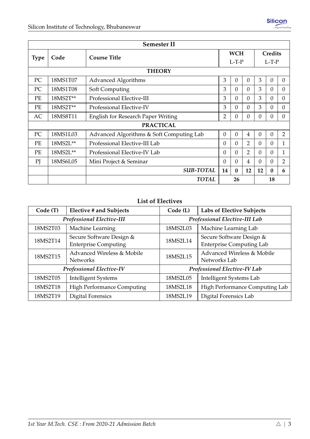<span id="page-8-0"></span>

|             | <b>Semester II</b> |                                                                                     |            |          |                |                |          |                |
|-------------|--------------------|-------------------------------------------------------------------------------------|------------|----------|----------------|----------------|----------|----------------|
|             | Code               | <b>Course Title</b>                                                                 | <b>WCH</b> |          |                | <b>Credits</b> |          |                |
| <b>Type</b> |                    |                                                                                     |            | $L-T-P$  |                | $L-T-P$        |          |                |
|             |                    | <b>THEORY</b>                                                                       |            |          |                |                |          |                |
| PC          | 18MS1T07           | <b>Advanced Algorithms</b>                                                          | 3          | $\theta$ | $\theta$       | 3              | $\theta$ | $\theta$       |
| PC          | 18MS1T08           | Soft Computing                                                                      | 3          | $\Omega$ | $\Omega$       | 3              | $\theta$ | $\Omega$       |
| PE          | 18MS2T**           | Professional Elective-III                                                           | 3          | $\Omega$ | $\Omega$       | 3              | $\theta$ | $\Omega$       |
| PE          | 18MS2T**           | Professional Elective-IV                                                            | 3          | $\theta$ | $\Omega$       | 3              | $\theta$ | $\overline{0}$ |
| AC          | 18MS8T11           | $\overline{2}$<br><b>English for Research Paper Writing</b><br>$\theta$<br>$\Omega$ |            | $\theta$ | $\theta$       | $\Omega$       |          |                |
|             |                    | <b>PRACTICAL</b>                                                                    |            |          |                |                |          |                |
| PC          | 18MS1L03           | Advanced Algorithms & Soft Computing Lab                                            | $\theta$   | $\Omega$ | 4              | $\theta$       | $\theta$ | $\overline{2}$ |
| PE          | 18MS2L**           | Professional Elective-III Lab                                                       | $\theta$   | $\Omega$ | $\overline{2}$ | $\theta$       | $\theta$ | 1              |
| <b>PE</b>   | 18MS2L**           | Professional Elective-IV Lab                                                        | $\theta$   | $\Omega$ | $\overline{2}$ | $\theta$       | $\theta$ | 1              |
| PI          | 18MS6L05           | Mini Project & Seminar                                                              | $\theta$   | $\Omega$ | 4              | $\theta$       | 0        | $\overline{2}$ |
|             |                    | <b>SUB-TOTAL</b>                                                                    | 14         | $\bf{0}$ | 12             | 12             | $\bf{0}$ | 6              |
|             |                    | <b>TOTAL</b>                                                                        | 26         |          |                | 18             |          |                |

## **List of Electives**

| Code (T)                                      | <b>Elective # and Subjects</b>                          | Code (L) | <b>Labs of Elective Subjects</b>                            |  |
|-----------------------------------------------|---------------------------------------------------------|----------|-------------------------------------------------------------|--|
|                                               | <b>Professional Elective-III</b>                        |          | Professional Elective-III Lab                               |  |
| Machine Learning<br>18MS2T03                  |                                                         | 18MS2L03 | Machine Learning Lab                                        |  |
| 18MS2T14                                      | Secure Software Design &<br><b>Enterprise Computing</b> | 18MS2L14 | Secure Software Design &<br><b>Enterprise Computing Lab</b> |  |
| 18MS2T15                                      | Advanced Wireless & Mobile<br><b>Networks</b>           | 18MS2L15 | Advanced Wireless & Mobile<br>Networks Lab                  |  |
| <b>Professional Elective-IV</b>               |                                                         |          | Professional Elective-IV Lab                                |  |
| 18MS2T05                                      | <b>Intelligent Systems</b>                              | 18MS2L05 | <b>Intelligent Systems Lab</b>                              |  |
| <b>High Performance Computing</b><br>18MS2T18 |                                                         | 18MS2L18 | High Performance Computing Lab                              |  |
| 18MS2T19                                      | Digital Forensics                                       | 18MS2L19 | Digital Forensics Lab                                       |  |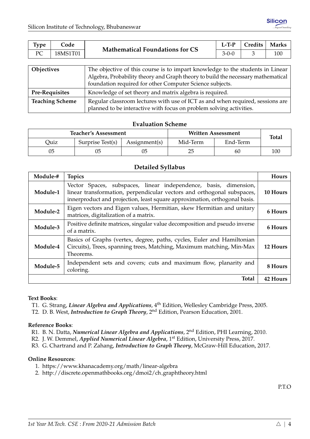<span id="page-9-0"></span>

| Type                   | Code     |                                                                                                                                                                                                                               | $L-TP$ | Credits | <b>Marks</b> |  |  |
|------------------------|----------|-------------------------------------------------------------------------------------------------------------------------------------------------------------------------------------------------------------------------------|--------|---------|--------------|--|--|
| PC                     | 18MS1T01 | <b>Mathematical Foundations for CS</b>                                                                                                                                                                                        |        | 3       | 100          |  |  |
|                        |          |                                                                                                                                                                                                                               |        |         |              |  |  |
| Objectives             |          | The objective of this course is to impart knowledge to the students in Linear<br>Algebra, Probability theory and Graph theory to build the necessary mathematical<br>foundation required for other Computer Science subjects. |        |         |              |  |  |
| <b>Pre-Requisites</b>  |          | Knowledge of set theory and matrix algebra is required.                                                                                                                                                                       |        |         |              |  |  |
| <b>Teaching Scheme</b> |          | Regular classroom lectures with use of ICT as and when required, sessions are                                                                                                                                                 |        |         |              |  |  |

planned to be interactive with focus on problem solving activities.

| <b>Teacher's Assessment</b><br><b>Written Assessment</b> |                  |               |          | <b>Total</b> |     |  |  |
|----------------------------------------------------------|------------------|---------------|----------|--------------|-----|--|--|
| Quiz                                                     | Surprise Test(s) | Assignment(s) | Mid-Term | End-Term     |     |  |  |
| 05                                                       |                  | 05            | 25       | 60           | 100 |  |  |

## **Detailed Syllabus**

| Module-# | <b>Topics</b>                                                                                                                                                                                                            | <b>Hours</b> |
|----------|--------------------------------------------------------------------------------------------------------------------------------------------------------------------------------------------------------------------------|--------------|
| Module-1 | Vector Spaces, subspaces, linear independence, basis, dimension,<br>linear transformation, perpendicular vectors and orthogonal subspaces,<br>innerproduct and projection, least square approximation, orthogonal basis. | 10 Hours     |
| Module-2 | Eigen vectors and Eigen values, Hermitian, skew Hermitian and unitary<br>matrices, digitalization of a matrix.                                                                                                           | 6 Hours      |
| Module-3 | Positive definite matrices, singular value decomposition and pseudo inverse<br>of a matrix.                                                                                                                              | 6 Hours      |
| Module-4 | Basics of Graphs (vertex, degree, paths, cycles, Euler and Hamiltonian<br>Circuits), Trees, spanning trees, Matching, Maximum matching, Min-Max<br>Theorems.                                                             | 12 Hours     |
| Module-5 | Independent sets and covers; cuts and maximum flow, planarity and<br>coloring.                                                                                                                                           | 8 Hours      |
|          | <b>Total</b>                                                                                                                                                                                                             | 42 Hours     |

#### **Text Books**:

- T1. G. Strang, *Linear Algebra and Applications*, 4th Edition, Wellesley Cambridge Press, 2005.
- T2. D. B. West, *Introduction to Graph Theory*, 2nd Edition, Pearson Education, 2001.

## **Reference Books**:

- R1. B. N. Datta, *Numerical Linear Algebra and Applications*, 2nd Edition, PHI Learning, 2010.
- R2. J. W. Demmel, *Applied Numerical Linear Algebra*, 1st Edition, University Press, 2017.
- R3. G. Chartrand and P. Zahang, *Introduction to Graph Theory*, McGraw-Hill Education, 2017.

## **Online Resources**:

- 1. <https://www.khanacademy.org/math/linear-algebra>
- 2. [http://discrete.openmathbooks.org/dmoi2/ch](http://discrete.openmathbooks.org/dmoi2/ch_graphtheory.html) graphtheory.html

P.T.O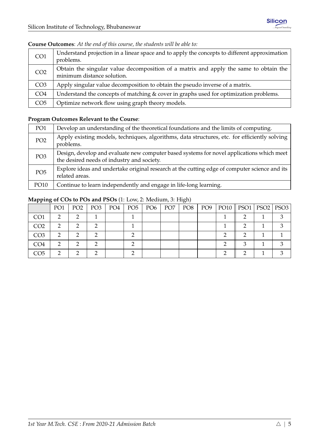| CO <sub>1</sub> | Understand projection in a linear space and to apply the concepts to different approximation<br>problems.          |
|-----------------|--------------------------------------------------------------------------------------------------------------------|
| CO <sub>2</sub> | Obtain the singular value decomposition of a matrix and apply the same to obtain the<br>minimum distance solution. |
| CO <sub>3</sub> | Apply singular value decomposition to obtain the pseudo inverse of a matrix.                                       |
| CO <sub>4</sub> | Understand the concepts of matching & cover in graphs used for optimization problems.                              |
| CO <sub>5</sub> | Optimize network flow using graph theory models.                                                                   |

## **Course Outcomes**: *At the end of this course, the students will be able to:*

## **Program Outcomes Relevant to the Course**:

| PO <sub>1</sub> | Develop an understanding of the theoretical foundations and the limits of computing.                                                    |
|-----------------|-----------------------------------------------------------------------------------------------------------------------------------------|
| PO <sub>2</sub> | Apply existing models, techniques, algorithms, data structures, etc. for efficiently solving<br>problems.                               |
| PO <sub>3</sub> | Design, develop and evaluate new computer based systems for novel applications which meet<br>the desired needs of industry and society. |
| PO <sub>5</sub> | Explore ideas and undertake original research at the cutting edge of computer science and its<br>related areas.                         |
| PO10            | Continue to learn independently and engage in life-long learning.                                                                       |

|                 | PO <sub>1</sub> | PO <sub>2</sub> | PO <sub>3</sub> | PO <sub>4</sub> | PO <sub>5</sub> | PO <sub>6</sub> | PO <sub>7</sub> | PO <sub>8</sub> | PO <sub>9</sub> | $PO10$   PSO1 | PSO2   PSO3 |
|-----------------|-----------------|-----------------|-----------------|-----------------|-----------------|-----------------|-----------------|-----------------|-----------------|---------------|-------------|
| CO <sub>1</sub> | റ               |                 |                 |                 |                 |                 |                 |                 |                 |               |             |
| CO <sub>2</sub> |                 |                 |                 |                 |                 |                 |                 |                 |                 |               |             |
| CO <sub>3</sub> | ∍               |                 |                 |                 |                 |                 |                 |                 |                 |               |             |
| CO <sub>4</sub> |                 |                 |                 |                 |                 |                 |                 |                 |                 |               |             |
| CO5             |                 |                 |                 |                 |                 |                 |                 |                 |                 |               |             |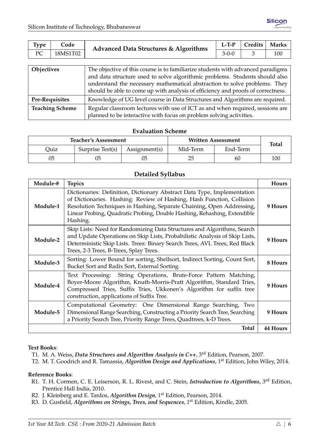<span id="page-11-0"></span>

| Type                   | Code     | <b>Advanced Data Structures &amp; Algorithms</b>                                                                                                                                                                                                                                                                                | $L-TP$      | Credits | <b>Marks</b> |  |  |
|------------------------|----------|---------------------------------------------------------------------------------------------------------------------------------------------------------------------------------------------------------------------------------------------------------------------------------------------------------------------------------|-------------|---------|--------------|--|--|
| PC                     | 18MS1T02 |                                                                                                                                                                                                                                                                                                                                 | $3 - 0 - 0$ | 3       | 100          |  |  |
|                        |          |                                                                                                                                                                                                                                                                                                                                 |             |         |              |  |  |
| Objectives             |          | The objective of this course is to familiarize students with advanced paradigms<br>and data structure used to solve algorithmic problems. Students should also<br>understand the necessary mathematical abstraction to solve problems. They<br>should be able to come up with analysis of efficiency and proofs of correctness. |             |         |              |  |  |
| <b>Pre-Requisites</b>  |          | Knowledge of UG level course in Data Structures and Algorithms are required.                                                                                                                                                                                                                                                    |             |         |              |  |  |
| <b>Teaching Scheme</b> |          | Regular classroom lectures with use of ICT as and when required, sessions are<br>planned to be interactive with focus on problem solving activities.                                                                                                                                                                            |             |         |              |  |  |

|      | <b>Teacher's Assessment</b> |                        | <b>Written Assessment</b> | <b>Total</b> |     |
|------|-----------------------------|------------------------|---------------------------|--------------|-----|
| Ouiz | Surprise Test(s)            | $\text{Assignment}(s)$ | Mid-Term                  |              |     |
| 05   | 05                          |                        | 25                        | 60           | 100 |

## **Detailed Syllabus**

| Module-# | <b>Topics</b>                                                                                                                                                                                                                                                                                                     | Hours           |
|----------|-------------------------------------------------------------------------------------------------------------------------------------------------------------------------------------------------------------------------------------------------------------------------------------------------------------------|-----------------|
| Module-1 | Dictionaries: Definition, Dictionary Abstract Data Type, Implementation<br>of Dictionaries. Hashing: Review of Hashing, Hash Function, Collision<br>Resolution Techniques in Hashing, Separate Chaining, Open Addressing,<br>Linear Probing, Quadratic Probing, Double Hashing, Rehashing, Extendible<br>Hashing. | 9 Hours         |
| Module-2 | Skip Lists: Need for Randomizing Data Structures and Algorithms, Search<br>and Update Operations on Skip Lists, Probabilistic Analysis of Skip Lists,<br>Deterministic Skip Lists. Trees: Binary Search Trees, AVL Trees, Red Black<br>Trees, 2-3 Trees, B-Trees, Splay Trees.                                    | 9 Hours         |
| Module-3 | Sorting: Lower Bound for sorting, Shellsort, Indirect Sorting, Count Sort,<br>Bucket Sort and Radix Sort, External Sorting.                                                                                                                                                                                       | 8 Hours         |
| Module-4 | Text Processing: String Operations, Brute-Force Pattern Matching,<br>Boyer-Moore Algorithm, Knuth-Morris-Pratt Algorithm, Standard Tries,<br>Compressed Tries, Suffix Tries, Ukkonen's Algorithm for suffix tree<br>construction, applications of Suffix Tree.                                                    | 9 Hours         |
| Module-5 | Computational Geometry: One Dimensional Range Searching, Two<br>Dimensional Range Searching, Constructing a Priority Search Tree, Searching<br>a Priority Search Tree, Priority Range Trees, Quadtrees, k-D Trees.                                                                                                | 9 Hours         |
|          | <b>Total</b>                                                                                                                                                                                                                                                                                                      | <b>44 Hours</b> |

## **Text Books**:

- T1. M. A. Weiss, *Data Structures and Algorithm Analysis in C++*, 3rd Edition, Pearson, 2007.
- T2. M. T. Goodrich and R. Tamassia, *Algorithm Design and Applications*, 1st Edition, John Wiley, 2014.

## **Reference Books**:

- R1. T. H. Cormen, C. E. Leiserson, R. L. Rivest, and C. Stein, *Introduction to Algorithms*, 3rd Edition, Prentice Hall India, 2010.
- R2. J. Kleinberg and E. Tardos, *Algorithm Design*, 1st Edition, Pearson, 2014.
- R3. D. Gusfield, *Algorithms on Strings, Trees, and Sequences*, 1st Edition, Kindle, 2005.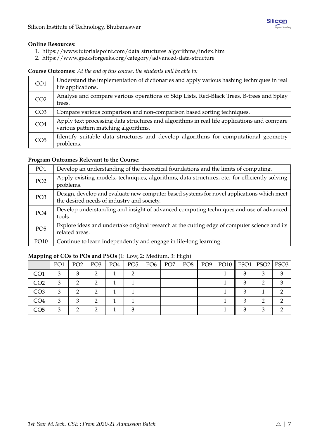## **Online Resources**:

- 1. [https://www.tutorialspoint.com/data](https://www.tutorialspoint.com/data_structures_algorithms/index.htm) structures algorithms/index.htm
- 2. <https://www.geeksforgeeks.org/category/advanced-data-structure>

**Course Outcomes**: *At the end of this course, the students will be able to:*

| CO <sub>1</sub> | Understand the implementation of dictionaries and apply various hashing techniques in real<br>life applications.                   |
|-----------------|------------------------------------------------------------------------------------------------------------------------------------|
| CO <sub>2</sub> | Analyse and compare various operations of Skip Lists, Red-Black Trees, B-trees and Splay<br>trees.                                 |
| CO <sub>3</sub> | Compare various comparison and non-comparison based sorting techniques.                                                            |
| CO <sub>4</sub> | Apply text processing data structures and algorithms in real life applications and compare<br>various pattern matching algorithms. |
| CO <sub>5</sub> | Identify suitable data structures and develop algorithms for computational geometry<br>problems.                                   |

## **Program Outcomes Relevant to the Course**:

| PO1             | Develop an understanding of the theoretical foundations and the limits of computing.                                                    |
|-----------------|-----------------------------------------------------------------------------------------------------------------------------------------|
| PO <sub>2</sub> | Apply existing models, techniques, algorithms, data structures, etc. for efficiently solving<br>problems.                               |
| PO <sub>3</sub> | Design, develop and evaluate new computer based systems for novel applications which meet<br>the desired needs of industry and society. |
| PO <sub>4</sub> | Develop understanding and insight of advanced computing techniques and use of advanced<br>tools.                                        |
| PO <sub>5</sub> | Explore ideas and undertake original research at the cutting edge of computer science and its<br>related areas.                         |
| PO10            | Continue to learn independently and engage in life-long learning.                                                                       |

## PO1 | PO2 | PO3 | PO4 | PO5 | PO6 | PO7 | PO8 | PO9 | PO10 || PSO1 | PSO2 | PSO3  $\text{CO1}$  3 3 3 2 1 2 1 2 1 1 1 3 3 3  $CO2$  | 3 | 2 | 2 | 1 | 1 | | | | | | | | | 1 || 3 | 2 | 3  $\text{CO3}$  | 3 | 2 | 2 | 1 | 1 | | | | | | | | | 1 || 3 | 1 | 2  $\text{CO4}$  | 3 | 3 | 2 | 1 | 1 | | | | | | | | | | 1 || 3 | 2 | 2  $\text{CO5}$  | 3 | 2 | 2 | 1 | 3 | 1 | | | | | | | | | 3 | 3 | 2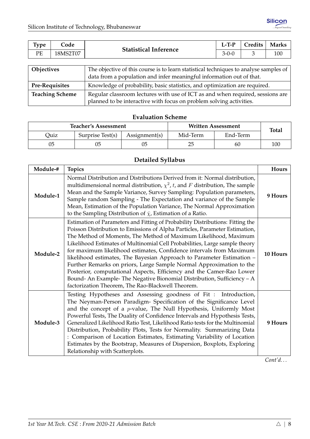<span id="page-13-0"></span>

| <b>Type</b> | $\mathsf{Code}$ | <b>Statistical Inference</b> | $L-T-P$ | Credits | <b>Marks</b> |
|-------------|-----------------|------------------------------|---------|---------|--------------|
| PE          | 18MS2T07        |                              | $3-0-0$ |         | 100          |
|             |                 |                              |         |         |              |

| Objectives             | The objective of this course is to learn statistical techniques to analyse samples of<br>data from a population and infer meaningful information out of that. |
|------------------------|---------------------------------------------------------------------------------------------------------------------------------------------------------------|
| <b>Pre-Requisites</b>  | Knowledge of probability, basic statistics, and optimization are required.                                                                                    |
| <b>Teaching Scheme</b> | Regular classroom lectures with use of ICT as and when required, sessions are<br>planned to be interactive with focus on problem solving activities.          |

|      | <b>Teacher's Assessment</b>                   |  | <b>Written Assessment</b> | <b>Total</b> |     |
|------|-----------------------------------------------|--|---------------------------|--------------|-----|
| Quiz | Surprise Test(s)<br>Mid-Term<br>Assignment(s) |  |                           |              |     |
| 05   |                                               |  | 25                        | 60           | 100 |

## **Detailed Syllabus**

| Module-# | <b>Topics</b>                                                                                                                                                                                                                                                                                                                                                                                                                                                                                                                                                                                                                                                                                                                                   | Hours    |
|----------|-------------------------------------------------------------------------------------------------------------------------------------------------------------------------------------------------------------------------------------------------------------------------------------------------------------------------------------------------------------------------------------------------------------------------------------------------------------------------------------------------------------------------------------------------------------------------------------------------------------------------------------------------------------------------------------------------------------------------------------------------|----------|
| Module-1 | Normal Distribution and Distributions Derived from it: Normal distribution,<br>multidimensional normal distribution, $\chi^2$ , t, and F distribution, The sample<br>Mean and the Sample Variance, Survey Sampling: Population parameters,<br>Sample random Sampling - The Expectation and variance of the Sample<br>Mean, Estimation of the Population Variance, The Normal Approximation<br>to the Sampling Distribution of $\bar{x}$ , Estimation of a Ratio.                                                                                                                                                                                                                                                                                | 9 Hours  |
| Module-2 | Estimation of Parameters and Fitting of Probability Distributions: Fitting the<br>Poisson Distribution to Emissions of Alpha Particles, Parameter Estimation,<br>The Method of Moments, The Method of Maximum Likelihood, Maximum<br>Likelihood Estimates of Multinomial Cell Probabilities, Large sample theory<br>for maximum likelihood estimates, Confidence intervals from Maximum<br>likelihood estimates, The Bayesian Approach to Parameter Estimation -<br>Further Remarks on priors, Large Sample Normal Approximation to the<br>Posterior, computational Aspects, Efficiency and the Camer-Rao Lower<br>Bound- An Example- The Negative Bionomial Distribution, Sufficiency - A<br>factorization Theorem, The Rao-Blackwell Theorem. | 10 Hours |
| Module-3 | Testing Hypotheses and Assessing goodness of Fit: Introduction,<br>The Neyman-Person Paradigm- Specification of the Significance Level<br>and the concept of a p-value, The Null Hypothesis, Uniformly Most<br>Powerful Tests, The Duality of Confidence Intervals and Hypothesis Tests,<br>Generalized Likelihood Ratio Test, Likelihood Ratio tests for the Multinomial<br>Distribution, Probability Plots, Tests for Normality. Summarizing Data<br>: Comparison of Location Estimates, Estimating Variability of Location<br>Estimates by the Bootstrap, Measures of Dispersion, Boxplots, Exploring<br>Relationship with Scatterplots.                                                                                                     | 9 Hours  |

*Cont'd. . .*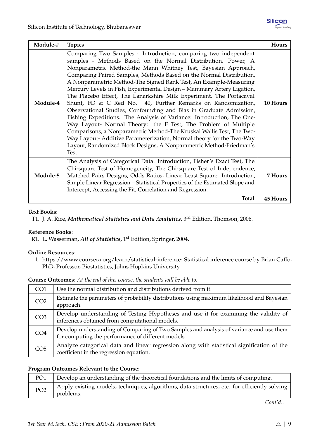| Module-# | <b>Topics</b>                                                                                                                                                                                                                                                                                                                                                                                                                                                                                                                                                                                                                                                                                                                                                                                                                                                                                                                                                                                                   | Hours           |
|----------|-----------------------------------------------------------------------------------------------------------------------------------------------------------------------------------------------------------------------------------------------------------------------------------------------------------------------------------------------------------------------------------------------------------------------------------------------------------------------------------------------------------------------------------------------------------------------------------------------------------------------------------------------------------------------------------------------------------------------------------------------------------------------------------------------------------------------------------------------------------------------------------------------------------------------------------------------------------------------------------------------------------------|-----------------|
| Module-4 | Comparing Two Samples : Introduction, comparing two independent<br>samples - Methods Based on the Normal Distribution, Power, A<br>Nonparametric Method-the Mann Whitney Test, Bayesian Approach,<br>Comparing Paired Samples, Methods Based on the Normal Distribution,<br>A Nonparametric Method-The Signed Rank Test, An Example-Measuring<br>Mercury Levels in Fish, Experimental Design - Mammary Artery Ligation,<br>The Placebo Effect, The Lanarkshire Milk Experiment, The Portacaval<br>Shunt, FD & C Red No. 40, Further Remarks on Randomization,<br>Observational Studies, Confounding and Bias in Graduate Admission,<br>Fishing Expeditions. The Analysis of Variance: Introduction, The One-<br>Way Layout- Normal Theory: the F Test, The Problem of Multiple<br>Comparisons, a Nonparametric Method-The Kruskal Wallis Test, The Two-<br>Way Layout- Additive Parameterization, Normal theory for the Two-Way<br>Layout, Randomized Block Designs, A Nonparametric Method-Friedman's<br>Test. | 10 Hours        |
| Module-5 | The Analysis of Categorical Data: Introduction, Fisher's Exact Test, The<br>Chi-square Test of Homogeneity, The Chi-square Test of Independence,<br>Matched Pairs Designs, Odds Ratios, Linear Least Square: Introduction,<br>Simple Linear Regression – Statistical Properties of the Estimated Slope and<br>Intercept, Accessing the Fit, Correlation and Regression.                                                                                                                                                                                                                                                                                                                                                                                                                                                                                                                                                                                                                                         | 7 Hours         |
|          | Total                                                                                                                                                                                                                                                                                                                                                                                                                                                                                                                                                                                                                                                                                                                                                                                                                                                                                                                                                                                                           | <b>45 Hours</b> |

## **Text Books**:

T1. J. A. Rice, *Mathematical Statistics and Data Analytics*, 3rd Edition, Thomson, 2006.

## **Reference Books**:

R1. L. Wasserman, *All of Statistics*, 1st Edition, Springer, 2004.

## **Online Resources**:

1. [https://www.coursera.org/learn/statistical-inference:](https://www.coursera.org/learn/statistical-inference) Statistical inference course by Brian Caffo, PhD, Professor, Biostatistics, Johns Hopkins University.

## **Course Outcomes**: *At the end of this course, the students will be able to:*

| CO <sub>1</sub> | Use the normal distribution and distributions derived from it.                                                                                |
|-----------------|-----------------------------------------------------------------------------------------------------------------------------------------------|
| CO <sub>2</sub> | Estimate the parameters of probability distributions using maximum likelihood and Bayesian<br>approach.                                       |
| CO <sub>3</sub> | Develop understanding of Testing Hypotheses and use it for examining the validity of<br>inferences obtained from computational models.        |
| CO <sub>4</sub> | Develop understanding of Comparing of Two Samples and analysis of variance and use them<br>for computing the performance of different models. |
| CO <sub>5</sub> | Analyze categorical data and linear regression along with statistical signification of the<br>coefficient in the regression equation.         |

## **Program Outcomes Relevant to the Course**:

| PO <sub>1</sub> | Develop an understanding of the theoretical foundations and the limits of computing.                      |
|-----------------|-----------------------------------------------------------------------------------------------------------|
| PO <sub>2</sub> | Apply existing models, techniques, algorithms, data structures, etc. for efficiently solving<br>problems. |

*Cont'd. . .*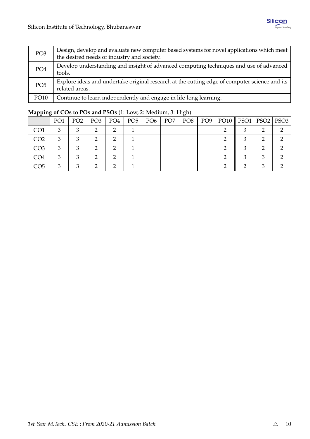| PO <sub>3</sub> | Design, develop and evaluate new computer based systems for novel applications which meet<br>the desired needs of industry and society. |
|-----------------|-----------------------------------------------------------------------------------------------------------------------------------------|
| PO <sub>4</sub> | Develop understanding and insight of advanced computing techniques and use of advanced<br>tools.                                        |
| PO <sub>5</sub> | Explore ideas and undertake original research at the cutting edge of computer science and its<br>related areas.                         |
| PO10            | Continue to learn independently and engage in life-long learning.                                                                       |

| .               |                 |                 |                 |                 |                 |                 |                 | $\sim$ $\sim$   |                 |               |   |           |
|-----------------|-----------------|-----------------|-----------------|-----------------|-----------------|-----------------|-----------------|-----------------|-----------------|---------------|---|-----------|
|                 | PO <sub>1</sub> | PO <sub>2</sub> | PO <sub>3</sub> | PO <sub>4</sub> | PO <sub>5</sub> | PO <sub>6</sub> | PO <sub>7</sub> | PO <sub>8</sub> | PO <sub>9</sub> | $PO10$   PSO1 |   | PSO2 PSO3 |
| CO <sub>1</sub> | З               |                 |                 |                 |                 |                 |                 |                 |                 |               |   |           |
| CO <sub>2</sub> | 3               |                 |                 |                 |                 |                 |                 |                 |                 |               |   |           |
| CO <sub>3</sub> | З               |                 |                 |                 |                 |                 |                 |                 |                 |               |   |           |
| CO <sub>4</sub> | 3               |                 |                 |                 |                 |                 |                 |                 |                 |               | ◠ |           |
| CO5             | З               |                 |                 |                 |                 |                 |                 |                 |                 |               | ◠ |           |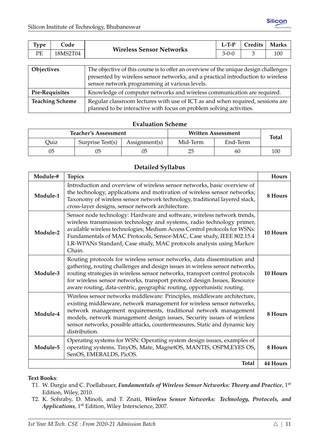<span id="page-16-0"></span>

| Type              | Code     |                                                                                                                                                                                                                          | $L-TP$      | Credits | <b>Marks</b> |  |  |  |
|-------------------|----------|--------------------------------------------------------------------------------------------------------------------------------------------------------------------------------------------------------------------------|-------------|---------|--------------|--|--|--|
| PE                | 18MS2T04 | <b>Wireless Sensor Networks</b>                                                                                                                                                                                          | $3 - 0 - 0$ | 3       | 100          |  |  |  |
|                   |          |                                                                                                                                                                                                                          |             |         |              |  |  |  |
| <b>Objectives</b> |          | The objective of this course is to offer an overview of the unique design challenges<br>presented by wireless sensor networks, and a practical introduction to wireless<br>sensor network programming at various levels. |             |         |              |  |  |  |
| Pre-Requisites    |          | Knowledge of computer networks and wireless communication are required.                                                                                                                                                  |             |         |              |  |  |  |

**Teaching Scheme** Regular classroom lectures with use of ICT as and when required, sessions are planned to be interactive with focus on problem solving activities.

## **Evaluation Scheme**

|      | <b>Teacher's Assessment</b> |               | <b>Written Assessment</b> | <b>Total</b> |     |
|------|-----------------------------|---------------|---------------------------|--------------|-----|
| Ouiz | Surprise Test(s)            | Assignment(s) | Mid-Term                  | End-Term     |     |
| 05   |                             |               | 25                        | 60           | 100 |

## **Detailed Syllabus**

| Module-# | <b>Topics</b>                                                                                                                                                                                                                                                                                                                                                                                 | <b>Hours</b>    |
|----------|-----------------------------------------------------------------------------------------------------------------------------------------------------------------------------------------------------------------------------------------------------------------------------------------------------------------------------------------------------------------------------------------------|-----------------|
| Module-1 | Introduction and overview of wireless sensor networks, basic overview of<br>the technology, applications and motivation of wireless sensor networks;<br>Taxonomy of wireless sensor network technology, traditional layered stack,<br>cross-layer designs, sensor network architecture.                                                                                                       | 8 Hours         |
| Module-2 | Sensor node technology: Hardware and software, wireless network trends,<br>wireless transmission technology and systems, radio technology primer,<br>available wireless technologies; Medium Access Control protocols for WSNs:<br>Fundamentals of MAC Protocols, Sensor-MAC, Case study, IEEE 802.15.4<br>LR-WPANs Standard, Case study, MAC protocols analysis using Markov<br>Chain.       | 10 Hours        |
| Module-3 | Routing protocols for wireless sensor networks, data dissemination and<br>gathering, routing challenges and design issues in wireless sensor networks,<br>routing strategies in wireless sensor networks, transport control protocols<br>for wireless sensor networks, transport protocol design Issues, Resource<br>aware routing, data-centric, geographic routing, opportunistic routing.  | 10 Hours        |
| Module-4 | Wireless sensor networks middleware: Principles, middleware architecture,<br>existing middleware, network management for wireless sensor networks,<br>network management requirements, traditional network management<br>models, network management design issues, Security issues of wireless<br>sensor networks, possible attacks, countermeasures, Static and dynamic key<br>distribution. | 8 Hours         |
| Module-5 | Operating systems for WSN: Operating system design issues, examples of<br>operating systems, TinyOS, Mate, MagnetOS, MANTIS, OSPM,EYES OS,<br>SenOS, EMERALDS, PicOS.                                                                                                                                                                                                                         | 8 Hours         |
|          | <b>Total</b>                                                                                                                                                                                                                                                                                                                                                                                  | <b>44 Hours</b> |

## **Text Books**:

- T1. W. Dargie and C. Poellabauer, *Fundamentals of Wireless Sensor Networks: Theory and Practice*, 1st Edition, Wiley, 2010.
- T2. K. Sohraby, D. Minoli, and T. Znati, *Wireless Sensor Networks: Technology, Protocols, and Applications*, 1st Edition, Wiley Interscience, 2007.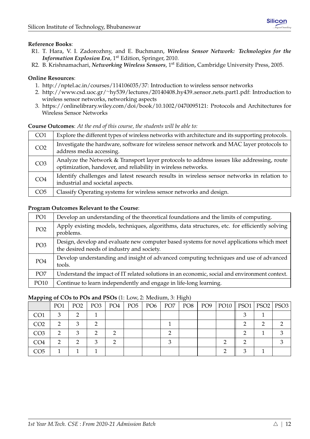## **Reference Books**:

- R1. T. Hara, V. I. Zadorozhny, and E. Buchmann, *Wireless Sensor Network: Technologies for the Information Explosion Era*, 1<sup>st</sup> Edition, Springer, 2010.
- R2. B. Krishnamachari, *Networking Wireless Sensors*, 1st Edition, Cambridge University Press, 2005.

## **Online Resources**:

- 1. [http://nptel.ac.in/courses/114106035/37:](http://nptel.ac.in/courses/114106035/37) Introduction to wireless sensor networks
- 2. http://www.csd.uoc.gr/∼[hy539/lectures/20140408](http://www.csd.uoc.gr/~hy539/lectures/20140408_hy439_sensor_nets_part1.pdf) hy439 sensor nets part1.pdf: Introduction to wireless sensor networks, networking aspects
- 3. [https://onlinelibrary.wiley.com/doi/book/10.1002/0470095121:](https://onlinelibrary.wiley.com/doi/book/10.1002/0470095121) Protocols and Architectures for Wireless Sensor Networks

#### **Course Outcomes**: *At the end of this course, the students will be able to:*

| CO <sub>1</sub> | Explore the different types of wireless networks with architecture and its supporting protocols.                                                          |
|-----------------|-----------------------------------------------------------------------------------------------------------------------------------------------------------|
| CO <sub>2</sub> | Investigate the hardware, software for wireless sensor network and MAC layer protocols to<br>address media accessing.                                     |
| CO <sub>3</sub> | Analyze the Network & Transport layer protocols to address issues like addressing, route<br>optimization, handover, and reliability in wireless networks. |
| CO <sub>4</sub> | Identify challenges and latest research results in wireless sensor networks in relation to<br>industrial and societal aspects.                            |
| CO <sub>5</sub> | Classify Operating systems for wireless sensor networks and design.                                                                                       |

#### **Program Outcomes Relevant to the Course**:

| PO1             | Develop an understanding of the theoretical foundations and the limits of computing.                                                    |
|-----------------|-----------------------------------------------------------------------------------------------------------------------------------------|
| PO <sub>2</sub> | Apply existing models, techniques, algorithms, data structures, etc. for efficiently solving<br>problems.                               |
| PO <sub>3</sub> | Design, develop and evaluate new computer based systems for novel applications which meet<br>the desired needs of industry and society. |
| PO <sub>4</sub> | Develop understanding and insight of advanced computing techniques and use of advanced<br>tools.                                        |
| PO <sub>7</sub> | Understand the impact of IT related solutions in an economic, social and environment context.                                           |
| PO10            | Continue to learn independently and engage in life-long learning.                                                                       |

| .               |                 |                 |                 |     |                 |                 |                 | $\cup$ , |     |                            |  |
|-----------------|-----------------|-----------------|-----------------|-----|-----------------|-----------------|-----------------|----------|-----|----------------------------|--|
|                 | PO <sub>1</sub> | PO <sub>2</sub> | PO <sub>3</sub> | PO4 | PO <sub>5</sub> | PO <sub>6</sub> | PO <sub>7</sub> | PO8      | PO9 | PO10    PSO1   PSO2   PSO3 |  |
| CO <sub>1</sub> |                 |                 |                 |     |                 |                 |                 |          |     |                            |  |
| CO <sub>2</sub> |                 | ◠               |                 |     |                 |                 |                 |          |     |                            |  |
| CO <sub>3</sub> |                 |                 |                 |     |                 |                 |                 |          |     |                            |  |
| CO4             |                 |                 |                 |     |                 |                 |                 |          |     |                            |  |
| CO5             |                 |                 |                 |     |                 |                 |                 |          |     |                            |  |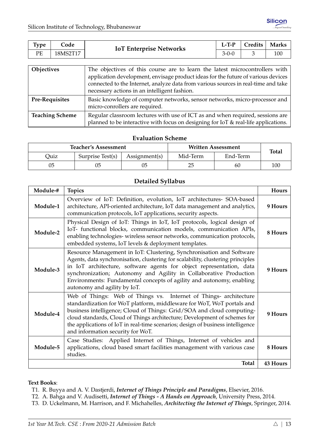<span id="page-18-0"></span>

| $\tau_{\rm vpe}$ | Code        | <b>IoT Enterprise Networks</b> | $L-T-P$ | Credits | <b>Marks</b> |
|------------------|-------------|--------------------------------|---------|---------|--------------|
| РF               | <b>8MS2</b> |                                | 3-0-0   |         | 100          |

| <b>Objectives</b>      | The objectives of this course are to learn the latest microcontrollers with<br>application development, envisage product ideas for the future of various devices<br>connected to the Internet, analyze data from various sources in real-time and take<br>necessary actions in an intelligent fashion. |
|------------------------|--------------------------------------------------------------------------------------------------------------------------------------------------------------------------------------------------------------------------------------------------------------------------------------------------------|
| <b>Pre-Requisites</b>  | Basic knowledge of computer networks, sensor networks, micro-processor and<br>micro-conrollers are required.                                                                                                                                                                                           |
| <b>Teaching Scheme</b> | Regular classroom lectures with use of ICT as and when required, sessions are<br>planned to be interactive with focus on designing for IoT & real-life applications.                                                                                                                                   |

|      | <b>Teacher's Assessment</b> |               | Written Assessment | <b>Total</b> |     |
|------|-----------------------------|---------------|--------------------|--------------|-----|
| Ouiz | Surprise Test(s)            | Assignment(s) | Mid-Term           | End-Term     |     |
| 05   |                             |               | 25                 | 60           | 100 |

## **Detailed Syllabus**

| Module-# | <b>Topics</b>                                                                                                                                                                                                                                                                                                                                                                                                            | <b>Hours</b> |
|----------|--------------------------------------------------------------------------------------------------------------------------------------------------------------------------------------------------------------------------------------------------------------------------------------------------------------------------------------------------------------------------------------------------------------------------|--------------|
| Module-1 | Overview of IoT: Definition, evolution, IoT architectures- SOA-based<br>architecture, API-oriented architecture, IoT data management and analytics,<br>communication protocols, IoT applications, security aspects.                                                                                                                                                                                                      | 9 Hours      |
| Module-2 | Physical Design of IoT: Things in IoT, IoT protocols, logical design of<br>IoT- functional blocks, communication models, communication APIs,<br>enabling technologies- wireless sensor networks, communication protocols,<br>embedded systems, IoT levels & deployment templates.                                                                                                                                        | 8 Hours      |
| Module-3 | Resource Management in IoT: Clustering, Synchronisation and Software<br>Agents, data synchronisation, clustering for scalability, clustering principles<br>in IoT architecture, software agents for object representation, data<br>synchronization; Autonomy and Agility in Collaborative Production<br>Environments: Fundamental concepts of agility and autonomy, enabling<br>autonomy and agility by IoT.             | 9 Hours      |
| Module-4 | Web of Things: Web of Things vs. Internet of Things- architecture<br>standardization for WoT platform, middleware for WoT, WoT portals and<br>business intelligence; Cloud of Things: Grid/SOA and cloud computing-<br>cloud standards, Cloud of Things architecture; Development of schemes for<br>the applications of IoT in real-time scenarios; design of business intelligence<br>and information security for WoT. | 9 Hours      |
| Module-5 | Case Studies: Applied Internet of Things, Internet of vehicles and<br>applications, cloud based smart facilities management with various case<br>studies.                                                                                                                                                                                                                                                                | 8 Hours      |
|          | <b>Total</b>                                                                                                                                                                                                                                                                                                                                                                                                             | 43 Hours     |

#### **Text Books**:

- T1. R. Buyya and A. V. Dastjerdi, *Internet of Things Principle and Paradigms*, Elsevier, 2016.
- T2. A. Bahga and V. Audisetti, *Internet of Things A Hands on Approach*, University Press, 2014.
- T3. D. Uckelmann, M. Harrison, and F. Michahelles, *Architecting the Internet of Things*, Springer, 2014.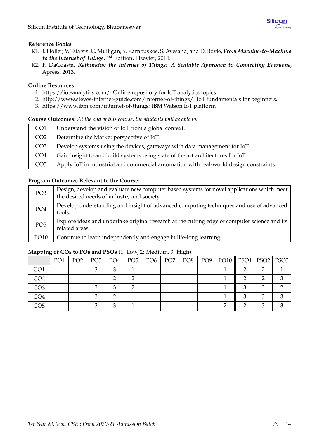## **Reference Books**:

- R1. J. Holler, V. Tsiatsis, C. Mulligan, S. Karnouskos, S. Avesand, and D. Boyle, *From Machine-to-Machine to the Internet of Things*, 1<sup>st</sup> Edition, Elsevier, 2014.
- R2. F. DaCoasta, *Rethinking the Internet of Things: A Scalable Approach to Connecting Everyone*, Apress, 2013.

## **Online Resources**:

- 1. [https://iot-analytics.com/:](https://iot-analytics.com/) Online repository for IoT analytics topics.
- 2. [http://www.steves-internet-guide.com/internet-of-things/:](http://www.steves-internet-guide.com/internet-of-things/) IoT fundamentals for beginners.
- 3. [https://www.ibm.com/internet-of-things:](https://www.ibm.com/internet-of-things) IBM Watson IoT platform

## **Course Outcomes**: *At the end of this course, the students will be able to:*

| CO <sub>1</sub> | Understand the vision of IoT from a global context.                                   |
|-----------------|---------------------------------------------------------------------------------------|
| CO <sub>2</sub> | Determine the Market perspective of IoT.                                              |
| CO <sub>3</sub> | Develop systems using the devices, gateways with data management for IoT.             |
| CO <sub>4</sub> | Gain insight to and build systems using state of the art architectures for IoT.       |
| CO <sub>5</sub> | Apply IoT in industrial and commercial automation with real-world design constraints. |

## **Program Outcomes Relevant to the Course**:

| PO <sub>3</sub> | Design, develop and evaluate new computer based systems for novel applications which meet<br>the desired needs of industry and society. |
|-----------------|-----------------------------------------------------------------------------------------------------------------------------------------|
| PO <sub>4</sub> | Develop understanding and insight of advanced computing techniques and use of advanced<br>tools.                                        |
| PO <sub>5</sub> | Explore ideas and undertake original research at the cutting edge of computer science and its<br>related areas.                         |
| PO10            | Continue to learn independently and engage in life-long learning.                                                                       |

|                 | PO <sub>1</sub> | PO <sub>2</sub> | PO3 | PO4 | $PO5$   $PO6$ | PO7 | PO8 | PO9 $ $ | PO10    PSO1   PSO2   PSO3 |  |
|-----------------|-----------------|-----------------|-----|-----|---------------|-----|-----|---------|----------------------------|--|
| CO <sub>1</sub> |                 |                 |     |     |               |     |     |         |                            |  |
| CO2             |                 |                 |     |     |               |     |     |         |                            |  |
| CO <sub>3</sub> |                 |                 |     |     |               |     |     |         |                            |  |
| CO4             |                 |                 |     |     |               |     |     |         |                            |  |
| CO5             |                 |                 |     |     |               |     |     |         |                            |  |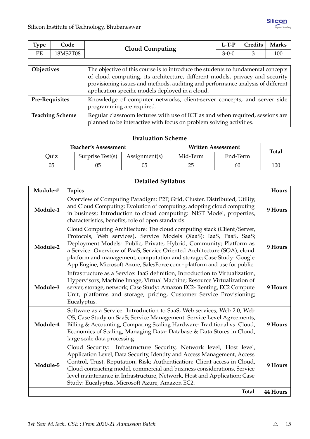<span id="page-20-0"></span>

| Type | .'ode    | <b>Cloud Computing</b> | $L-TP$ | Credits | <b>Marks</b> |
|------|----------|------------------------|--------|---------|--------------|
| PE   | 18MS2T08 |                        | 3-U-V  |         | 100          |

| Objectives             | The objective of this course is to introduce the students to fundamental concepts |  |  |  |  |  |  |  |  |
|------------------------|-----------------------------------------------------------------------------------|--|--|--|--|--|--|--|--|
|                        | of cloud computing, its architecture, different models, privacy and security      |  |  |  |  |  |  |  |  |
|                        | provisioning issues and methods, auditing and performance analysis of different   |  |  |  |  |  |  |  |  |
|                        | application specific models deployed in a cloud.                                  |  |  |  |  |  |  |  |  |
| <b>Pre-Requisites</b>  | Knowledge of computer networks, client-server concepts, and server side           |  |  |  |  |  |  |  |  |
|                        | programming are required.                                                         |  |  |  |  |  |  |  |  |
| <b>Teaching Scheme</b> | Regular classroom lectures with use of ICT as and when required, sessions are     |  |  |  |  |  |  |  |  |
|                        | planned to be interactive with focus on problem solving activities.               |  |  |  |  |  |  |  |  |

|      | <b>Teacher's Assessment</b> |               | <b>Written Assessment</b> | <b>Total</b> |     |
|------|-----------------------------|---------------|---------------------------|--------------|-----|
| Duiz | Surprise Test(s)            | Assignment(s) | Mid-Term                  | End-Term     |     |
| 05   |                             |               | 25                        | 60           | 100 |

## **Detailed Syllabus**

| Module-# | <b>Topics</b>                                                                                                                                                                                                                                                                                                                                                                                                                                        | Hours           |
|----------|------------------------------------------------------------------------------------------------------------------------------------------------------------------------------------------------------------------------------------------------------------------------------------------------------------------------------------------------------------------------------------------------------------------------------------------------------|-----------------|
| Module-1 | Overview of Computing Paradigm: P2P, Grid, Cluster, Distributed, Utility,<br>and Cloud Computing; Evolution of computing, adopting cloud computing<br>in business; Introduction to cloud computing: NIST Model, properties,<br>characteristics, benefits, role of open standards.                                                                                                                                                                    | 9 Hours         |
| Module-2 | Cloud Computing Architecture: The cloud computing stack (Client/Server,<br>Protocols, Web services), Service Models (XaaS): IaaS, PaaS, SaaS;<br>Deployment Models: Public, Private, Hybrid, Community; Platform as<br>a Service: Overview of PaaS, Service Oriented Architecture (SOA); cloud<br>platform and management, computation and storage; Case Study: Google<br>App Engine, Microsoft Azure, SalesForce.com - platform and use for public. | 9 Hours         |
| Module-3 | Infrastructure as a Service: IaaS definition, Introduction to Virtualization,<br>Hypervisors, Machine Image, Virtual Machine; Resource Virtualization of<br>server, storage, network; Case Study: Amazon EC2- Renting, EC2 Compute<br>Unit, platforms and storage, pricing, Customer Service Provisioning;<br>Eucalyptus.                                                                                                                            | 9 Hours         |
| Module-4 | Software as a Service: Introduction to SaaS, Web services, Web 2.0, Web<br>OS, Case Study on SaaS; Service Management: Service Level Agreements,<br>Billing & Accounting, Comparing Scaling Hardware-Traditional vs. Cloud,<br>Economics of Scaling, Managing Data-Database & Data Stores in Cloud,<br>large scale data processing.                                                                                                                  | 9 Hours         |
| Module-5 | Cloud Security: Infrastructure Security, Network level, Host level,<br>Application Level, Data Security, Identity and Access Management, Access<br>Control, Trust, Reputation, Risk; Authentication: Client access in Cloud,<br>Cloud contracting model, commercial and business considerations, Service<br>level maintenance in Infrastructure, Network, Host and Application; Case<br>Study: Eucalyptus, Microsoft Azure, Amazon EC2.              | 9 Hours         |
|          | <b>Total</b>                                                                                                                                                                                                                                                                                                                                                                                                                                         | <b>44 Hours</b> |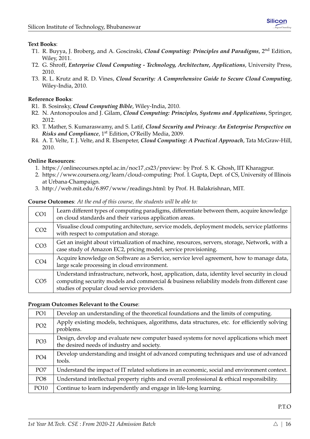## **Text Books**:

- T1. R. Buyya, J. Broberg, and A. Goscinski, *Cloud Computing: Principles and Paradigms*, 2nd Edition, Wiley, 2011.
- T2. G. Shroff, *Enterprise Cloud Computing Technology, Architecture, Applications*, University Press, 2010.
- T3. R. L. Krutz and R. D. Vines, *Cloud Security: A Comprehensive Guide to Secure Cloud Computing*, Wiley-India, 2010.

## **Reference Books**:

- R1. B. Sosinsky, *Cloud Computing Bible*, Wiley-India, 2010.
- R2. N. Antonopoulos and J. Gilam, *Cloud Computing: Principles, Systems and Applications*, Springer, 2012.
- R3. T. Mather, S. Kumaraswamy, and S. Latif, *Cloud Security and Privacy: An Enterprise Perspective on Risks and Compliance*, 1st Edition, O'Reilly Media, 2009.
- R4. A. T. Velte, T. J. Velte, and R. Elsenpeter, *Cloud Computing: A Practical Approach*, Tata McGraw-Hill, 2010.

## **Online Resources**:

- 1. [https://onlinecourses.nptel.ac.in/noc17](https://onlinecourses.nptel.ac.in/noc17_cs23/preview) cs23/preview: by Prof. S. K. Ghosh, IIT Kharagpur.
- 2. [https://www.coursera.org/learn/cloud-computing:](https://www.coursera.org/learn/cloud-computing) Prof. I. Gupta, Dept. of CS, University of Illinois at Urbana-Champaign.
- 3. [http://web.mit.edu/6.897/www/readings.html:](http://web.mit.edu/6.897/www/readings.html) by Prof. H. Balakrishnan, MIT.

## **Course Outcomes**: *At the end of this course, the students will be able to:*

| CO <sub>1</sub> | Learn different types of computing paradigms, differentiate between them, acquire knowledge<br>on cloud standards and their various application areas.                                                                                     |
|-----------------|--------------------------------------------------------------------------------------------------------------------------------------------------------------------------------------------------------------------------------------------|
| CO <sub>2</sub> | Visualise cloud computing architecture, service models, deployment models, service platforms<br>with respect to computation and storage.                                                                                                   |
| CO <sub>3</sub> | Get an insight about virtualization of machine, resources, servers, storage, Network, with a<br>case study of Amazon EC2, pricing model, service provisioning.                                                                             |
| CO <sub>4</sub> | Acquire knowledge on Software as a Service, service level agreement, how to manage data,<br>large scale processing in cloud environment.                                                                                                   |
| CO <sub>5</sub> | Understand infrastructure, network, host, application, data, identity level security in cloud<br>computing security models and commercial & business reliability models from different case<br>studies of popular cloud service providers. |

## **Program Outcomes Relevant to the Course**:

| PO <sub>1</sub> | Develop an understanding of the theoretical foundations and the limits of computing.                                                    |
|-----------------|-----------------------------------------------------------------------------------------------------------------------------------------|
| PO <sub>2</sub> | Apply existing models, techniques, algorithms, data structures, etc. for efficiently solving<br>problems.                               |
| PO <sub>3</sub> | Design, develop and evaluate new computer based systems for novel applications which meet<br>the desired needs of industry and society. |
| PO <sub>4</sub> | Develop understanding and insight of advanced computing techniques and use of advanced<br>tools.                                        |
| PO <sub>7</sub> | Understand the impact of IT related solutions in an economic, social and environment context.                                           |
| PO <sub>8</sub> | Understand intellectual property rights and overall professional & ethical responsibility.                                              |
| PO10            | Continue to learn independently and engage in life-long learning.                                                                       |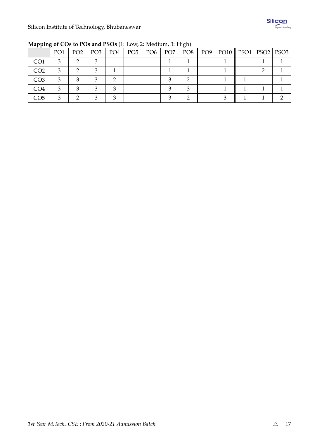| .   |                 |                 |                 |     |               |                 | $\sim$ $\sim$   |     |                            |  |
|-----|-----------------|-----------------|-----------------|-----|---------------|-----------------|-----------------|-----|----------------------------|--|
|     | PO <sub>1</sub> | PO <sub>2</sub> | PO <sub>3</sub> | PO4 | $PO5$   $PO6$ | PO <sub>7</sub> | PO <sub>8</sub> | PO9 | PO10    PSO1   PSO2   PSO3 |  |
| CO1 |                 |                 |                 |     |               |                 |                 |     |                            |  |
| CO2 |                 |                 |                 |     |               |                 |                 |     |                            |  |
| CO3 |                 |                 |                 |     |               |                 |                 |     |                            |  |
| CO4 |                 |                 |                 |     |               |                 |                 |     |                            |  |
| CO5 |                 |                 |                 |     |               |                 |                 |     |                            |  |

**Mapping of COs to POs and PSOs** (1: Low, 2: Medium, 3: High)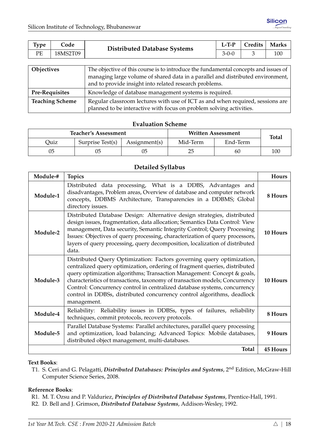<span id="page-23-0"></span>

| Type                   | Code     | <b>Distributed Database Systems</b>                                                                                                                                                                                              | $L-T-P$ | Credits | <b>Marks</b> |  |  |
|------------------------|----------|----------------------------------------------------------------------------------------------------------------------------------------------------------------------------------------------------------------------------------|---------|---------|--------------|--|--|
| PE                     | 18MS2T09 |                                                                                                                                                                                                                                  |         | 3       | 100          |  |  |
|                        |          |                                                                                                                                                                                                                                  |         |         |              |  |  |
| Objectives             |          | The objective of this course is to introduce the fundamental concepts and issues of<br>managing large volume of shared data in a parallel and distributed environment,<br>and to provide insight into related research problems. |         |         |              |  |  |
| <b>Pre-Requisites</b>  |          | Knowledge of database management systems is required.                                                                                                                                                                            |         |         |              |  |  |
| <b>Teaching Scheme</b> |          | Regular classroom lectures with use of ICT as and when required, sessions are                                                                                                                                                    |         |         |              |  |  |

planned to be interactive with focus on problem solving activities.

|      | <b>Teacher's Assessment</b>       |  | <b>Written Assessment</b> | <b>Total</b> |     |
|------|-----------------------------------|--|---------------------------|--------------|-----|
| Quiz | Surprise Test(s)<br>Assignment(s) |  |                           | End-Term     |     |
| 05   |                                   |  | 25                        | 60           | 100 |

## **Detailed Syllabus**

| Module-# | <b>Topics</b>                                                                                                                                                                                                                                                                                                                                                                                                                                                                       | <b>Hours</b>    |
|----------|-------------------------------------------------------------------------------------------------------------------------------------------------------------------------------------------------------------------------------------------------------------------------------------------------------------------------------------------------------------------------------------------------------------------------------------------------------------------------------------|-----------------|
| Module-1 | Distributed data processing, What is a DDBS, Advantages and<br>disadvantages, Problem areas, Overview of database and computer network<br>concepts, DDBMS Architecture, Transparencies in a DDBMS; Global<br>directory issues.                                                                                                                                                                                                                                                      | 8 Hours         |
| Module-2 | Distributed Database Design: Alternative design strategies, distributed<br>design issues, fragmentation, data allocation; Semantics Data Control: View<br>management, Data security, Semantic Integrity Control; Query Processing<br>Issues: Objectives of query processing, characterization of query processors,<br>layers of query processing, query decomposition, localization of distributed<br>data.                                                                         | 10 Hours        |
| Module-3 | Distributed Query Optimization: Factors governing query optimization,<br>centralized query optimization, ordering of fragment queries, distributed<br>query optimization algorithms; Transaction Management: Concept & goals,<br>characteristics of transactions, taxonomy of transaction models; Concurrency<br>Control: Concurrency control in centralized database systems, concurrency<br>control in DDBSs, distributed concurrency control algorithms, deadlock<br>management. | 10 Hours        |
| Module-4 | Reliability: Reliability issues in DDBSs, types of failures, reliability<br>techniques, commit protocols, recovery protocols.                                                                                                                                                                                                                                                                                                                                                       | 8 Hours         |
| Module-5 | Parallel Database Systems: Parallel architectures, parallel query processing<br>and optimization, load balancing; Advanced Topics: Mobile databases,<br>distributed object management, multi-databases.                                                                                                                                                                                                                                                                             | 9 Hours         |
|          | <b>Total</b>                                                                                                                                                                                                                                                                                                                                                                                                                                                                        | <b>45 Hours</b> |

## **Text Books**:

T1. S. Ceri and G. Pelagatti, *Distributed Databases: Principles and Systems*, 2nd Edition, McGraw-Hill Computer Science Series, 2008.

## **Reference Books**:

- R1. M. T. Ozsu and P. Valduriez, *Principles of Distributed Database Systems*, Prentice-Hall, 1991.
- R2. D. Bell and J. Grimson, *Distributed Database Systems*, Addison-Wesley, 1992.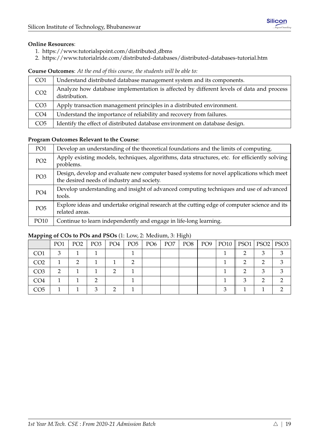## **Online Resources**:

- 1. [https://www.tutorialspoint.com/distributed](https://www.tutorialspoint.com/distributed_dbms) dbms
- 2. <https://www.tutorialride.com/distributed-databases/distributed-databases-tutorial.htm>

**Course Outcomes**: *At the end of this course, the students will be able to:*

| CO <sub>1</sub> | Understand distributed database management system and its components.                                    |
|-----------------|----------------------------------------------------------------------------------------------------------|
| CO <sub>2</sub> | Analyze how database implementation is affected by different levels of data and process<br>distribution. |
| CO <sub>3</sub> | Apply transaction management principles in a distributed environment.                                    |
| CO <sub>4</sub> | Understand the importance of reliability and recovery from failures.                                     |
| CO <sub>5</sub> | Identify the effect of distributed database environment on database design.                              |

## **Program Outcomes Relevant to the Course**:

| PO <sub>1</sub> | Develop an understanding of the theoretical foundations and the limits of computing.                                                    |
|-----------------|-----------------------------------------------------------------------------------------------------------------------------------------|
| PO <sub>2</sub> | Apply existing models, techniques, algorithms, data structures, etc. for efficiently solving<br>problems.                               |
| PO <sub>3</sub> | Design, develop and evaluate new computer based systems for novel applications which meet<br>the desired needs of industry and society. |
| PO <sub>4</sub> | Develop understanding and insight of advanced computing techniques and use of advanced<br>tools.                                        |
| PO <sub>5</sub> | Explore ideas and undertake original research at the cutting edge of computer science and its<br>related areas.                         |
| PO10            | Continue to learn independently and engage in life-long learning.                                                                       |

|                 | PO <sub>1</sub> | PO <sub>2</sub> | PO3 | PO4 | PO5 | PO6 | PO <sub>7</sub> | PO8 | PO9 | PO10    PSO1   PSO2   PSO3 |  |
|-----------------|-----------------|-----------------|-----|-----|-----|-----|-----------------|-----|-----|----------------------------|--|
| CO <sub>1</sub> | 2               |                 |     |     |     |     |                 |     |     |                            |  |
| CO <sub>2</sub> |                 |                 |     |     |     |     |                 |     |     |                            |  |
| CO <sub>3</sub> | റ               |                 |     | ◠   |     |     |                 |     |     |                            |  |
| CO <sub>4</sub> |                 |                 |     |     |     |     |                 |     |     |                            |  |
| CO <sub>5</sub> |                 |                 |     |     |     |     |                 |     |     |                            |  |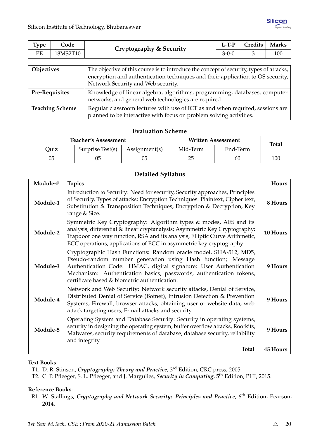<span id="page-25-0"></span>

| Type                  | Code     | Cryptography & Security                                                                                                                                                                                         | $L-TP$  | Credits | <b>Marks</b> |  |  |
|-----------------------|----------|-----------------------------------------------------------------------------------------------------------------------------------------------------------------------------------------------------------------|---------|---------|--------------|--|--|
| PE                    | 18MS2T10 |                                                                                                                                                                                                                 | $3-0-0$ | 3       | 100          |  |  |
|                       |          |                                                                                                                                                                                                                 |         |         |              |  |  |
| Objectives            |          | The objective of this course is to introduce the concept of security, types of attacks,<br>encryption and authentication techniques and their application to OS security,<br>Network Security and Web security. |         |         |              |  |  |
| <b>Pre-Requisites</b> |          | Knowledge of linear algebra, algorithms, programming, databases, computer<br>networks, and general web technologies are required.                                                                               |         |         |              |  |  |

|                 | retworks, and general web technologies are required.                          |
|-----------------|-------------------------------------------------------------------------------|
| Teaching Scheme | Regular classroom lectures with use of ICT as and when required, sessions are |
|                 | planned to be interactive with focus on problem solving activities.           |

|      | <b>Teacher's Assessment</b>                               |    | Written Assessment | <b>Total</b> |     |
|------|-----------------------------------------------------------|----|--------------------|--------------|-----|
| Quiz | Surprise Test(s)<br>Mid-Term<br>End-Term<br>Assignment(s) |    |                    |              |     |
| 05   | 05                                                        | 05 | 25                 | 60           | 100 |

## **Detailed Syllabus**

| Module-# | <b>Topics</b>                                                                                                                                                                                                                                                                                                                 | Hours           |
|----------|-------------------------------------------------------------------------------------------------------------------------------------------------------------------------------------------------------------------------------------------------------------------------------------------------------------------------------|-----------------|
| Module-1 | Introduction to Security: Need for security, Security approaches, Principles<br>of Security, Types of attacks; Encryption Techniques: Plaintext, Cipher text,<br>Substitution & Transposition Techniques, Encryption & Decryption, Key<br>range & Size.                                                                       | 8 Hours         |
| Module-2 | Symmetric Key Cryptography: Algorithm types & modes, AES and its<br>analysis, differential & linear cryptanalysis; Asymmetric Key Cryptography:<br>Trapdoor one way function, RSA and its analysis, Elliptic Curve Arithmetic,<br>ECC operations, applications of ECC in asymmetric key cryptography.                         | 10 Hours        |
| Module-3 | Cryptographic Hash Functions: Random oracle model, SHA-512, MD5,<br>Pseudo-random number generation using Hash function; Message<br>Authentication Code: HMAC, digital signature; User Authentication<br>Mechanism: Authentication basics, passwords, authentication tokens,<br>certificate based & biometric authentication. | 9 Hours         |
| Module-4 | Network and Web Security: Network security attacks, Denial of Service,<br>Distributed Denial of Service (Botnet), Intrusion Detection & Prevention<br>Systems, Firewall, browser attacks, obtaining user or website data, web<br>attack targeting users, E-mail attacks and security.                                         | 9 Hours         |
| Module-5 | Operating System and Database Security: Security in operating systems,<br>security in designing the operating system, buffer overflow attacks, Rootkits,<br>Malwares, security requirements of database, database security, reliability<br>and integrity.                                                                     | 9 Hours         |
|          | <b>Total</b>                                                                                                                                                                                                                                                                                                                  | <b>45 Hours</b> |

#### **Text Books**:

- T1. D. R. Stinson, *Cryptography: Theory and Practice*, 3rd Edition, CRC press, 2005.
- T2. C. P. Pfleeger, S. L. Pfleeger, and J. Margulies, *Security in Computing*, 5th Edition, PHI, 2015.

## **Reference Books**:

R1. W. Stallings, *Cryptography and Network Security: Principles and Practice*, 6<sup>th</sup> Edition, Pearson, 2014.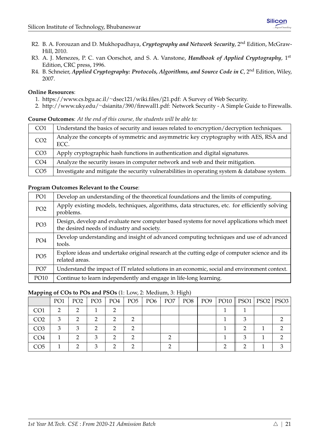- R2. B. A. Forouzan and D. Mukhopadhaya, *Cryptography and Network Security*, 2nd Edition, McGraw-Hill, 2010.
- R3. A. J. Menezes, P. C. van Oorschot, and S. A. Vanstone, *Handbook of Applied Cryptography*, 1st Edition, CRC press, 1996.
- R4. B. Schneier, *Applied Cryptography: Protocols, Algorithms, and Source Code in C*, 2<sup>nd</sup> Edition, Wilev, 2007.

## **Online Resources**:

- 1. [https://www.cs.bgu.ac.il/](https://www.cs.bgu.ac.il/~dsec121/wiki.files/j21.pdf)∼dsec121/wiki.files/j21.pdf: A Survey of Web Security.
- 2. http://www.uky.edu/∼[dsianita/390/firewall1.pdf:](http://www.uky.edu/~dsianita/390/firewall1.pdf) Network Security A Simple Guide to Firewalls.

#### **Course Outcomes**: *At the end of this course, the students will be able to:*

| CO <sub>1</sub> | Understand the basics of security and issues related to encryption/decryption techniques.    |
|-----------------|----------------------------------------------------------------------------------------------|
| CO <sub>2</sub> | Analyze the concepts of symmetric and asymmetric key cryptography with AES, RSA and<br>ECC.  |
| CO <sub>3</sub> | Apply cryptographic hash functions in authentication and digital signatures.                 |
| CO <sub>4</sub> | Analyze the security issues in computer network and web and their mitigation.                |
| CO <sub>5</sub> | Investigate and mitigate the security vulnerabilities in operating system & database system. |

## **Program Outcomes Relevant to the Course**:

| PO <sub>1</sub> | Develop an understanding of the theoretical foundations and the limits of computing.                                                    |
|-----------------|-----------------------------------------------------------------------------------------------------------------------------------------|
| PO <sub>2</sub> | Apply existing models, techniques, algorithms, data structures, etc. for efficiently solving<br>problems.                               |
| PO <sub>3</sub> | Design, develop and evaluate new computer based systems for novel applications which meet<br>the desired needs of industry and society. |
| PO <sub>4</sub> | Develop understanding and insight of advanced computing techniques and use of advanced<br>tools.                                        |
| PO <sub>5</sub> | Explore ideas and undertake original research at the cutting edge of computer science and its<br>related areas.                         |
| PO <sub>7</sub> | Understand the impact of IT related solutions in an economic, social and environment context.                                           |
| PO10            | Continue to learn independently and engage in life-long learning.                                                                       |

|                 | PO <sub>1</sub> | PO <sub>2</sub> | PO3 | PO4 | $PO5$   $PO6$ | PO <sub>7</sub> | PO8 | PO9 | PO10    PSO1   PSO2   PSO3 |  |
|-----------------|-----------------|-----------------|-----|-----|---------------|-----------------|-----|-----|----------------------------|--|
| CO <sub>1</sub> |                 |                 |     |     |               |                 |     |     |                            |  |
| CO <sub>2</sub> |                 |                 |     |     |               |                 |     |     |                            |  |
| CO <sub>3</sub> |                 |                 |     |     |               |                 |     |     |                            |  |
| CO <sub>4</sub> |                 |                 |     |     |               |                 |     |     |                            |  |
| CO5             |                 |                 |     |     |               |                 |     |     |                            |  |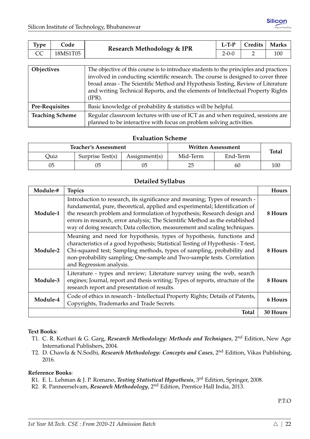<span id="page-27-0"></span>

| <b>Type</b> | Code     | Research Methodology & IPR | $L-TP$      | Credits | <b>Marks</b> |
|-------------|----------|----------------------------|-------------|---------|--------------|
|             | 18MS1T05 |                            | $2 - 0 - 0$ |         | 100          |

| Objectives             | The objective of this course is to introduce students to the principles and practices<br>involved in conducting scientific research. The course is designed to cover three<br>broad areas - The Scientific Method and Hypothesis Testing, Review of Literature<br>and writing Technical Reports, and the elements of Intellectual Property Rights<br>$(IPR)$ . |
|------------------------|----------------------------------------------------------------------------------------------------------------------------------------------------------------------------------------------------------------------------------------------------------------------------------------------------------------------------------------------------------------|
| <b>Pre-Requisites</b>  | Basic knowledge of probability & statistics will be helpful.                                                                                                                                                                                                                                                                                                   |
| <b>Teaching Scheme</b> | Regular classroom lectures with use of ICT as and when required, sessions are<br>planned to be interactive with focus on problem solving activities.                                                                                                                                                                                                           |

|      | <b>Teacher's Assessment</b> |               | <b>Written Assessment</b> | <b>Total</b> |     |
|------|-----------------------------|---------------|---------------------------|--------------|-----|
| Quiz | Surprise Test(s)            | Assignment(s) | Mid-Term                  | End-Term     |     |
| 05   | 05                          |               | 25                        | 60           | 100 |

## **Detailed Syllabus**

| Module-# | <b>Topics</b>                                                                                                                                                                                                                                                                                                                                                                                        | Hours    |
|----------|------------------------------------------------------------------------------------------------------------------------------------------------------------------------------------------------------------------------------------------------------------------------------------------------------------------------------------------------------------------------------------------------------|----------|
| Module-1 | Introduction to research, its significance and meaning; Types of research -<br>fundamental, pure, theoretical, applied and experimental; Identification of<br>the research problem and formulation of hypothesis; Research design and<br>errors in research, error analysis; The Scientific Method as the established<br>way of doing research; Data collection, measurement and scaling techniques. | 8 Hours  |
| Module-2 | Meaning and need for hypothesis, types of hypothesis, functions and<br>characteristics of a good hypothesis; Statistical Testing of Hypothesis - T-test,<br>Chi-squared test; Sampling methods, types of sampling, probability and<br>non-probability sampling; One-sample and Two-sample tests. Correlation<br>and Regression analysis.                                                             | 8 Hours  |
| Module-3 | Literature - types and review; Literature survey using the web, search<br>engines; Journal, report and thesis writing; Types of reports, structure of the<br>research report and presentation of results.                                                                                                                                                                                            | 8 Hours  |
| Module-4 | Code of ethics in research - Intellectual Property Rights; Details of Patents,<br>Copyrights, Trademarks and Trade Secrets.                                                                                                                                                                                                                                                                          | 6 Hours  |
|          | Total                                                                                                                                                                                                                                                                                                                                                                                                | 30 Hours |

## **Text Books**:

- T1. C. R. Kothari & G. Garg, *Research Methodology: Methods and Techniques*, 2nd Edition, New Age International Publishers, 2004.
- T2. D. Chawla & N.Sodhi, *Research Methodology: Concepts and Cases*, 2nd Edition, Vikas Publishing, 2016.

## **Reference Books**:

- R1. E. L. Lehman & J. P. Romano, *Testing Statistical Hypothesis*, 3rd Edition, Springer, 2008.
- R2. R. Panneerselvam, *Research Methodology*, 2nd Edition, Prentice Hall India, 2013.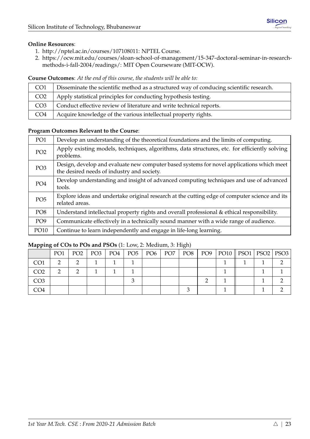## **Online Resources**:

- 1. [http://nptel.ac.in/courses/107108011:](http://nptel.ac.in/courses/107108011) NPTEL Course.
- 2. [https://ocw.mit.edu/courses/sloan-school-of-management/15-347-doctoral-seminar-in-research](https://ocw.mit.edu/courses/sloan-school-of-management/15-347-doctoral-seminar-in-research-methods-i-fall-2004/readings/)[methods-i-fall-2004/readings/:](https://ocw.mit.edu/courses/sloan-school-of-management/15-347-doctoral-seminar-in-research-methods-i-fall-2004/readings/) MIT Open Courseware (MIT-OCW).

## **Course Outcomes**: *At the end of this course, the students will be able to:*

| CO <sub>1</sub> | Disseminate the scientific method as a structured way of conducing scientific research. |
|-----------------|-----------------------------------------------------------------------------------------|
| CO <sub>2</sub> | Apply statistical principles for conducting hypothesis testing.                         |
| CO <sub>3</sub> | Conduct effective review of literature and write technical reports.                     |
| CO <sub>4</sub> | Acquire knowledge of the various intellectual property rights.                          |

## **Program Outcomes Relevant to the Course**:

| PO <sub>1</sub> | Develop an understanding of the theoretical foundations and the limits of computing.                                                    |
|-----------------|-----------------------------------------------------------------------------------------------------------------------------------------|
| PO <sub>2</sub> | Apply existing models, techniques, algorithms, data structures, etc. for efficiently solving<br>problems.                               |
| PO <sub>3</sub> | Design, develop and evaluate new computer based systems for novel applications which meet<br>the desired needs of industry and society. |
| PO <sub>4</sub> | Develop understanding and insight of advanced computing techniques and use of advanced<br>tools.                                        |
| PO <sub>5</sub> | Explore ideas and undertake original research at the cutting edge of computer science and its<br>related areas.                         |
| PO <sub>8</sub> | Understand intellectual property rights and overall professional & ethical responsibility.                                              |
| PO <sub>9</sub> | Communicate effectively in a technically sound manner with a wide range of audience.                                                    |
| PO10            | Continue to learn independently and engage in life-long learning.                                                                       |

| -- -            | PO <sub>1</sub> | PO <sub>2</sub> | $PO3$   $PO4$ | $PO5$   $PO6$ | PO7 | PO8 | $\vert$ PO9 | PO10    PSO1   PSO2   PSO3 |  |  |
|-----------------|-----------------|-----------------|---------------|---------------|-----|-----|-------------|----------------------------|--|--|
| CO1             |                 |                 |               |               |     |     |             |                            |  |  |
| CO2             |                 |                 |               |               |     |     |             |                            |  |  |
| CO <sub>3</sub> |                 |                 |               |               |     |     |             |                            |  |  |
| CO4             |                 |                 |               |               |     |     |             |                            |  |  |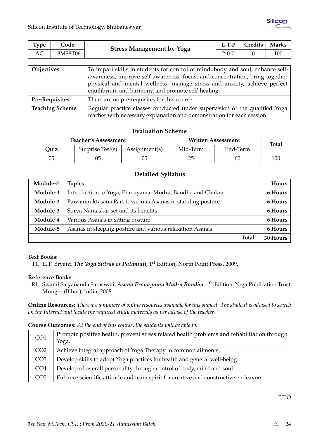<span id="page-29-0"></span>

| Type                                         | Code     | <b>Stress Management by Yoga</b>                                                                                                                                                                                                                                                                | $L-T-P$     | Credits | <b>Marks</b> |  |  |  |
|----------------------------------------------|----------|-------------------------------------------------------------------------------------------------------------------------------------------------------------------------------------------------------------------------------------------------------------------------------------------------|-------------|---------|--------------|--|--|--|
| AC                                           | 18MS8T06 |                                                                                                                                                                                                                                                                                                 | $2 - 0 - 0$ |         | 100          |  |  |  |
|                                              |          |                                                                                                                                                                                                                                                                                                 |             |         |              |  |  |  |
| <b>Objectives</b>                            |          | To impart skills in students for control of mind, body and soul, enhance self-<br>awareness, improve self-awareness, focus, and concentration, bring together<br>physical and mental wellness, manage stress and anxiety, achieve perfect<br>equilibrium and harmony, and promote self-healing. |             |         |              |  |  |  |
| $\mathbf{D}_{\text{A}}\mathbf{D}_{\text{A}}$ |          | There are no pro requisites for this course                                                                                                                                                                                                                                                     |             |         |              |  |  |  |

| Pre-Kequisites         | There are no pre-requisites for this course.                               |
|------------------------|----------------------------------------------------------------------------|
| <b>Teaching Scheme</b> | Regular practice classes conducted under supervision of the qualified Yoga |
|                        | teacher with necessary explanation and demonstration for each session.     |

|      | <b>Teacher's Assessment</b> |                        | <b>Written Assessment</b> | <b>Total</b> |     |
|------|-----------------------------|------------------------|---------------------------|--------------|-----|
| Ouiz | Surprise Test(s)            | $\text{Assignment}(s)$ | Mid-Term                  | End-Term     |     |
| 05   | 05                          |                        | 25                        | 60           | 100 |

## **Detailed Syllabus**

| Module-# | <b>Topics</b>                                              | Hours    |
|----------|------------------------------------------------------------|----------|
| Module-1 | Introduction to Yoga, Pranayama, Mudra, Bandha and Chakra. | 6 Hours  |
| Module-2 | Pawanmuktasana Part 1, various Asanas in standing posture. | 6 Hours  |
| Module-3 | Surya Namaskar set and its benefits.                       | 6 Hours  |
| Module-4 | Various Asanas in sitting posture.                         | 6 Hours  |
| Module-5 | Asanas in sleeping posture and various relaxation Asanas.  | 6 Hours  |
|          | <b>Total</b>                                               | 30 Hours |

## **Text Books**:

T1. E. F. Bryant, *The Yoga Sutras of Patanjali*, 1st Edition, North Point Press, 2009.

## **Reference Books**:

R1. Swami Satyananda Saraswati, *Asana Pranayama Mudra Bandha*, 4th Edition, Yoga Publication Trust, Munger (Bihar), India, 2008.

**Online Resources**: *There are a number of online resources available for this subject. The student is advised to search on the Internet and locate the required study materials as per advise of the teacher.*

| <b>Course Outcomes:</b> At the end of this course, the students will be able to: |
|----------------------------------------------------------------------------------|
|----------------------------------------------------------------------------------|

| CO <sub>1</sub> | Promote positive health, prevent stress related health problems and rehabilitation through  <br>Yoga. |
|-----------------|-------------------------------------------------------------------------------------------------------|
| CO <sub>2</sub> | Achieve integral approach of Yoga Therapy to common ailments.                                         |
| CO <sub>3</sub> | Develop skills to adopt Yoga practices for health and general well-being.                             |
| CO <sub>4</sub> | Develop of overall personality through control of body, mind and soul.                                |
| CO <sub>5</sub> | Enhance scientific attitude and team spirit for creative and constructive endeavors.                  |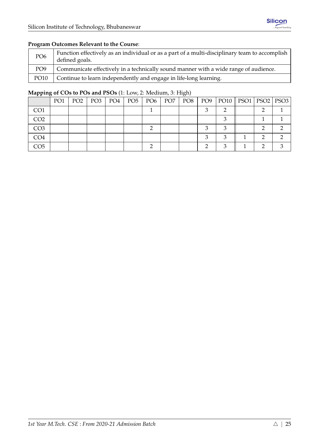## **Program Outcomes Relevant to the Course**:

| PO <sub>6</sub> | Function effectively as an individual or as a part of a multi-disciplinary team to accomplish<br>defined goals. |
|-----------------|-----------------------------------------------------------------------------------------------------------------|
| PO <sub>9</sub> | Communicate effectively in a technically sound manner with a wide range of audience.                            |
| <b>PO10</b>     | Continue to learn independently and engage in life-long learning.                                               |

|                 | PO1 | PO <sub>2</sub> | PO3 | PO4 |  | PO5   PO6   PO7 | PO8 | PO9   PO10    PSO1   PSO2   PSO3 |  |  |
|-----------------|-----|-----------------|-----|-----|--|-----------------|-----|----------------------------------|--|--|
| CO <sub>1</sub> |     |                 |     |     |  |                 |     |                                  |  |  |
| CO <sub>2</sub> |     |                 |     |     |  |                 |     |                                  |  |  |
| CO <sub>3</sub> |     |                 |     |     |  |                 |     |                                  |  |  |
| CO4             |     |                 |     |     |  |                 |     |                                  |  |  |
| CO <sub>5</sub> |     |                 |     |     |  |                 |     |                                  |  |  |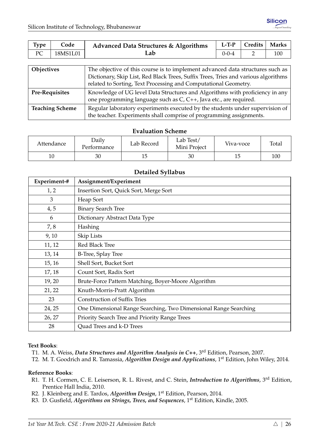<span id="page-31-0"></span>

| Type                                                                                                                                                                                                                                                 | Code     | <b>Advanced Data Structures &amp; Algorithms</b> | $L-T-P$     | Credits       | <b>Marks</b> |  |
|------------------------------------------------------------------------------------------------------------------------------------------------------------------------------------------------------------------------------------------------------|----------|--------------------------------------------------|-------------|---------------|--------------|--|
| PC                                                                                                                                                                                                                                                   | 18MS1L01 | Lab                                              | $0 - 0 - 4$ | $\mathcal{P}$ | 100          |  |
|                                                                                                                                                                                                                                                      |          |                                                  |             |               |              |  |
| The objective of this course is to implement advanced data structures such as<br>Objectives<br>Dictionary, Skip List, Red Black Trees, Suffix Trees, Tries and various algorithms<br>related to Sorting, Text Processing and Computational Geometry. |          |                                                  |             |               |              |  |
| Knowledge of UG level Data Structures and Algorithms with proficiency in any<br><b>Pre-Requisites</b><br>one programming language such as C, C++, Java etc., are required.                                                                           |          |                                                  |             |               |              |  |

|                 | . |  |  |  |                                                                     |                                                                              |  |
|-----------------|---|--|--|--|---------------------------------------------------------------------|------------------------------------------------------------------------------|--|
| Teaching Scheme |   |  |  |  |                                                                     | Regular laboratory experiments executed by the students under supervision of |  |
|                 |   |  |  |  | the teacher. Experiments shall comprise of programming assignments. |                                                                              |  |

| Daily<br>Attendance<br>Performance |    | Lab Record | Lab Test/<br>Mini Project | Viva-voce | Total |
|------------------------------------|----|------------|---------------------------|-----------|-------|
| 10                                 | 30 | ⊥◡         | 30                        |           | 100   |

## **Detailed Syllabus**

| Experiment-# | Assignment/Experiment                                            |
|--------------|------------------------------------------------------------------|
| 1, 2         | Insertion Sort, Quick Sort, Merge Sort                           |
| 3            | Heap Sort                                                        |
| 4, 5         | <b>Binary Search Tree</b>                                        |
| 6            | Dictionary Abstract Data Type                                    |
| 7,8          | Hashing                                                          |
| 9,10         | Skip Lists                                                       |
| 11, 12       | Red Black Tree                                                   |
| 13, 14       | B-Tree, Splay Tree                                               |
| 15, 16       | Shell Sort, Bucket Sort                                          |
| 17, 18       | Count Sort, Radix Sort                                           |
| 19, 20       | Brute-Force Pattern Matching, Boyer-Moore Algorithm              |
| 21, 22       | Knuth-Morris-Pratt Algorithm                                     |
| 23           | <b>Construction of Suffix Tries</b>                              |
| 24, 25       | One Dimensional Range Searching, Two Dimensional Range Searching |
| 26, 27       | Priority Search Tree and Priority Range Trees                    |
| 28           | Quad Trees and k-D Trees                                         |

## **Text Books**:

- T1. M. A. Weiss, *Data Structures and Algorithm Analysis in C++*, 3rd Edition, Pearson, 2007.
- T2. M. T. Goodrich and R. Tamassia, *Algorithm Design and Applications*, 1st Edition, John Wiley, 2014.

## **Reference Books**:

- R1. T. H. Cormen, C. E. Leiserson, R. L. Rivest, and C. Stein, *Introduction to Algorithms*, 3rd Edition, Prentice Hall India, 2010.
- R2. J. Kleinberg and E. Tardos, *Algorithm Design*, 1st Edition, Pearson, 2014.
- R3. D. Gusfield, *Algorithms on Strings, Trees, and Sequences*, 1st Edition, Kindle, 2005.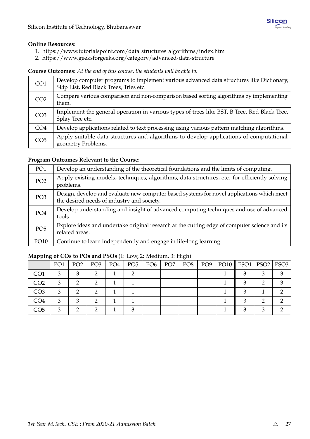## **Online Resources**:

- 1. [https://www.tutorialspoint.com/data](https://www.tutorialspoint.com/data_structures_algorithms/index.htm) structures algorithms/index.htm
- 2. <https://www.geeksforgeeks.org/category/advanced-data-structure>

**Course Outcomes**: *At the end of this course, the students will be able to:*

| CO <sub>1</sub> | Develop computer programs to implement various advanced data structures like Dictionary,<br>Skip List, Red Black Trees, Tries etc. |
|-----------------|------------------------------------------------------------------------------------------------------------------------------------|
| CO <sub>2</sub> | Compare various comparison and non-comparison based sorting algorithms by implementing<br>them.                                    |
| CO <sub>3</sub> | Implement the general operation in various types of trees like BST, B Tree, Red Black Tree,<br>Splay Tree etc.                     |
| CO <sub>4</sub> | Develop applications related to text processing using various pattern matching algorithms.                                         |
| CO <sub>5</sub> | Apply suitable data structures and algorithms to develop applications of computational<br>geometry Problems.                       |

## **Program Outcomes Relevant to the Course**:

| PO1             | Develop an understanding of the theoretical foundations and the limits of computing.                                                    |
|-----------------|-----------------------------------------------------------------------------------------------------------------------------------------|
| PO <sub>2</sub> | Apply existing models, techniques, algorithms, data structures, etc. for efficiently solving<br>problems.                               |
| PO <sub>3</sub> | Design, develop and evaluate new computer based systems for novel applications which meet<br>the desired needs of industry and society. |
| PO <sub>4</sub> | Develop understanding and insight of advanced computing techniques and use of advanced<br>tools.                                        |
| PO <sub>5</sub> | Explore ideas and undertake original research at the cutting edge of computer science and its<br>related areas.                         |
| PO10            | Continue to learn independently and engage in life-long learning.                                                                       |

|                 | PO <sub>1</sub> | PO <sub>2</sub> | PO <sub>3</sub> | PO4 | PO5 | $\overline{P06}$ | PO <sub>7</sub> | PO8 | PO9 | PO10    PSO1   PSO2   PSO3 |   |  |
|-----------------|-----------------|-----------------|-----------------|-----|-----|------------------|-----------------|-----|-----|----------------------------|---|--|
| CO1             |                 |                 |                 |     |     |                  |                 |     |     |                            |   |  |
| CO <sub>2</sub> |                 |                 |                 |     |     |                  |                 |     |     |                            |   |  |
| CO <sub>3</sub> |                 |                 |                 |     |     |                  |                 |     |     |                            |   |  |
| CO <sub>4</sub> |                 |                 |                 |     |     |                  |                 |     |     |                            |   |  |
| CO <sub>5</sub> |                 |                 |                 |     |     |                  |                 |     |     |                            | ◠ |  |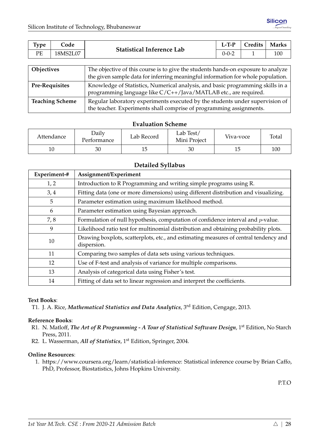<span id="page-33-0"></span>

| <b>Type</b> | Code     | <b>Statistical Inference Lab</b> | $L-T-P$     | Credits | <b>Marks</b> |
|-------------|----------|----------------------------------|-------------|---------|--------------|
| PE          | 18MS2L07 |                                  | $0 - 0 - 2$ |         | 100          |
|             |          |                                  |             |         |              |

| <b>Objectives</b>      | The objective of this course is to give the students hands-on exposure to analyze<br>the given sample data for inferring meaningful information for whole population. |
|------------------------|-----------------------------------------------------------------------------------------------------------------------------------------------------------------------|
| <b>Pre-Requisites</b>  | Knowledge of Statistics, Numerical analysis, and basic programming skills in a<br>programming language like C/C++/Java/MATLAB etc., are required.                     |
| <b>Teaching Scheme</b> | Regular laboratory experiments executed by the students under supervision of<br>the teacher. Experiments shall comprise of programming assignments.                   |

| Attendance | <b>Daily</b><br>Performance | Lab Record | Lab Test/<br>Mini Project | Viva-voce | Total |
|------------|-----------------------------|------------|---------------------------|-----------|-------|
| 10         | 30                          | ⊥◡         | 30                        |           | 100   |

## **Detailed Syllabus**

| Experiment-# | Assignment/Experiment                                                                                |
|--------------|------------------------------------------------------------------------------------------------------|
| 1, 2         | Introduction to R Programming and writing simple programs using R.                                   |
| 3,4          | Fitting data (one or more dimensions) using different distribution and visualizing.                  |
| 5            | Parameter estimation using maximum likelihood method.                                                |
| 6            | Parameter estimation using Bayesian approach.                                                        |
| 7,8          | Formulation of null hypothesis, computation of confidence interval and $p$ -value.                   |
| 9            | Likelihood ratio test for multinomial distribution and obtaining probability plots.                  |
| 10           | Drawing boxplots, scatterplots, etc., and estimating measures of central tendency and<br>dispersion. |
| 11           | Comparing two samples of data sets using various techniques.                                         |
| 12           | Use of F-test and analysis of variance for multiple comparisons.                                     |
| 13           | Analysis of categorical data using Fisher's test.                                                    |
| 14           | Fitting of data set to linear regression and interpret the coefficients.                             |

## **Text Books**:

T1. J. A. Rice, *Mathematical Statistics and Data Analytics*, 3rd Edition, Cengage, 2013.

## **Reference Books**:

- R1. N. Matloff, *The Art of R Programming A Tour of Statistical Software Design*, 1st Edition, No Starch Press, 2011.
- R2. L. Wasserman, *All of Statistics*, 1<sup>st</sup> Edition, Springer, 2004.

## **Online Resources**:

1. [https://www.coursera.org/learn/statistical-inference:](https://www.coursera.org/learn/statistical-inference) Statistical inference course by Brian Caffo, PhD, Professor, Biostatistics, Johns Hopkins University.

P.T.O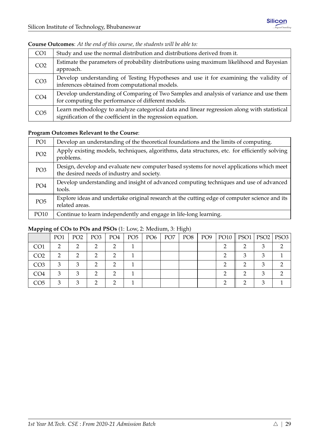| CO <sub>1</sub> | Study and use the normal distribution and distributions derived from it.                                                                                   |
|-----------------|------------------------------------------------------------------------------------------------------------------------------------------------------------|
| CO <sub>2</sub> | Estimate the parameters of probability distributions using maximum likelihood and Bayesian<br>approach.                                                    |
| CO <sub>3</sub> | Develop understanding of Testing Hypotheses and use it for examining the validity of<br>inferences obtained from computational models.                     |
| CO <sub>4</sub> | Develop understanding of Comparing of Two Samples and analysis of variance and use them<br>for computing the performance of different models.              |
| CO <sub>5</sub> | Learn methodology to analyze categorical data and linear regression along with statistical<br>signification of the coefficient in the regression equation. |

## **Course Outcomes**: *At the end of this course, the students will be able to:*

## **Program Outcomes Relevant to the Course**:

| PO1             | Develop an understanding of the theoretical foundations and the limits of computing.                                                    |
|-----------------|-----------------------------------------------------------------------------------------------------------------------------------------|
| PO <sub>2</sub> | Apply existing models, techniques, algorithms, data structures, etc. for efficiently solving<br>problems.                               |
| PO <sub>3</sub> | Design, develop and evaluate new computer based systems for novel applications which meet<br>the desired needs of industry and society. |
| PO <sub>4</sub> | Develop understanding and insight of advanced computing techniques and use of advanced<br>tools.                                        |
| PO <sub>5</sub> | Explore ideas and undertake original research at the cutting edge of computer science and its<br>related areas.                         |
| PO10            | Continue to learn independently and engage in life-long learning.                                                                       |

| -- -            |                 |                 |                 |     |                 |                 |                 | $\sim$ . |                 |                            |  |
|-----------------|-----------------|-----------------|-----------------|-----|-----------------|-----------------|-----------------|----------|-----------------|----------------------------|--|
|                 | PO <sub>1</sub> | PO <sub>2</sub> | PO <sub>3</sub> | PO4 | PO <sub>5</sub> | PO <sub>6</sub> | PO <sub>7</sub> | PO8      | PO <sub>9</sub> | PO10    PSO1   PSO2   PSO3 |  |
| CO1             | ◠               |                 |                 |     |                 |                 |                 |          |                 |                            |  |
| CO2             |                 |                 |                 |     |                 |                 |                 |          |                 |                            |  |
| CO <sub>3</sub> | ◠               |                 |                 |     |                 |                 |                 |          |                 |                            |  |
| CO <sub>4</sub> | ◠               |                 |                 |     |                 |                 |                 |          |                 |                            |  |
| CO5             | ◠               |                 |                 |     |                 |                 |                 |          |                 |                            |  |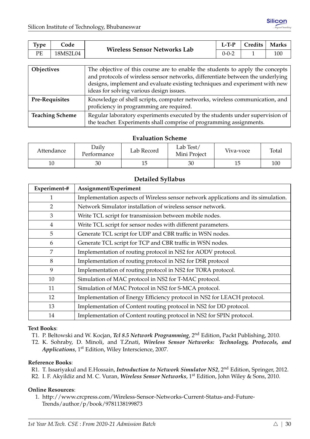<span id="page-35-0"></span>

| $\mathbf{r}$<br><i>vpe</i> | Code     | <b>Wireless Sensor Networks Lab</b> | $L-T-P$ | Credits | <b>Marks</b> |
|----------------------------|----------|-------------------------------------|---------|---------|--------------|
| PE                         | 18MS2L04 |                                     | 0-0-2   |         | 100          |

| Objectives             | The objective of this course are to enable the students to apply the concepts<br>and protocols of wireless sensor networks, differentiate between the underlying<br>designs, implement and evaluate existing techniques and experiment with new<br>ideas for solving various design issues. |
|------------------------|---------------------------------------------------------------------------------------------------------------------------------------------------------------------------------------------------------------------------------------------------------------------------------------------|
| <b>Pre-Requisites</b>  | Knowledge of shell scripts, computer networks, wireless communication, and<br>proficiency in programming are required.                                                                                                                                                                      |
| <b>Teaching Scheme</b> | Regular laboratory experiments executed by the students under supervision of<br>the teacher. Experiments shall comprise of programming assignments.                                                                                                                                         |

| Attendance | Daily<br>Performance | Lab Record | Lab Test/<br>Mini Project | Viva-voce | Total |
|------------|----------------------|------------|---------------------------|-----------|-------|
| 10         | 30                   | ⊥◡         | 30                        |           | 100   |

## **Detailed Syllabus**

| Experiment-# | Assignment/Experiment                                                              |
|--------------|------------------------------------------------------------------------------------|
| 1            | Implementation aspects of Wireless sensor network applications and its simulation. |
| 2            | Network Simulator installation of wireless sensor network.                         |
| 3            | Write TCL script for transmission between mobile nodes.                            |
| 4            | Write TCL script for sensor nodes with different parameters.                       |
| 5            | Generate TCL script for UDP and CBR traffic in WSN nodes.                          |
| 6            | Generate TCL script for TCP and CBR traffic in WSN nodes.                          |
| 7            | Implementation of routing protocol in NS2 for AODV protocol.                       |
| 8            | Implementation of routing protocol in NS2 for DSR protocol                         |
| 9            | Implementation of routing protocol in NS2 for TORA protocol.                       |
| 10           | Simulation of MAC protocol in NS2 for T-MAC protocol.                              |
| 11           | Simulation of MAC Protocol in NS2 for S-MCA protocol.                              |
| 12           | Implementation of Energy Efficiency protocol in NS2 for LEACH protocol.            |
| 13           | Implementation of Content routing protocol in NS2 for DD protocol.                 |
| 14           | Implementation of Content routing protocol in NS2 for SPIN protocol.               |

## **Text Books**:

- T1. P. Beltowski and W. Kocjan, *Tcl 8.5 Network Programming*, 2nd Edition, Packt Publishing, 2010.
- T2. K. Sohraby, D. Minoli, and T.Znati, *Wireless Sensor Networks: Technology, Protocols, and Applications*, 1st Edition, Wiley Interscience, 2007.

## **Reference Books**:

- R1. T. Issariyakul and E.Hossain, *Introduction to Network Simulator NS2*, 2nd Edition, Springer, 2012.
- R2. I. F. Akyildiz and M. C. Vuran, *Wireless Sensor Networks*, 1st Edition, John Wiley & Sons, 2010.

## **Online Resources**:

1. [http://www.crcpress.com/Wireless-Sensor-Networks-Current-Status-and-Future-](http://www.crcpress.com/Wireless-Sensor-Networks-Current-Status-and-Future-Trends/author/p/book/9781138199873)[Trends/author/p/book/9781138199873](http://www.crcpress.com/Wireless-Sensor-Networks-Current-Status-and-Future-Trends/author/p/book/9781138199873)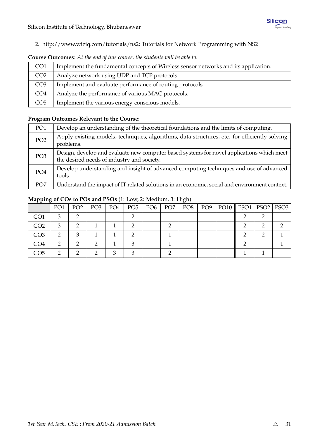2. [http://www.wiziq.com/tutorials/ns2:](http://www.wiziq.com/tutorials/ns2) Tutorials for Network Programming with NS2

| CO <sub>1</sub> | Implement the fundamental concepts of Wireless sensor networks and its application. |
|-----------------|-------------------------------------------------------------------------------------|
| CO <sub>2</sub> | Analyze network using UDP and TCP protocols.                                        |
| CO <sub>3</sub> | Implement and evaluate performance of routing protocols.                            |
| CO <sub>4</sub> | Analyze the performance of various MAC protocols.                                   |
| CO <sub>5</sub> | Implement the various energy-conscious models.                                      |

# **Course Outcomes**: *At the end of this course, the students will be able to:*

## **Program Outcomes Relevant to the Course**:

| PO <sub>1</sub> | Develop an understanding of the theoretical foundations and the limits of computing.                                                    |
|-----------------|-----------------------------------------------------------------------------------------------------------------------------------------|
| PO <sub>2</sub> | Apply existing models, techniques, algorithms, data structures, etc. for efficiently solving<br>problems.                               |
| PO <sub>3</sub> | Design, develop and evaluate new computer based systems for novel applications which meet<br>the desired needs of industry and society. |
| PO <sub>4</sub> | Develop understanding and insight of advanced computing techniques and use of advanced<br>tools.                                        |
| PO <sub>7</sub> | Understand the impact of IT related solutions in an economic, social and environment context.                                           |

|                 | PO <sub>1</sub> | PO <sub>2</sub> | PO <sub>3</sub> | PO4 | PO <sub>5</sub> | PO6 | PO <sub>7</sub> | PO8 | PO9 | PO10    PSO1   PSO2   PSO3 |  |
|-----------------|-----------------|-----------------|-----------------|-----|-----------------|-----|-----------------|-----|-----|----------------------------|--|
| CO <sub>1</sub> | 2               |                 |                 |     |                 |     |                 |     |     |                            |  |
| CO <sub>2</sub> | 3               |                 |                 |     |                 |     |                 |     |     |                            |  |
| CO <sub>3</sub> |                 |                 |                 |     |                 |     |                 |     |     |                            |  |
| CO <sub>4</sub> |                 |                 |                 |     |                 |     |                 |     |     |                            |  |
| CO5             |                 |                 |                 |     |                 |     |                 |     |     |                            |  |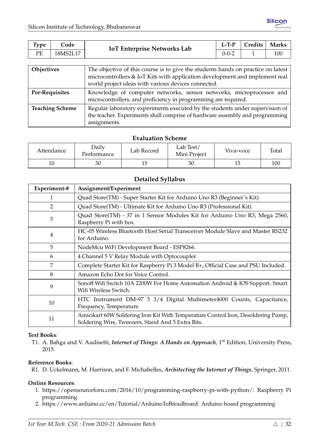| РE<br>18MS2L17<br>100<br>0-0-2 | <b>Type</b> | Code | <b>IoT Enterprise Networks Lab</b> | $L-T-P$ | Credits | <b>Marks</b> |
|--------------------------------|-------------|------|------------------------------------|---------|---------|--------------|
|                                |             |      |                                    |         |         |              |

| Objectives             | The objective of this course is to give the students hands on practice on latest<br>microcontrollers & IoT Kits with application development and implement real<br>world project ideas with various devices connected. |
|------------------------|------------------------------------------------------------------------------------------------------------------------------------------------------------------------------------------------------------------------|
| <b>Pre-Requisites</b>  | Knowledge of computer networks, sensor networks, microprocessor and<br>microcontrollers, and proficiency in programming are required.                                                                                  |
| <b>Teaching Scheme</b> | Regular laboratory experiments executed by the students under supervision of<br>the teacher. Experiments shall comprise of hardware assembly and programming<br>assignments.                                           |

| Attendance | Daily<br>l'erformance | Lab Record | Lab Test/<br>Mini Project | Viva-voce | Total |
|------------|-----------------------|------------|---------------------------|-----------|-------|
| 10         | 30                    | ⊥◡         | 30                        | 15        | 100   |

## **Detailed Syllabus**

| Experiment-# | Assignment/Experiment                                                                                                                  |
|--------------|----------------------------------------------------------------------------------------------------------------------------------------|
| 1            | Quad Store(TM) - Super Starter Kit for Arduino Uno R3 (Beginner's Kit).                                                                |
| 2            | Quad Store(TM) - Ultimate Kit for Arduino Uno R3 (Professional Kit).                                                                   |
| 3            | Quad Store(TM) - 37 in 1 Sensor Modules Kit for Arduino Uno R3, Mega 2560,<br>Raspberry Pi with box.                                   |
| 4            | HC-05 Wireless Bluetooth Host Serial Transceiver Module Slave and Master RS232<br>for Arduino.                                         |
| 5            | NodeMcu WiFi Development Board - ESP8266.                                                                                              |
| 6            | 4 Channel 5 V Relay Module with Optocoupler.                                                                                           |
| 7            | Complete Starter Kit for Raspberry Pi 3 Model B+, Official Case and PSU Included.                                                      |
| 8            | Amazon Echo Dot for Voice Control.                                                                                                     |
| 9            | Sonoff Wifi Switch 10A 2200W For Home Automation Android & IOS Support. Smart<br>Wifi Wireless Switch.                                 |
| 10           | HTC Instrument DM-97 3 3/4 Digital Multimeter4000 Counts, Capacitance,<br>Frequency, Temperature.                                      |
| 11           | Amicikart 60W Soldering Iron Kit With Temperature Control Iron, Desoldering Pump,<br>Soldering Wire, Tweezers, Stand And 5 Extra Bits. |

#### **Text Books**:

T1. A. Bahga and V. Audisetti, *Internet of Things: A Hands on Approach*, 1<sup>st</sup> Edition, University Press, 2015.

#### **Reference Books**:

R1. D. Uckelmann, M. Harrison, and F. Michahelles, *Architecting the Internet of Things*, Springer, 2011.

#### **Online Resources**:

- 1. [https://opensourceforu.com/2016/10/programming-raspberry-pi-with-python/:](https://opensourceforu.com/2016/10/programming-raspberry-pi-with-python/) Raspberry Pi programming
- 2. [https://www.arduino.cc/en/Tutorial/ArduinoToBreadboard:](https://www.arduino.cc/en/Tutorial/ArduinoToBreadboard) Arduino board programming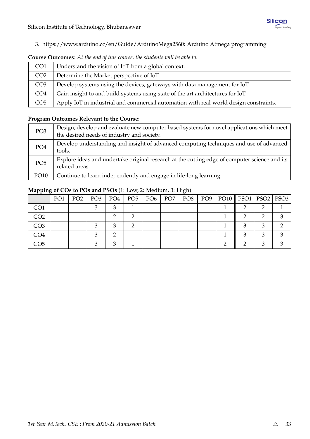3. [https://www.arduino.cc/en/Guide/ArduinoMega2560:](https://www.arduino.cc/en/Guide/ArduinoMega2560) Arduino Atmega programming

| CO <sub>1</sub> | Understand the vision of IoT from a global context.                                   |
|-----------------|---------------------------------------------------------------------------------------|
| CO <sub>2</sub> | Determine the Market perspective of IoT.                                              |
| CO <sub>3</sub> | Develop systems using the devices, gateways with data management for IoT.             |
| CO <sub>4</sub> | Gain insight to and build systems using state of the art architectures for IoT.       |
| CO <sub>5</sub> | Apply IoT in industrial and commercial automation with real-world design constraints. |

#### **Course Outcomes**: *At the end of this course, the students will be able to:*

#### **Program Outcomes Relevant to the Course**:

| PO <sub>3</sub> | Design, develop and evaluate new computer based systems for novel applications which meet<br>the desired needs of industry and society. |
|-----------------|-----------------------------------------------------------------------------------------------------------------------------------------|
| PO <sub>4</sub> | Develop understanding and insight of advanced computing techniques and use of advanced<br>tools.                                        |
| PO <sub>5</sub> | Explore ideas and undertake original research at the cutting edge of computer science and its<br>related areas.                         |
| PO10            | Continue to learn independently and engage in life-long learning.                                                                       |

|                 | PO <sub>1</sub> | PO <sub>2</sub> | PO <sub>3</sub> | PO4    | PO <sub>5</sub> | PO <sub>6</sub> | PO <sub>7</sub> | PO8 | PO9 | PO10    PSO1   PSO2   PSO3 |  |
|-----------------|-----------------|-----------------|-----------------|--------|-----------------|-----------------|-----------------|-----|-----|----------------------------|--|
| CO <sub>1</sub> |                 |                 |                 |        |                 |                 |                 |     |     |                            |  |
| CO <sub>2</sub> |                 |                 |                 |        |                 |                 |                 |     |     |                            |  |
| CO <sub>3</sub> |                 |                 |                 | ◠      |                 |                 |                 |     |     |                            |  |
| CO4             |                 |                 |                 |        |                 |                 |                 |     |     |                            |  |
| CO5             |                 |                 |                 | $\sim$ |                 |                 |                 |     |     |                            |  |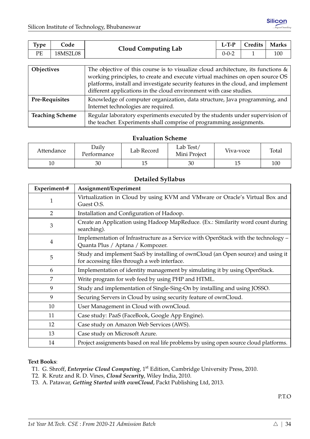| РE<br>18MS2L08<br>100<br>0-0-2 | <b>Type</b> | Code | <b>Cloud Computing Lab</b> | $L-T-P$ | <b>Credits</b> | <b>Marks</b> |
|--------------------------------|-------------|------|----------------------------|---------|----------------|--------------|
|                                |             |      |                            |         |                |              |

| Objectives             | The objective of this course is to visualize cloud architecture, its functions $\&$<br>working principles, to create and execute virtual machines on open source OS<br>platforms, install and investigate security features in the cloud, and implement<br>different applications in the cloud environment with case studies. |
|------------------------|-------------------------------------------------------------------------------------------------------------------------------------------------------------------------------------------------------------------------------------------------------------------------------------------------------------------------------|
| <b>Pre-Requisites</b>  | Knowledge of computer organization, data structure, Java programming, and<br>Internet technologies are required.                                                                                                                                                                                                              |
| <b>Teaching Scheme</b> | Regular laboratory experiments executed by the students under supervision of<br>the teacher. Experiments shall comprise of programming assignments.                                                                                                                                                                           |

| Attendance | Daily<br>Performance |    | Lab Test/<br>Mini Project | Viva-voce | Total |  |
|------------|----------------------|----|---------------------------|-----------|-------|--|
| $10\,$     | 30                   | ⊥◡ | 30                        |           | 100   |  |

## **Detailed Syllabus**

| Experiment-#   | Assignment/Experiment                                                                                                            |
|----------------|----------------------------------------------------------------------------------------------------------------------------------|
| 1              | Virtualization in Cloud by using KVM and VMware or Oracle's Virtual Box and<br>Guest O.S.                                        |
| $\overline{2}$ | Installation and Configuration of Hadoop.                                                                                        |
| 3              | Create an Application using Hadoop MapReduce. (Ex.: Similarity word count during<br>searching).                                  |
| 4              | Implementation of Infrastructure as a Service with OpenStack with the technology -<br>Quanta Plus / Aptana / Kompozer.           |
| 5              | Study and implement SaaS by installing of ownCloud (an Open source) and using it<br>for accessing files through a web interface. |
| 6              | Implementation of identity management by simulating it by using OpenStack.                                                       |
| 7              | Write program for web feed by using PHP and HTML.                                                                                |
| 9              | Study and implementation of Single-Sing-On by installing and using JOSSO.                                                        |
| 9              | Securing Servers in Cloud by using security feature of ownCloud.                                                                 |
| 10             | User Management in Cloud with ownCloud.                                                                                          |
| 11             | Case study: PaaS (FaceBook, Google App Engine).                                                                                  |
| 12             | Case study on Amazon Web Services (AWS).                                                                                         |
| 13             | Case study on Microsoft Azure.                                                                                                   |
| 14             | Project assignments based on real life problems by using open source cloud platforms.                                            |

#### **Text Books**:

- T1. G. Shroff, *Enterprise Cloud Computing*, 1<sup>st</sup> Edition, Cambridge University Press, 2010.
- T2. R. Krutz and R. D. Vines, *Cloud Security*, Wiley India, 2010.
- T3. A. Patawar, *Getting Started with ownCloud*, Packt Publishing Ltd, 2013.

P.T.O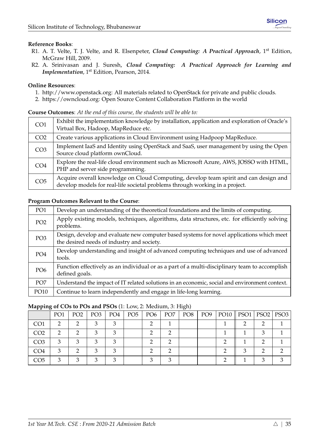#### **Reference Books**:

- R1. A. T. Velte, T. J. Velte, and R. Elsenpeter, *Cloud Computing: A Practical Approach*, 1st Edition, McGraw Hill, 2009.
- R2. A. Srinivasan and J. Suresh, *Cloud Computing: A Practical Approach for Learning and Implementation*, 1<sup>st</sup> Edition, Pearson, 2014.

#### **Online Resources**:

- 1. [http://www.openstack.org:](http://www.openstack.org) All materials related to OpenStack for private and public clouds.
- 2. [https://owncloud.org:](https://owncloud.org) Open Source Content Collaboration Platform in the world

# CO1 Exhibit the implementation knowledge by installation, application and exploration of Oracle's Virtual Box, Hadoop, MapReduce etc. CO2 Create various applications in Cloud Environment using Hadpoop MapReduce. CO3 | Implement IaaS and Identity using OpenStack and SaaS, user management by using the Open Source cloud platform ownCloud.  $CO4$  Explore the real-life cloud environment such as Microsoft Azure, AWS, JOSSO with HTML, PHP and server side programming. CO<sub>5</sub> Acquire overall knowledge on Cloud Computing, develop team spirit and can design and develop models for real-life societal problems through working in a project.

# **Course Outcomes**: *At the end of this course, the students will be able to:*

#### **Program Outcomes Relevant to the Course**:

| PO <sub>1</sub> | Develop an understanding of the theoretical foundations and the limits of computing.                                                    |
|-----------------|-----------------------------------------------------------------------------------------------------------------------------------------|
| PO <sub>2</sub> | Apply existing models, techniques, algorithms, data structures, etc. for efficiently solving<br>problems.                               |
| PO <sub>3</sub> | Design, develop and evaluate new computer based systems for novel applications which meet<br>the desired needs of industry and society. |
| PO <sub>4</sub> | Develop understanding and insight of advanced computing techniques and use of advanced<br>tools.                                        |
| PO <sub>6</sub> | Function effectively as an individual or as a part of a multi-disciplinary team to accomplish<br>defined goals.                         |
| PO <sub>7</sub> | Understand the impact of IT related solutions in an economic, social and environment context.                                           |
| PO10            | Continue to learn independently and engage in life-long learning.                                                                       |

| <b>TT</b><br>ີີ |                 |                 |                 |     |                 |                 |                 |     |     |                            |  |
|-----------------|-----------------|-----------------|-----------------|-----|-----------------|-----------------|-----------------|-----|-----|----------------------------|--|
|                 | PO <sub>1</sub> | PO <sub>2</sub> | PO <sub>3</sub> | PO4 | PO <sub>5</sub> | PO <sub>6</sub> | PO <sub>7</sub> | PO8 | PO9 | PO10    PSO1   PSO2   PSO3 |  |
| CO <sub>1</sub> |                 |                 |                 |     |                 |                 |                 |     |     |                            |  |
| CO <sub>2</sub> |                 |                 |                 |     |                 |                 |                 |     |     |                            |  |
| CO <sub>3</sub> |                 |                 |                 |     |                 |                 |                 |     |     |                            |  |
| CO <sub>4</sub> | 3               |                 |                 |     |                 |                 |                 |     |     |                            |  |
| CO5             |                 |                 |                 |     |                 |                 |                 |     |     |                            |  |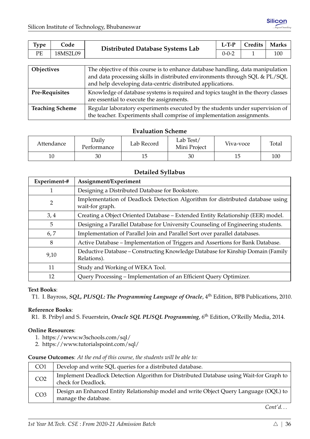| <b>Type</b> | Code     | Distributed Database Systems Lab | $L-TP$      | Credits | Marks   |
|-------------|----------|----------------------------------|-------------|---------|---------|
| PE          | 18MS2L09 |                                  | $0 - 0 - 2$ |         | $100 -$ |
|             |          |                                  |             |         |         |

| <b>Objectives</b>      | The objective of this course is to enhance database handling, data manipulation<br>and data processing skills in distributed environments through SQL & PL/SQL<br>and help developing data-centric distributed applications. |
|------------------------|------------------------------------------------------------------------------------------------------------------------------------------------------------------------------------------------------------------------------|
| <b>Pre-Requisites</b>  | Knowledge of database systems is required and topics taught in the theory classes<br>are essential to execute the assignments.                                                                                               |
| <b>Teaching Scheme</b> | Regular laboratory experiments executed by the students under supervision of<br>the teacher. Experiments shall comprise of implementation assignments.                                                                       |

| Attendance | Daily<br>Performance | Lab Record | Lab Test/<br>Mini Project | Viva-voce | Total |  |
|------------|----------------------|------------|---------------------------|-----------|-------|--|
| 10         | 30                   |            | 30                        |           | 100   |  |

## **Detailed Syllabus**

| Experiment-# | Assignment/Experiment                                                                            |
|--------------|--------------------------------------------------------------------------------------------------|
|              | Designing a Distributed Database for Bookstore.                                                  |
| 2            | Implementation of Deadlock Detection Algorithm for distributed database using<br>wait-for graph. |
| 3,4          | Creating a Object Oriented Database - Extended Entity Relationship (EER) model.                  |
| 5            | Designing a Parallel Database for University Counseling of Engineering students.                 |
| 6, 7         | Implementation of Parallel Join and Parallel Sort over parallel databases.                       |
| 8            | Active Database – Implementation of Triggers and Assertions for Bank Database.                   |
| 9,10         | Deductive Database – Constructing Knowledge Database for Kinship Domain (Family<br>Relations).   |
| 11           | Study and Working of WEKA Tool.                                                                  |
| 12           | Query Processing - Implementation of an Efficient Query Optimizer.                               |

#### **Text Books**:

T1. I. Bayross, *SQL, PL/SQL: The Programming Language of Oracle*, 4<sup>th</sup> Edition, BPB Publications, 2010.

## **Reference Books**:

R1. B. Pribyl and S. Feuerstein, *Oracle SQL PL/SQL Programming*, 6<sup>th</sup> Edition, O'Reilly Media, 2014.

#### **Online Resources**:

- 1. <https://www.w3schools.com/sql/>
- 2. <https://www.tutorialspoint.com/sql/>

**Course Outcomes**: *At the end of this course, the students will be able to:*

| CO <sub>1</sub> | Develop and write SQL queries for a distributed database.                                                      |
|-----------------|----------------------------------------------------------------------------------------------------------------|
| CO <sub>2</sub> | Implement Deadlock Detection Algorithm for Distributed Database using Wait-for Graph to<br>check for Deadlock. |
| CO <sub>3</sub> | Design an Enhanced Entity Relationship model and write Object Query Language (OQL) to<br>manage the database.  |

*Cont'd. . .*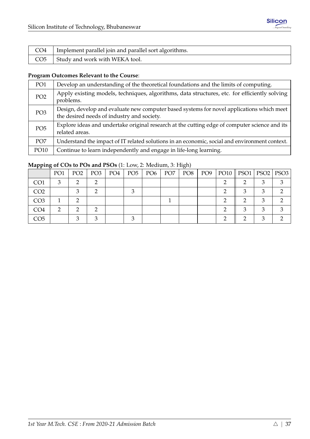| CO4   Implement parallel join and parallel sort algorithms. |
|-------------------------------------------------------------|
| $CO5$ Study and work with WEKA tool.                        |

# **Program Outcomes Relevant to the Course**:

| PO1             | Develop an understanding of the theoretical foundations and the limits of computing.                                                    |
|-----------------|-----------------------------------------------------------------------------------------------------------------------------------------|
| PO <sub>2</sub> | Apply existing models, techniques, algorithms, data structures, etc. for efficiently solving<br>problems.                               |
| PO <sub>3</sub> | Design, develop and evaluate new computer based systems for novel applications which meet<br>the desired needs of industry and society. |
| PO <sub>5</sub> | Explore ideas and undertake original research at the cutting edge of computer science and its<br>related areas.                         |
| PO <sub>7</sub> | Understand the impact of IT related solutions in an economic, social and environment context.                                           |
| PO10            | Continue to learn independently and engage in life-long learning.                                                                       |

| -- -            |                 |                 |                 |     |               |                 | $\sim$ . |                 |                            |  |
|-----------------|-----------------|-----------------|-----------------|-----|---------------|-----------------|----------|-----------------|----------------------------|--|
|                 | PO <sub>1</sub> | PO <sub>2</sub> | PO <sub>3</sub> | PO4 | $PO5$   $PO6$ | PO <sub>7</sub> | PO8      | PO <sub>9</sub> | PO10    PSO1   PSO2   PSO3 |  |
| CO <sub>1</sub> |                 |                 |                 |     |               |                 |          |                 |                            |  |
| CO <sub>2</sub> |                 |                 |                 |     |               |                 |          |                 |                            |  |
| CO <sub>3</sub> |                 |                 |                 |     |               |                 |          |                 |                            |  |
| CO4             |                 |                 |                 |     |               |                 |          |                 |                            |  |
| CO5             |                 |                 |                 |     |               |                 |          |                 |                            |  |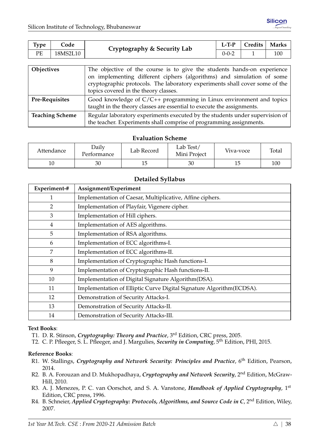| Type | _ode     | Cryptography & Security Lab | L-T-P | Credits | <b>Marks</b> |
|------|----------|-----------------------------|-------|---------|--------------|
| PE   | 18MS2L10 |                             | 0-0-2 |         | 100          |

| <b>Objectives</b>      | The objective of the course is to give the students hands-on experience<br>on implementing different ciphers (algorithms) and simulation of some<br>cryptographic protocols. The laboratory experiments shall cover some of the<br>topics covered in the theory classes. |
|------------------------|--------------------------------------------------------------------------------------------------------------------------------------------------------------------------------------------------------------------------------------------------------------------------|
| <b>Pre-Requisites</b>  | Good knowledge of $C/C++$ programming in Linux environment and topics<br>taught in the theory classes are essential to execute the assignments.                                                                                                                          |
| <b>Teaching Scheme</b> | Regular laboratory experiments executed by the students under supervision of<br>the teacher. Experiments shall comprise of programming assignments.                                                                                                                      |

| Attendance | Daily<br>l'erformance | Lab Record | Lab Test/<br>Mini Project | Viva-voce | Total |
|------------|-----------------------|------------|---------------------------|-----------|-------|
| 10         | 30                    | ⊥◡         | 30                        | 15        | 100   |

## **Detailed Syllabus**

| Experiment-#   | Assignment/Experiment                                                 |
|----------------|-----------------------------------------------------------------------|
| 1              | Implementation of Caesar, Multiplicative, Affine ciphers.             |
| $\overline{2}$ | Implementation of Playfair, Vigenere cipher.                          |
| 3              | Implementation of Hill ciphers.                                       |
| $\overline{4}$ | Implementation of AES algorithms.                                     |
| 5              | Implementation of RSA algorithms.                                     |
| 6              | Implementation of ECC algorithms-I.                                   |
| 7              | Implementation of ECC algorithms-II.                                  |
| 8              | Implementation of Cryptographic Hash functions-I.                     |
| 9              | Implementation of Cryptographic Hash functions-II.                    |
| 10             | Implementation of Digital Signature Algorithm (DSA).                  |
| 11             | Implementation of Elliptic Curve Digital Signature Algorithm (ECDSA). |
| 12             | Demonstration of Security Attacks-I.                                  |
| 13             | Demonstration of Security Attacks-II.                                 |
| 14             | Demonstration of Security Attacks-III.                                |

#### **Text Books**:

T1. D. R. Stinson, *Cryptography: Theory and Practice*, 3rd Edition, CRC press, 2005.

T2. C. P. Pfleeger, S. L. Pfleeger, and J. Margulies, *Security in Computing*, 5th Edition, PHI, 2015.

#### **Reference Books**:

- R1. W. Stallings, *Cryptography and Network Security: Principles and Practice*, 6<sup>th</sup> Edition, Pearson, 2014.
- R2. B. A. Forouzan and D. Mukhopadhaya, *Cryptography and Network Security*, 2nd Edition, McGraw-Hill, 2010.
- R3. A. J. Menezes, P. C. van Oorschot, and S. A. Vanstone, *Handbook of Applied Cryptography*, 1st Edition, CRC press, 1996.
- R4. B. Schneier, *Applied Cryptography: Protocols, Algorithms, and Source Code in C*, 2<sup>nd</sup> Edition, Wiley, 2007.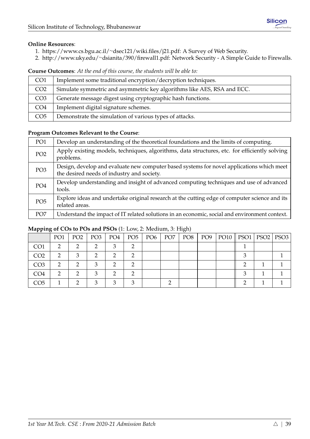## **Online Resources**:

- 1. [https://www.cs.bgu.ac.il/](https://www.cs.bgu.ac.il/~dsec121/wiki.files/j21.pdf)∼dsec121/wiki.files/j21.pdf: A Survey of Web Security.
- 2. http://www.uky.edu/∼[dsianita/390/firewall1.pdf:](http://www.uky.edu/~dsianita/390/firewall1.pdf) Network Security A Simple Guide to Firewalls.

**Course Outcomes**: *At the end of this course, the students will be able to:*

| CO <sub>1</sub> | Implement some traditional encryption/decryption techniques.            |
|-----------------|-------------------------------------------------------------------------|
| CO <sub>2</sub> | Simulate symmetric and asymmetric key algorithms like AES, RSA and ECC. |
| CO <sub>3</sub> | Generate message digest using cryptographic hash functions.             |
| CO <sub>4</sub> | Implement digital signature schemes.                                    |
| CO <sub>5</sub> | Demonstrate the simulation of various types of attacks.                 |

# **Program Outcomes Relevant to the Course**:

| PO <sub>1</sub> | Develop an understanding of the theoretical foundations and the limits of computing.                                                    |
|-----------------|-----------------------------------------------------------------------------------------------------------------------------------------|
| PO <sub>2</sub> | Apply existing models, techniques, algorithms, data structures, etc. for efficiently solving<br>problems.                               |
| PO <sub>3</sub> | Design, develop and evaluate new computer based systems for novel applications which meet<br>the desired needs of industry and society. |
| PO <sub>4</sub> | Develop understanding and insight of advanced computing techniques and use of advanced<br>tools.                                        |
| PO <sub>5</sub> | Explore ideas and undertake original research at the cutting edge of computer science and its<br>related areas.                         |
| PO <sub>7</sub> | Understand the impact of IT related solutions in an economic, social and environment context.                                           |

| .               |                 |                 |                 |     |                 |                 |                 | $\cup$ , |                 |                            |  |
|-----------------|-----------------|-----------------|-----------------|-----|-----------------|-----------------|-----------------|----------|-----------------|----------------------------|--|
|                 | PO <sub>1</sub> | PO <sub>2</sub> | PO <sub>3</sub> | PO4 | PO <sub>5</sub> | PO <sub>6</sub> | PO <sub>7</sub> | PO8      | PO <sub>9</sub> | PO10    PSO1   PSO2   PSO3 |  |
| CO <sub>1</sub> | റ               |                 |                 | з   |                 |                 |                 |          |                 |                            |  |
| CO <sub>2</sub> | റ               | 2               |                 | ◠   |                 |                 |                 |          |                 |                            |  |
| CO <sub>3</sub> | ◠               |                 | n               | ◠   |                 |                 |                 |          |                 |                            |  |
| CO4             |                 |                 |                 | ◠   |                 |                 |                 |          |                 |                            |  |
| CO5             |                 |                 |                 | ◠   |                 |                 |                 |          |                 |                            |  |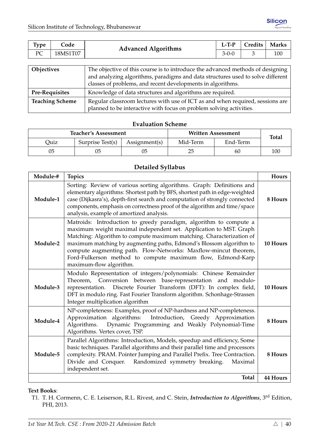| Type              | Code     | <b>Advanced Algorithms</b>                                                                                                                                        | $L-TP$      | Credits | <b>Marks</b> |  |  |
|-------------------|----------|-------------------------------------------------------------------------------------------------------------------------------------------------------------------|-------------|---------|--------------|--|--|
| PC                | 18MS1T07 |                                                                                                                                                                   | $3 - 0 - 0$ |         | 100          |  |  |
|                   |          |                                                                                                                                                                   |             |         |              |  |  |
| <b>Objectives</b> |          | The objective of this course is to introduce the advanced methods of designing<br>and analyzing algorithms, paradigms and data structures used to solve different |             |         |              |  |  |
|                   |          | classes of problems, and recent developments in algorithms.                                                                                                       |             |         |              |  |  |

| <b>Pre-Requisites</b> | Knowledge of data structures and algorithms are required. |
|-----------------------|-----------------------------------------------------------|

**Teaching Scheme** Regular classroom lectures with use of ICT as and when required, sessions are planned to be interactive with focus on problem solving activities.

## **Evaluation Scheme**

|      | <b>Teacher's Assessment</b> |               |          | <b>Written Assessment</b> | <b>Total</b> |  |  |
|------|-----------------------------|---------------|----------|---------------------------|--------------|--|--|
| Quiz | Surprise Test(s)            | Assignment(s) | Mid-Term | End-Term                  |              |  |  |
| 05   |                             | 05            | 25       | 60                        | 100          |  |  |

## **Detailed Syllabus**

| Module-# | <b>Topics</b>                                                                                                                                                                                                                                                                                                                                                                                                                                     | Hours    |
|----------|---------------------------------------------------------------------------------------------------------------------------------------------------------------------------------------------------------------------------------------------------------------------------------------------------------------------------------------------------------------------------------------------------------------------------------------------------|----------|
| Module-1 | Sorting: Review of various sorting algorithms. Graph: Definitions and<br>elementary algorithms: Shortest path by BFS, shortest path in edge-weighted<br>case (Dijkasra's), depth-first search and computation of strongly connected<br>components, emphasis on correctness proof of the algorithm and time/space<br>analysis, example of amortized analysis.                                                                                      | 8 Hours  |
| Module-2 | Matroids: Introduction to greedy paradigm, algorithm to compute a<br>maximum weight maximal independent set. Application to MST. Graph<br>Matching: Algorithm to compute maximum matching. Characterization of<br>maximum matching by augmenting paths, Edmond's Blossom algorithm to<br>compute augmenting path. Flow-Networks: Maxflow-mincut theorem,<br>Ford-Fulkerson method to compute maximum flow, Edmond-Karp<br>maximum-flow algorithm. | 10 Hours |
| Module-3 | Modulo Representation of integers/polynomials: Chinese Remainder<br>Theorem, Conversion between base-representation and modulo-<br>representation. Discrete Fourier Transform (DFT): In complex field,<br>DFT in modulo ring. Fast Fourier Transform algorithm. Schonhage-Strassen<br>Integer multiplication algorithm                                                                                                                            | 10 Hours |
| Module-4 | NP-completeness: Examples, proof of NP-hardness and NP-completeness.<br>Approximation algorithms: Introduction, Greedy Approximation<br>Dynamic Programming and Weakly Polynomial-Time<br>Algorithms.<br>Algorithms. Vertex cover, TSP.                                                                                                                                                                                                           | 8 Hours  |
| Module-5 | Parallel Algorithms: Introduction, Models, speedup and efficiency, Some<br>basic techniques. Parallel algorithms and their parallel time and processors<br>complexity. PRAM. Pointer Jumping and Parallel Prefix. Tree Contraction.<br>Divide and Conquer. Randomized symmetry breaking.<br>Maximal<br>independent set.                                                                                                                           | 8 Hours  |
|          | <b>Total</b>                                                                                                                                                                                                                                                                                                                                                                                                                                      | 44 Hours |

#### **Text Books**:

T1. T. H. Cormenn, C. E. Leiserson, R.L. Rivest, and C. Stein, *Introduction to Algorithms*, 3rd Edition, PHI, 2013.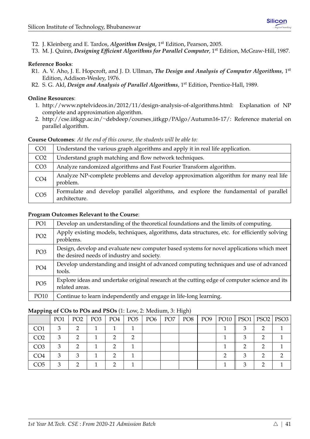- T2. J. Kleinberg and E. Tardos, *Algorithm Design*, 1st Edition, Pearson, 2005.
- T3. M. J. Quinn, *Designing Efficient Algorithms for Parallel Computer*, 1<sup>st</sup> Edition, McGraw-Hill, 1987.

## **Reference Books**:

- R1. A. V. Aho, J. E. Hopcroft, and J. D. Ullman, *The Design and Analysis of Computer Algorithms*, 1st Edition, Addison-Wesley, 1976.
- R2. S. G. Akl, *Design and Analysis of Parallel Algorithms*, 1<sup>st</sup> Edition, Prentice-Hall, 1989.

#### **Online Resources**:

- 1. [http://www.nptelvideos.in/2012/11/design-analysis-of-algorithms.html:](http://www.nptelvideos.in/2012/11/design-analysis-of-algorithms.html) Explanation of NP complete and approximation algorithm.
- 2. http://cse.iitkgp.ac.in/∼debdeep/courses [iitkgp/PAlgo/Autumn16-17/:](http://cse.iitkgp.ac.in/~debdeep/courses_iitkgp/PAlgo/Autumn16-17/) Reference material on parallel algorithm.

#### **Course Outcomes**: *At the end of this course, the students will be able to:*

| CO <sub>1</sub> | Understand the various graph algorithms and apply it in real life application.                      |
|-----------------|-----------------------------------------------------------------------------------------------------|
| CO <sub>2</sub> | Understand graph matching and flow network techniques.                                              |
| CO <sub>3</sub> | Analyze randomized algorithms and Fast Fourier Transform algorithm.                                 |
| CO <sub>4</sub> | Analyze NP-complete problems and develop approximation algorithm for many real life<br>problem.     |
| CO <sub>5</sub> | Formulate and develop parallel algorithms, and explore the fundamental of parallel<br>architecture. |

#### **Program Outcomes Relevant to the Course**:

| PO <sub>1</sub> | Develop an understanding of the theoretical foundations and the limits of computing.                                                    |
|-----------------|-----------------------------------------------------------------------------------------------------------------------------------------|
| PO <sub>2</sub> | Apply existing models, techniques, algorithms, data structures, etc. for efficiently solving<br>problems.                               |
| PO <sub>3</sub> | Design, develop and evaluate new computer based systems for novel applications which meet<br>the desired needs of industry and society. |
| PO <sub>4</sub> | Develop understanding and insight of advanced computing techniques and use of advanced<br>tools.                                        |
| PO <sub>5</sub> | Explore ideas and undertake original research at the cutting edge of computer science and its<br>related areas.                         |
| PO10            | Continue to learn independently and engage in life-long learning.                                                                       |

| .               |                 |                 |                 |     |                 |                 |                 | $\cup$ , |                 |                            |  |
|-----------------|-----------------|-----------------|-----------------|-----|-----------------|-----------------|-----------------|----------|-----------------|----------------------------|--|
|                 | PO <sub>1</sub> | PO <sub>2</sub> | PO <sub>3</sub> | PO4 | PO <sub>5</sub> | PO <sub>6</sub> | PO <sub>7</sub> | PO8      | PO <sub>9</sub> | PO10    PSO1   PSO2   PSO3 |  |
| CO <sub>1</sub> | 3               |                 |                 |     |                 |                 |                 |          |                 |                            |  |
| CO <sub>2</sub> | $\mathcal{R}$   |                 |                 |     |                 |                 |                 |          |                 |                            |  |
| CO <sub>3</sub> | З               |                 |                 |     |                 |                 |                 |          |                 |                            |  |
| CO4             |                 |                 |                 |     |                 |                 |                 |          |                 |                            |  |
| CO5             |                 |                 |                 |     |                 |                 |                 |          |                 |                            |  |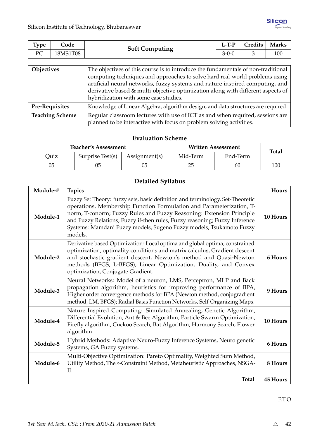| Type           | Code     | <b>Soft Computing</b> | $L-T-P$     | Credits | <b>Marks</b> |
|----------------|----------|-----------------------|-------------|---------|--------------|
| $D\cap$<br>- ∸ | 18MS1T08 |                       | $3 - 0 - 0$ |         | 100          |

| Objectives             | The objectives of this course is to introduce the fundamentals of non-traditional<br>computing techniques and approaches to solve hard real-world problems using<br>artificial neural networks, fuzzy systems and nature inspired computing, and<br>derivative based & multi-objective optimization along with different aspects of<br>hybridization with some case studies. |
|------------------------|------------------------------------------------------------------------------------------------------------------------------------------------------------------------------------------------------------------------------------------------------------------------------------------------------------------------------------------------------------------------------|
| <b>Pre-Requisites</b>  | Knowledge of Linear Algebra, algorithm design, and data structures are required.                                                                                                                                                                                                                                                                                             |
| <b>Teaching Scheme</b> | Regular classroom lectures with use of ICT as and when required, sessions are<br>planned to be interactive with focus on problem solving activities.                                                                                                                                                                                                                         |

|      | <b>Teacher's Assessment</b> |               | <b>Written Assessment</b> | <b>Total</b> |     |
|------|-----------------------------|---------------|---------------------------|--------------|-----|
| Ouiz | Surprise Test(s)            | Assignment(s) | Mid-Term                  | End-Term     |     |
| 05   |                             |               | 25                        | 60           | 100 |

# **Detailed Syllabus**

| Module-# | <b>Topics</b>                                                                                                                                                                                                                                                                                                                                                                                 | Hours           |
|----------|-----------------------------------------------------------------------------------------------------------------------------------------------------------------------------------------------------------------------------------------------------------------------------------------------------------------------------------------------------------------------------------------------|-----------------|
| Module-1 | Fuzzy Set Theory: fuzzy sets, basic definition and terminology, Set-Theoretic<br>operations, Membership Function Formulation and Parameterization, T-<br>norm, T-conorm; Fuzzy Rules and Fuzzy Reasoning: Extension Principle<br>and Fuzzy Relations, Fuzzy if-then rules, Fuzzy reasoning; Fuzzy Inference<br>Systems: Mamdani Fuzzy models, Sugeno Fuzzy models, Tsukamoto Fuzzy<br>models. | 10 Hours        |
| Module-2 | Derivative based Optimization: Local optima and global optima, constrained<br>optimization, optimality conditions and matrix calculus, Gradient descent<br>and stochastic gradient descent, Newton's method and Quasi-Newton<br>methods (BFGS, L-BFGS), Linear Optimization, Duality, and Convex<br>optimization, Conjugate Gradient.                                                         | 6 Hours         |
| Module-3 | Neural Networks: Model of a neuron, LMS, Perceptron, MLP and Back<br>propagation algorithm, heuristics for improving performance of BPA,<br>Higher order convergence methods for BPA (Newton method, conjugradient<br>method, LM, BFGS); Radial Basis Function Networks, Self-Organizing Maps.                                                                                                | 9 Hours         |
| Module-4 | Nature Inspired Computing: Simulated Annealing, Genetic Algorithm,<br>Differential Evolution, Ant & Bee Algorithm, Particle Swarm Optimization,<br>Firefly algorithm, Cuckoo Search, Bat Algorithm, Harmony Search, Flower<br>algorithm.                                                                                                                                                      | 10 Hours        |
| Module-5 | Hybrid Methods: Adaptive Neuro-Fuzzy Inference Systems, Neuro genetic<br>Systems, GA Fuzzy systems.                                                                                                                                                                                                                                                                                           | 6 Hours         |
| Module-6 | Multi-Objective Optimization: Pareto Optimality, Weighted Sum Method,<br>Utility Method, The $\varepsilon$ -Constraint Method, Metaheuristic Approaches, NSGA-<br>II.                                                                                                                                                                                                                         | 8 Hours         |
|          | <b>Total</b>                                                                                                                                                                                                                                                                                                                                                                                  | <b>45 Hours</b> |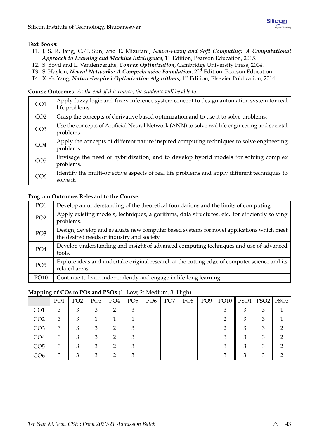## **Text Books**:

- T1. J. S. R. Jang, C.-T, Sun, and E. Mizutani, *Neuro-Fuzzy and Soft Computing: A Computational Approach to Learning and Machine Intelligence*, 1<sup>st</sup> Edition, Pearson Education, 2015.
- T2. S. Boyd and L. Vandenberghe, *Convex Optimization*, Cambridge University Press, 2004.
- T3. S. Haykin, *Neural Networks: A Comprehensive Foundation*, 2nd Edition, Pearson Education.
- T4. X. -S. Yang, *Nature-Inspired Optimization Algorithms*, 1st Edition, Elsevier Publication, 2014.

**Course Outcomes**: *At the end of this course, the students will be able to:*

| CO <sub>1</sub> | Apply fuzzy logic and fuzzy inference system concept to design automation system for real<br>life problems.  |
|-----------------|--------------------------------------------------------------------------------------------------------------|
| CO <sub>2</sub> | Grasp the concepts of derivative based optimization and to use it to solve problems.                         |
| CO <sub>3</sub> | Use the concepts of Artificial Neural Network (ANN) to solve real life engineering and societal<br>problems. |
| CO <sub>4</sub> | Apply the concepts of different nature inspired computing techniques to solve engineering<br>problems.       |
| CO <sub>5</sub> | Envisage the need of hybridization, and to develop hybrid models for solving complex<br>problems.            |
| CO6             | Identify the multi-objective aspects of real life problems and apply different techniques to<br>solve it.    |

#### **Program Outcomes Relevant to the Course**:

| PO <sub>1</sub> | Develop an understanding of the theoretical foundations and the limits of computing.                                                    |
|-----------------|-----------------------------------------------------------------------------------------------------------------------------------------|
| PO <sub>2</sub> | Apply existing models, techniques, algorithms, data structures, etc. for efficiently solving<br>problems.                               |
| PO <sub>3</sub> | Design, develop and evaluate new computer based systems for novel applications which meet<br>the desired needs of industry and society. |
| PO <sub>4</sub> | Develop understanding and insight of advanced computing techniques and use of advanced<br>tools.                                        |
| PO <sub>5</sub> | Explore ideas and undertake original research at the cutting edge of computer science and its<br>related areas.                         |
| PO10            | Continue to learn independently and engage in life-long learning.                                                                       |

|                 | PO <sub>1</sub> | PO <sub>2</sub> | PO <sub>3</sub> | PO <sub>4</sub> | PO <sub>5</sub> | PO <sub>6</sub> | PO <sub>7</sub> | PO <sub>8</sub> | PO <sub>9</sub> |   | $PO10$   PSO1 |   | $PSO2$   PSO3 |
|-----------------|-----------------|-----------------|-----------------|-----------------|-----------------|-----------------|-----------------|-----------------|-----------------|---|---------------|---|---------------|
| CO <sub>1</sub> | 3               | 3               | З               | າ               |                 |                 |                 |                 |                 |   | 3             |   |               |
| CO <sub>2</sub> | 3               | 3               |                 |                 |                 |                 |                 |                 |                 | ∍ | 3             | 3 |               |
| CO <sub>3</sub> | 3               | 3               | 3               | റ               | 3               |                 |                 |                 |                 | ∍ | 3             |   | റ             |
| CO <sub>4</sub> | 3               | 3               | 3               | ◠               | 3               |                 |                 |                 |                 | З | 3             | 3 | ◠             |
| CO <sub>5</sub> | 3               | 3               | 3               | ◠               |                 |                 |                 |                 |                 | 3 | 3             |   |               |
| CO <sub>6</sub> | 3               | 3               | 3               | ◠               | $\mathcal{B}$   |                 |                 |                 |                 | З | 3             | 3 |               |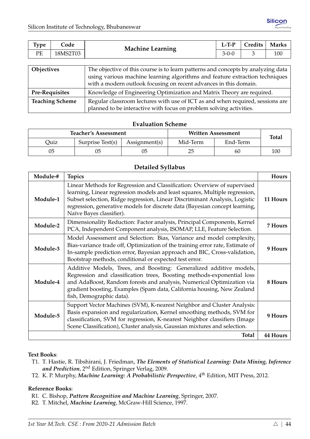| <b>Type</b> | Code     | <b>Machine Learning</b>                                                          | $L-T-P$     | Credits | <b>Marks</b> |  |  |
|-------------|----------|----------------------------------------------------------------------------------|-------------|---------|--------------|--|--|
| PE          | 18MS2T03 |                                                                                  | $3 - 0 - 0$ |         | 100          |  |  |
|             |          |                                                                                  |             |         |              |  |  |
| Objectives  |          | The objective of this course is to learn patterns and concepts by analyzing data |             |         |              |  |  |

| <b>ODICCLIVES</b>      | The objective of this course is to learn patterns and concepts by analyzing data |
|------------------------|----------------------------------------------------------------------------------|
|                        | using various machine learning algorithms and feature extraction techniques      |
|                        | with a modern outlook focusing on recent advances in this domain.                |
| <b>Pre-Requisites</b>  | Knowledge of Engineering Optimization and Matrix Theory are required.            |
| <b>Teaching Scheme</b> | Regular classroom lectures with use of ICT as and when required, sessions are    |
|                        | planned to be interactive with focus on problem solving activities.              |

|      | <b>Teacher's Assessment</b> |               | Written Assessment | <b>Total</b> |     |
|------|-----------------------------|---------------|--------------------|--------------|-----|
| Ouiz | Surprise Test(s)            | Assignment(s) | End-Term           |              |     |
| 05   |                             | 05            | 25                 | 60           | 100 |

## **Detailed Syllabus**

| Module-# | <b>Topics</b>                                                                                                                                                                                                                                                                                                                                   | Hours           |
|----------|-------------------------------------------------------------------------------------------------------------------------------------------------------------------------------------------------------------------------------------------------------------------------------------------------------------------------------------------------|-----------------|
| Module-1 | Linear Methods for Regression and Classification: Overview of supervised<br>learning, Linear regression models and least squares, Multiple regression,<br>Subset selection, Ridge regression, Linear Discriminant Analysis, Logistic<br>regression, generative models for discrete data (Bayesian concept learning,<br>Naïve Bayes classifier). | 11 Hours        |
| Module-2 | Dimensionality Reduction: Factor analysis, Principal Components, Kernel<br>PCA, Independent Component analysis, ISOMAP, LLE, Feature Selection.                                                                                                                                                                                                 | 7 Hours         |
| Module-3 | Model Assessment and Selection: Bias, Variance and model complexity,<br>Bias-variance trade off, Optimization of the training error rate, Estimate of<br>In-sample prediction error, Bayesian approach and BIC, Cross-validation,<br>Bootstrap methods, conditional or expected test error.                                                     | 9 Hours         |
| Module-4 | Additive Models, Trees, and Boosting: Generalized additive models,<br>Regression and classification trees, Boosting methods-exponential loss<br>and AdaBoost, Random forests and analysis, Numerical Optimization via<br>gradient boosting, Examples (Spam data, California housing, New Zealand<br>fish, Demographic data).                    | 8 Hours         |
| Module-5 | Support Vector Machines (SVM), K-nearest Neighbor and Cluster Analysis:<br>Basis expansion and regularization, Kernel smoothing methods, SVM for<br>classification, SVM for regression, K-nearest Neighbor classifiers (Image<br>Scene Classification), Cluster analysis, Gaussian mixtures and selection.                                      | 9 Hours         |
|          | Total                                                                                                                                                                                                                                                                                                                                           | <b>44 Hours</b> |

#### **Text Books**:

- T1. T. Hastie, R. Tibshirani, J. Friedman, *The Elements of Statistical Learning: Data Mining, Inference and Prediction*, 2nd Edition, Springer Verlag, 2009.
- T2. K. P. Murphy, *Machine Learning: A Probabilistic Perspective*, 4th Edition, MIT Press, 2012.

#### **Reference Books**:

- R1. C. Bishop, *Pattern Recognition and Machine Learning*, Springer, 2007.
- R2. T. Mitchel, *Machine Learning*, McGraw-Hill Science, 1997.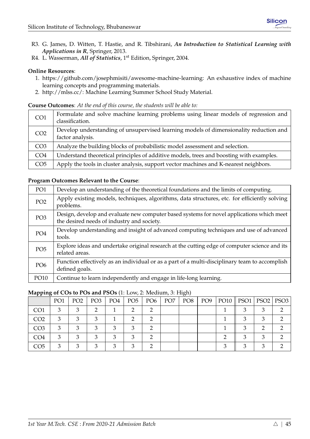- R3. G. James, D. Witten, T. Hastie, and R. Tibshirani, *An Introduction to Statistical Learning with Applications in R*, Springer, 2013.
- R4. L. Wasserman, *All of Statistics*, 1<sup>st</sup> Edition, Springer, 2004.

#### **Online Resources**:

- 1. [https://github.com/josephmisiti/awesome-machine-learning:](https://github.com/josephmisiti/awesome-machine-learning) An exhaustive index of machine learning concepts and programming materials.
- 2. [http://mlss.cc/:](http://mlss.cc/) Machine Learning Summer School Study Material.

#### **Course Outcomes**: *At the end of this course, the students will be able to:*

| CO <sub>1</sub> | Formulate and solve machine learning problems using linear models of regression and<br>classification.    |
|-----------------|-----------------------------------------------------------------------------------------------------------|
| CO <sub>2</sub> | Develop understanding of unsupervised learning models of dimensionality reduction and<br>factor analysis. |
| CO <sub>3</sub> | Analyze the building blocks of probabilistic model assessment and selection.                              |
| CO <sub>4</sub> | Understand theoretical principles of additive models, trees and boosting with examples.                   |
| CO <sub>5</sub> | Apply the tools in cluster analysis, support vector machines and K-nearest neighbors.                     |

#### **Program Outcomes Relevant to the Course**:

| PO <sub>1</sub> | Develop an understanding of the theoretical foundations and the limits of computing.                                                    |
|-----------------|-----------------------------------------------------------------------------------------------------------------------------------------|
| PO <sub>2</sub> | Apply existing models, techniques, algorithms, data structures, etc. for efficiently solving<br>problems.                               |
| PO <sub>3</sub> | Design, develop and evaluate new computer based systems for novel applications which meet<br>the desired needs of industry and society. |
| PO <sub>4</sub> | Develop understanding and insight of advanced computing techniques and use of advanced<br>tools.                                        |
| PO <sub>5</sub> | Explore ideas and undertake original research at the cutting edge of computer science and its<br>related areas.                         |
| PO <sub>6</sub> | Function effectively as an individual or as a part of a multi-disciplinary team to accomplish<br>defined goals.                         |
| PO10            | Continue to learn independently and engage in life-long learning.                                                                       |

|                 | PO <sub>1</sub> | PO <sub>2</sub> | PO <sub>3</sub> | PO <sub>4</sub> | PO <sub>5</sub> | PO <sub>6</sub> | PO <sub>7</sub> | PO <sub>8</sub> | PO <sub>9</sub> | $PO10$   PSO1 |   | $PSO2$   PSO3 |
|-----------------|-----------------|-----------------|-----------------|-----------------|-----------------|-----------------|-----------------|-----------------|-----------------|---------------|---|---------------|
| CO <sub>1</sub> | 3               |                 |                 |                 |                 |                 |                 |                 |                 |               | ◠ |               |
| CO <sub>2</sub> | 3               |                 |                 |                 |                 |                 |                 |                 |                 |               | ◠ |               |
| CO <sub>3</sub> | 3               |                 |                 | ◠               |                 |                 |                 |                 |                 |               |   |               |
| CO <sub>4</sub> |                 |                 |                 | ◠               |                 |                 |                 |                 |                 |               |   |               |
| CO <sub>5</sub> |                 |                 |                 | ◠               |                 |                 |                 |                 |                 |               |   |               |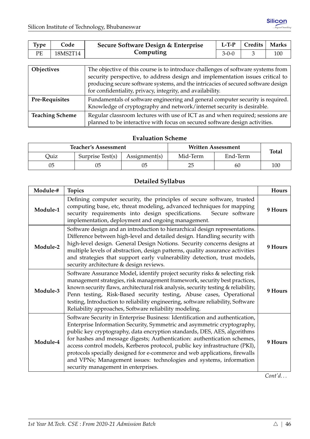| <b>Type</b>       | Code     | Secure Software Design & Enterprise                                              | $L-T-P$     | <b>Credits</b> | <b>Marks</b> |  |
|-------------------|----------|----------------------------------------------------------------------------------|-------------|----------------|--------------|--|
| PЕ                | 18MS2T14 | Computing                                                                        | $3 - 0 - 0$ |                | 100          |  |
|                   |          |                                                                                  |             |                |              |  |
| <b>Objectives</b> |          | The objective of this course is to introduce challenges of software systems from |             |                |              |  |

| <b>Objectives</b>      | The objective of this course is to introduce challenges of software systems from<br>security perspective, to address design and implementation issues critical to<br>producing secure software systems, and the intricacies of secured software design |
|------------------------|--------------------------------------------------------------------------------------------------------------------------------------------------------------------------------------------------------------------------------------------------------|
|                        | for confidentiality, privacy, integrity, and availability.                                                                                                                                                                                             |
| <b>Pre-Requisites</b>  | Fundamentals of software engineering and general computer security is required.  <br>Knowledge of cryptography and network/internet security is desirable.                                                                                             |
| <b>Teaching Scheme</b> | Regular classroom lectures with use of ICT as and when required; sessions are<br>planned to be interactive with focus on secured software design activities.                                                                                           |

|      | <b>Teacher's Assessment</b> |               | Written Assessment   | <b>Total</b> |     |  |
|------|-----------------------------|---------------|----------------------|--------------|-----|--|
| Ouiz | Surprise Test(s)            | Assignment(s) | End-Term<br>Mid-Term |              |     |  |
| 05   |                             |               | 25                   | 60           | 100 |  |

# **Detailed Syllabus**

| Module-# | <b>Topics</b>                                                                                                                                                                                                                                                                                                                                                                                                                                                                                                                                                                            | Hours   |
|----------|------------------------------------------------------------------------------------------------------------------------------------------------------------------------------------------------------------------------------------------------------------------------------------------------------------------------------------------------------------------------------------------------------------------------------------------------------------------------------------------------------------------------------------------------------------------------------------------|---------|
| Module-1 | Defining computer security, the principles of secure software, trusted<br>computing base, etc, threat modeling, advanced techniques for mapping<br>security requirements into design specifications.<br>Secure software<br>implementation, deployment and ongoing management.                                                                                                                                                                                                                                                                                                            | 9 Hours |
| Module-2 | Software design and an introduction to hierarchical design representations.<br>Difference between high-level and detailed design. Handling security with<br>high-level design. General Design Notions. Security concerns designs at<br>multiple levels of abstraction, design patterns, quality assurance activities<br>and strategies that support early vulnerability detection, trust models,<br>security architecture & design reviews.                                                                                                                                              | 9 Hours |
| Module-3 | Software Assurance Model, identify project security risks & selecting risk<br>management strategies, risk management framework, security best practices,<br>known security flaws, architectural risk analysis, security testing & reliability,<br>Penn testing, Risk-Based security testing, Abuse cases, Operational<br>testing, Introduction to reliability engineering, software reliability, Software<br>Reliability approaches, Software reliability modeling.                                                                                                                      | 9 Hours |
| Module-4 | Software Security in Enterprise Business: Identification and authentication,<br>Enterprise Information Security, Symmetric and asymmetric cryptography,<br>public key cryptography, data encryption standards, DES, AES, algorithms<br>for hashes and message digests; Authentication: authentication schemes,<br>access control models, Kerberos protocol, public key infrastructure (PKI),<br>protocols specially designed for e-commerce and web applications, firewalls<br>and VPNs; Management issues: technologies and systems, information<br>security management in enterprises. | 9 Hours |

*Cont'd. . .*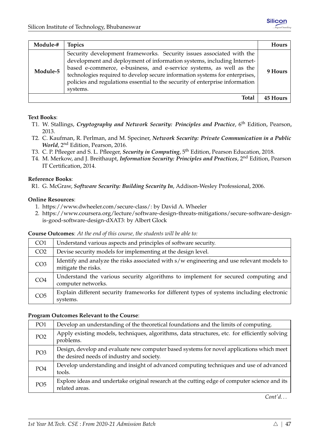| Module-# | <b>Topics</b>                                                                                                                                                                                                                                                                                                                                                                                     | Hours           |
|----------|---------------------------------------------------------------------------------------------------------------------------------------------------------------------------------------------------------------------------------------------------------------------------------------------------------------------------------------------------------------------------------------------------|-----------------|
| Module-5 | Security development frameworks. Security issues associated with the<br>development and deployment of information systems, including Internet-<br>based e-commerce, e-business, and e-service systems, as well as the<br>technologies required to develop secure information systems for enterprises,<br>policies and regulations essential to the security of enterprise information<br>systems. | 9 Hours         |
|          | Total                                                                                                                                                                                                                                                                                                                                                                                             | <b>45 Hours</b> |

#### **Text Books**:

- T1. W. Stallings, *Cryptography and Network Security: Principles and Practice*, 6th Edition, Pearson, 2013.
- T2. C. Kaufman, R. Perlman, and M. Speciner, *Network Security: Private Communication in a Public World*, 2nd Edition, Pearson, 2016.
- T3. C. P. Pfleeger and S. L. Pfleeger, *Security in Computing*, 5th Edition, Pearson Education, 2018.
- T4. M. Merkow, and J. Breithaupt, *Information Security: Principles and Practices*, 2nd Edition, Pearson IT Certification, 2014.

#### **Reference Books**:

R1. G. McGraw, *Software Security: Building Security In*, Addison-Wesley Professional, 2006.

#### **Online Resources**:

- 1. [https://www.dwheeler.com/secure-class/:](https://www.dwheeler.com/secure-class/) by David A. Wheeler
- 2. [https://www.coursera.org/lecture/software-design-threats-mitigations/secure-software-design](https://www.coursera.org/lecture/software-design-threats-mitigations/secure-software-design-is-good-software-design-dXAT3)[is-good-software-design-dXAT3:](https://www.coursera.org/lecture/software-design-threats-mitigations/secure-software-design-is-good-software-design-dXAT3) by Albert Glock

**Course Outcomes**: *At the end of this course, the students will be able to:*

| CO <sub>1</sub> | Understand various aspects and principles of software security.                                                  |
|-----------------|------------------------------------------------------------------------------------------------------------------|
| CO <sub>2</sub> | Devise security models for implementing at the design level.                                                     |
| CO <sub>3</sub> | Identify and analyze the risks associated with s/w engineering and use relevant models to<br>mitigate the risks. |
| CO <sub>4</sub> | Understand the various security algorithms to implement for secured computing and<br>computer networks.          |
| CO <sub>5</sub> | Explain different security frameworks for different types of systems including electronic<br>systems.            |

#### **Program Outcomes Relevant to the Course**:

| PO <sub>1</sub> | Develop an understanding of the theoretical foundations and the limits of computing.                                                    |
|-----------------|-----------------------------------------------------------------------------------------------------------------------------------------|
| PO <sub>2</sub> | Apply existing models, techniques, algorithms, data structures, etc. for efficiently solving<br>problems.                               |
| PO <sub>3</sub> | Design, develop and evaluate new computer based systems for novel applications which meet<br>the desired needs of industry and society. |
| PO <sub>4</sub> | Develop understanding and insight of advanced computing techniques and use of advanced<br>tools.                                        |
| PO <sub>5</sub> | Explore ideas and undertake original research at the cutting edge of computer science and its<br>related areas.                         |

*Cont'd. . .*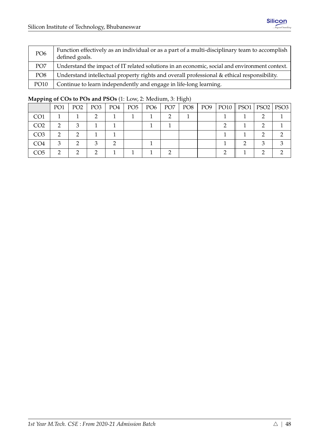| PO <sub>6</sub> | Function effectively as an individual or as a part of a multi-disciplinary team to accomplish<br>defined goals. |
|-----------------|-----------------------------------------------------------------------------------------------------------------|
| PO <sub>7</sub> | Understand the impact of IT related solutions in an economic, social and environment context.                   |
| PO <sub>8</sub> | Understand intellectual property rights and overall professional & ethical responsibility.                      |
| <b>PO10</b>     | Continue to learn independently and engage in life-long learning.                                               |

|                 | PO <sub>1</sub> | PO <sub>2</sub> | PO <sub>3</sub> | PO4 | PO <sub>5</sub> | PO <sub>6</sub> | PO <sub>7</sub> | PO <sub>8</sub> | PO <sub>9</sub> | $PO10$   PSO1 | $PSO2$ PSO3 |
|-----------------|-----------------|-----------------|-----------------|-----|-----------------|-----------------|-----------------|-----------------|-----------------|---------------|-------------|
| CO <sub>1</sub> |                 |                 |                 |     |                 |                 |                 |                 |                 |               |             |
| CO <sub>2</sub> |                 |                 |                 |     |                 |                 |                 |                 |                 |               |             |
| CO <sub>3</sub> | റ               |                 |                 |     |                 |                 |                 |                 |                 |               |             |
| CO <sub>4</sub> | 3               | ∍               |                 |     |                 |                 |                 |                 |                 |               |             |
| CO5             |                 |                 |                 |     |                 |                 |                 |                 |                 |               |             |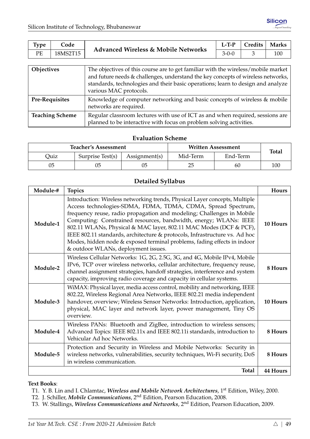| Type                   | Code     | <b>Advanced Wireless &amp; Mobile Networks</b>                                                                                                                                                                                                                                     | $L-T-P$     | Credits | <b>Marks</b> |  |  |  |
|------------------------|----------|------------------------------------------------------------------------------------------------------------------------------------------------------------------------------------------------------------------------------------------------------------------------------------|-------------|---------|--------------|--|--|--|
| PE                     | 18MS2T15 |                                                                                                                                                                                                                                                                                    | $3 - 0 - 0$ | 3       | 100          |  |  |  |
|                        |          |                                                                                                                                                                                                                                                                                    |             |         |              |  |  |  |
| Objectives             |          | The objectives of this course are to get familiar with the wireless/mobile market<br>and future needs & challenges, understand the key concepts of wireless networks,<br>standards, technologies and their basic operations; learn to design and analyze<br>various MAC protocols. |             |         |              |  |  |  |
| <b>Pre-Requisites</b>  |          | Knowledge of computer networking and basic concepts of wireless & mobile<br>networks are required.                                                                                                                                                                                 |             |         |              |  |  |  |
| <b>Teaching Scheme</b> |          | Regular classroom lectures with use of ICT as and when required, sessions are<br>planned to be interactive with focus on problem solving activities.                                                                                                                               |             |         |              |  |  |  |

|      | <b>Teacher's Assessment</b> |               | <b>Written Assessment</b> | <b>Total</b> |     |
|------|-----------------------------|---------------|---------------------------|--------------|-----|
| Ouiz | Surprise Test(s)            | Assignment(s) | Mid-Term                  | End-Term     |     |
| 05   | 05                          |               | 25                        | 60           | 100 |

## **Detailed Syllabus**

| Module-# | <b>Topics</b>                                                                                                                                                                                                                                                                                                                                                                                                                                                                                                                                                  | Hours           |
|----------|----------------------------------------------------------------------------------------------------------------------------------------------------------------------------------------------------------------------------------------------------------------------------------------------------------------------------------------------------------------------------------------------------------------------------------------------------------------------------------------------------------------------------------------------------------------|-----------------|
| Module-1 | Introduction: Wireless networking trends, Physical Layer concepts, Multiple<br>Access technologies-SDMA, FDMA, TDMA, CDMA, Spread Spectrum,<br>frequency reuse, radio propagation and modeling; Challenges in Mobile<br>Computing: Constrained resources, bandwidth, energy; WLANs: IEEE<br>802.11 WLANs, Physical & MAC layer, 802.11 MAC Modes (DCF & PCF),<br>IEEE 802.11 standards, architecture & protocols, Infrastructure vs. Ad hoc<br>Modes, hidden node & exposed terminal problems, fading effects in indoor<br>& outdoor WLANs, deployment issues. | 10 Hours        |
| Module-2 | Wireless Cellular Networks: 1G, 2G, 2.5G, 3G, and 4G, Mobile IPv4, Mobile<br>IPv6, TCP over wireless networks, cellular architecture, frequency reuse,<br>channel assignment strategies, handoff strategies, interference and system<br>capacity, improving radio coverage and capacity in cellular systems.                                                                                                                                                                                                                                                   | 8 Hours         |
| Module-3 | WiMAX: Physical layer, media access control, mobility and networking, IEEE<br>802.22, Wireless Regional Area Networks, IEEE 802.21 media independent<br>handover, overview; Wireless Sensor Networks: Introduction, application,<br>physical, MAC layer and network layer, power management, Tiny OS<br>overview.                                                                                                                                                                                                                                              | 10 Hours        |
| Module-4 | Wireless PANs: Bluetooth and ZigBee, introduction to wireless sensors;<br>Advanced Topics: IEEE 802.11x and IEEE 802.11i standards, introduction to<br>Vehicular Ad hoc Networks.                                                                                                                                                                                                                                                                                                                                                                              | 8 Hours         |
| Module-5 | Protection and Security in Wireless and Mobile Networks: Security in<br>wireless networks, vulnerabilities, security techniques, Wi-Fi security, DoS<br>in wireless communication.                                                                                                                                                                                                                                                                                                                                                                             | 8 Hours         |
|          | <b>Total</b>                                                                                                                                                                                                                                                                                                                                                                                                                                                                                                                                                   | <b>44 Hours</b> |

**Text Books**:

T3. W. Stallings, *Wireless Communications and Networks*, 2nd Edition, Pearson Education, 2009.

T1. Y. B. Lin and I. Chlamtac, *Wireless and Mobile Network Architectures*, 1st Edition, Wiley, 2000.

T2. J. Schiller, *Mobile Communications*, 2nd Edition, Pearson Education, 2008.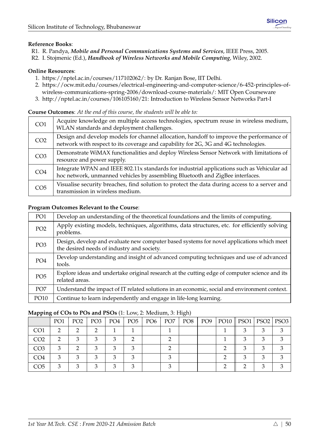#### **Reference Books**:

- R1. R. Pandya, *Mobile and Personal Communications Systems and Services*, IEEE Press, 2005.
- R2. I. Stojmenic (Ed.), *Handbook of Wireless Networks and Mobile Computing*, Wiley, 2002.

#### **Online Resources**:

- 1. [https://nptel.ac.in/courses/117102062/:](https://nptel.ac.in/courses/117102062/) by Dr. Ranjan Bose, IIT Delhi.
- 2. [https://ocw.mit.edu/courses/electrical-engineering-and-computer-science/6-452-principles-of](https://ocw.mit.edu/courses/electrical-engineering-and-computer-science/6-452-principles-of-wireless-communications-spring-2006/download-course-materials/)[wireless-communications-spring-2006/download-course-materials/:](https://ocw.mit.edu/courses/electrical-engineering-and-computer-science/6-452-principles-of-wireless-communications-spring-2006/download-course-materials/) MIT Open Courseware
- 3. [http://nptel.ac.in/courses/106105160/21:](http://nptel.ac.in/courses/106105160/21) Introduction to Wireless Sensor Networks Part-I

#### **Course Outcomes**: *At the end of this course, the students will be able to:*

| CO <sub>1</sub> | Acquire knowledge on multiple access technologies, spectrum reuse in wireless medium,<br>WLAN standards and deployment challenges.                                             |
|-----------------|--------------------------------------------------------------------------------------------------------------------------------------------------------------------------------|
| CO <sub>2</sub> | Design and develop models for channel allocation, handoff to improve the performance of<br>network with respect to its coverage and capability for 2G, 3G and 4G technologies. |
| CO <sub>3</sub> | Demonstrate WiMAX functionalities and deploy Wireless Sensor Network with limitations of<br>resource and power supply.                                                         |
| CO <sub>4</sub> | Integrate WPAN and IEEE 802.11x standards for industrial applications such as Vehicular ad<br>hoc network, unmanned vehicles by assembling Bluetooth and ZigBee interfaces.    |
| CO <sub>5</sub> | Visualise security breaches, find solution to protect the data during access to a server and<br>transmission in wireless medium.                                               |

#### **Program Outcomes Relevant to the Course**:

| PO <sub>1</sub> | Develop an understanding of the theoretical foundations and the limits of computing.                                                    |
|-----------------|-----------------------------------------------------------------------------------------------------------------------------------------|
| PO <sub>2</sub> | Apply existing models, techniques, algorithms, data structures, etc. for efficiently solving<br>problems.                               |
| PO <sub>3</sub> | Design, develop and evaluate new computer based systems for novel applications which meet<br>the desired needs of industry and society. |
| PO <sub>4</sub> | Develop understanding and insight of advanced computing techniques and use of advanced<br>tools.                                        |
| PO <sub>5</sub> | Explore ideas and undertake original research at the cutting edge of computer science and its<br>related areas.                         |
| PO <sub>7</sub> | Understand the impact of IT related solutions in an economic, social and environment context.                                           |
| PO10            | Continue to learn independently and engage in life-long learning.                                                                       |

|                 | PO1 | PO <sub>2</sub> | PO <sub>3</sub> | PO4 | $PO5$   $PO6$ | PO <sub>7</sub> | PO8 | PO <sub>9</sub> | PO10    PSO1   PSO2   PSO3 |  |
|-----------------|-----|-----------------|-----------------|-----|---------------|-----------------|-----|-----------------|----------------------------|--|
| CO <sub>1</sub> |     |                 |                 |     |               |                 |     |                 |                            |  |
| CO <sub>2</sub> |     |                 |                 |     |               |                 |     |                 |                            |  |
| CO <sub>3</sub> |     |                 |                 |     |               |                 |     |                 |                            |  |
| CO <sub>4</sub> |     |                 |                 |     |               |                 |     |                 |                            |  |
| CO5             |     |                 |                 |     |               |                 |     |                 |                            |  |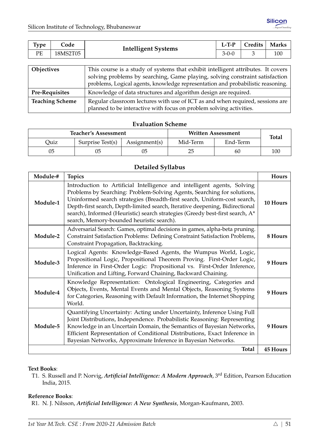| <b>Type</b>       | Code | <b>Intelligent Systems</b>                                                       | $L-T-P$     | <b>Credits</b> | <b>Marks</b> |  |  |
|-------------------|------|----------------------------------------------------------------------------------|-------------|----------------|--------------|--|--|
| PЕ<br>18MS2T05    |      |                                                                                  | $3 - 0 - 0$ |                | 100          |  |  |
|                   |      |                                                                                  |             |                |              |  |  |
| <b>Objectives</b> |      | This course is a study of systems that exhibit intelligent attributes. It covers |             |                |              |  |  |

| <b>ODICCLIPLE</b>      | This course is a study of systems that exhibit intelligent attributes. It covers |
|------------------------|----------------------------------------------------------------------------------|
|                        | solving problems by searching, Game playing, solving constraint satisfaction     |
|                        | problems, Logical agents, knowledge representation and probabilistic reasoning.  |
| <b>Pre-Requisites</b>  | Knowledge of data structures and algorithm design are required.                  |
| <b>Teaching Scheme</b> | Regular classroom lectures with use of ICT as and when required, sessions are    |
|                        | planned to be interactive with focus on problem solving activities.              |

|      | <b>Teacher's Assessment</b> |               | Written Assessment | <b>Total</b> |     |  |
|------|-----------------------------|---------------|--------------------|--------------|-----|--|
| Ouiz | Surprise Test(s)            | Assignment(s) | Mid-Term           | End-Term     |     |  |
| 05   |                             | 05            | 25                 | 60           | 100 |  |

## **Detailed Syllabus**

| Module-# | <b>Topics</b>                                                                                                                                                                                                                                                                                                                                                                                                                                | Hours    |
|----------|----------------------------------------------------------------------------------------------------------------------------------------------------------------------------------------------------------------------------------------------------------------------------------------------------------------------------------------------------------------------------------------------------------------------------------------------|----------|
| Module-1 | Introduction to Artificial Intelligence and intelligent agents, Solving<br>Problems by Searching: Problem-Solving Agents, Searching for solutions,<br>Uninformed search strategies (Breadth-first search, Uniform-cost search,<br>Depth-first search, Depth-limited search, Iterative deepening, Bidirectional<br>search), Informed (Heuristic) search strategies (Greedy best-first search, A*<br>search, Memory-bounded heuristic search). | 10 Hours |
| Module-2 | Adversarial Search: Games, optimal decisions in games, alpha-beta pruning.<br>Constraint Satisfaction Problems: Defining Constraint Satisfaction Problems,<br>Constraint Propagation, Backtracking.                                                                                                                                                                                                                                          | 8 Hours  |
| Module-3 | Logical Agents: Knowledge-Based Agents, the Wumpus World, Logic,<br>Propositional Logic, Propositional Theorem Proving. First-Order Logic,<br>Inference in First-Order Logic: Propositional vs. First-Order Inference,<br>Unification and Lifting, Forward Chaining, Backward Chaining.                                                                                                                                                      | 9 Hours  |
| Module-4 | Knowledge Representation: Ontological Engineering, Categories and<br>Objects, Events, Mental Events and Mental Objects, Reasoning Systems<br>for Categories, Reasoning with Default Information, the Internet Shopping<br>World.                                                                                                                                                                                                             | 9 Hours  |
| Module-5 | Quantifying Uncertainty: Acting under Uncertainty, Inference Using Full<br>Joint Distributions, Independence. Probabilistic Reasoning: Representing<br>Knowledge in an Uncertain Domain, the Semantics of Bayesian Networks,<br>Efficient Representation of Conditional Distributions, Exact Inference in<br>Bayesian Networks, Approximate Inference in Bayesian Networks.                                                                  | 9 Hours  |
|          | <b>Total</b>                                                                                                                                                                                                                                                                                                                                                                                                                                 | 45 Hours |

## **Text Books**:

T1. S. Russell and P. Norvig, *Artificial Intelligence: A Modern Approach*, 3rd Edition, Pearson Education India, 2015.

#### **Reference Books**:

R1. N. J. Nilsson, *Artificial Intelligence: A New Synthesis*, Morgan-Kaufmann, 2003.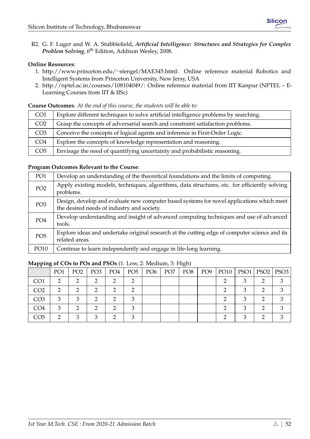R2. G. F. Luger and W. A. Stubblefield, *Artificial Intelligence: Structures and Strategies for Complex Problem Solving*, 6th Edition, Addison Wesley, 2008.

#### **Online Resources**:

- 1. [http://www.princeton.edu/](http://www.princeton.edu/~stengel/MAE345.html)∼stengel/MAE345.html: Online reference material Robotics and Intelligent Systems from Princeton University, New Jersy, USA
- 2. [http://nptel.ac.in/courses/108104049/:](http://nptel.ac.in/courses/108104049/) Online reference material from IIT Kanpur (NPTEL E-Learning Courses from IIT & IISc)

**Course Outcomes**: *At the end of this course, the students will be able to:*

| CO <sub>1</sub> | Explore different techniques to solve artificial intelligence problems by searching. |
|-----------------|--------------------------------------------------------------------------------------|
| CO <sub>2</sub> | Grasp the concepts of adversarial search and constraint satisfaction problems.       |
| CO <sub>3</sub> | Conceive the concepts of logical agents and inference in First-Order Logic.          |
| CO <sub>4</sub> | Explore the concepts of knowledge representation and reasoning.                      |
| CO <sub>5</sub> | Envisage the need of quantifying uncertainty and probabilistic reasoning.            |

#### **Program Outcomes Relevant to the Course**:

| PO <sub>1</sub> | Develop an understanding of the theoretical foundations and the limits of computing.                                                    |
|-----------------|-----------------------------------------------------------------------------------------------------------------------------------------|
| PO <sub>2</sub> | Apply existing models, techniques, algorithms, data structures, etc. for efficiently solving<br>problems.                               |
| PO <sub>3</sub> | Design, develop and evaluate new computer based systems for novel applications which meet<br>the desired needs of industry and society. |
| PO <sub>4</sub> | Develop understanding and insight of advanced computing techniques and use of advanced<br>tools.                                        |
| PO <sub>5</sub> | Explore ideas and undertake original research at the cutting edge of computer science and its<br>related areas.                         |
| <b>PO10</b>     | Continue to learn independently and engage in life-long learning.                                                                       |

|                 | PO <sub>1</sub> | PO <sub>2</sub> | PO <sub>3</sub> | PO <sub>4</sub> | PO <sub>5</sub> | PO <sub>6</sub> | PO <sub>7</sub> | PO <sub>8</sub> | PO <sub>9</sub> | $PO10$   PSO1 | $PSO2$   PSO3 |
|-----------------|-----------------|-----------------|-----------------|-----------------|-----------------|-----------------|-----------------|-----------------|-----------------|---------------|---------------|
| CO <sub>1</sub> |                 |                 |                 | ◠               |                 |                 |                 |                 |                 |               |               |
| CO <sub>2</sub> | റ               |                 |                 | ◠               |                 |                 |                 |                 |                 |               |               |
| CO <sub>3</sub> | ર               | З               |                 | ◠               |                 |                 |                 |                 |                 |               |               |
| CO <sub>4</sub> | $\mathbf{z}$    |                 |                 | ◠               |                 |                 |                 |                 |                 | ◠             |               |
| CO5             |                 |                 |                 | ⌒               |                 |                 |                 |                 |                 |               |               |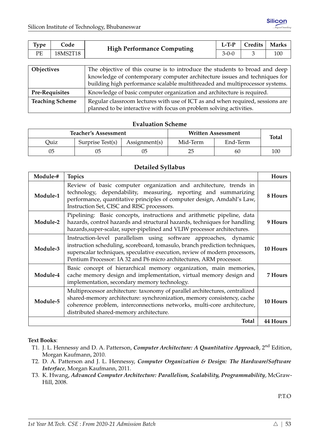| <b>Type</b> | Code     | <b>High Performance Computing</b> | $L-TP$  | Credits | <b>Marks</b> |
|-------------|----------|-----------------------------------|---------|---------|--------------|
| PE          | 18MS2T18 |                                   | $3-0-0$ |         | 100          |
|             |          |                                   |         |         |              |

| <b>Objectives</b>      | The objective of this course is to introduce the students to broad and deep   |
|------------------------|-------------------------------------------------------------------------------|
|                        | knowledge of contemporary computer architecture issues and techniques for     |
|                        | building high performance scalable multithreaded and multiprocessor systems.  |
| <b>Pre-Requisites</b>  | Knowledge of basic computer organization and architecture is required.        |
| <b>Teaching Scheme</b> | Regular classroom lectures with use of ICT as and when required, sessions are |
|                        | planned to be interactive with focus on problem solving activities.           |

|      | <b>Teacher's Assessment</b> |               | <b>Written Assessment</b> | <b>Total</b> |     |
|------|-----------------------------|---------------|---------------------------|--------------|-----|
| Ouiz | Surprise Test(s)            | Assignment(s) | Mid-Term                  | End-Term     |     |
| 05   | 05                          |               | 25                        | 60           | 100 |

#### **Detailed Syllabus**

| Module-# | <b>Topics</b>                                                                                                                                                                                                                                                                                         | Hours    |
|----------|-------------------------------------------------------------------------------------------------------------------------------------------------------------------------------------------------------------------------------------------------------------------------------------------------------|----------|
| Module-1 | Review of basic computer organization and architecture, trends in<br>technology, dependability, measuring, reporting and summarizing<br>performance, quantitative principles of computer design, Amdahl's Law,<br>Instruction Set, CISC and RISC processors.                                          | 8 Hours  |
| Module-2 | Pipelining: Basic concepts, instructions and arithmetic pipeline, data<br>hazards, control hazards and structural hazards, techniques for handling<br>hazards, super-scalar, super-pipelined and VLIW processor architectures.                                                                        | 9 Hours  |
| Module-3 | Instruction-level parallelism using software approaches, dynamic<br>instruction scheduling, scoreboard, tomasulo, branch prediction techniques,<br>superscalar techniques, speculative execution, review of modern processors,<br>Pentium Processor: IA 32 and P6 micro architectures, ARM processor. | 10 Hours |
| Module-4 | Basic concept of hierarchical memory organization, main memories,<br>cache memory design and implementation, virtual memory design and<br>implementation, secondary memory technology.                                                                                                                | 7 Hours  |
| Module-5 | Multiprocessor architecture: taxonomy of parallel architectures, centralized<br>shared-memory architecture: synchronization, memory consistency, cache<br>coherence problem, interconnections networks, multi-core architecture,<br>distributed shared-memory architecture.                           | 10 Hours |
|          | <b>Total</b>                                                                                                                                                                                                                                                                                          | 44 Hours |

#### **Text Books**:

- T1. J. L. Hennessy and D. A. Patterson, *Computer Architecture: A Quantitative Approach*, 2nd Edition, Morgan Kaufmann, 2010.
- T2. D. A. Patterson and J. L. Hennessy, *Computer Organization & Design: The Hardware/Software Interface*, Morgan Kaufmann, 2011.
- T3. K. Hwang, *Advanced Computer Architecture: Parallelism, Scalability, Programmability*, McGraw-Hill, 2008.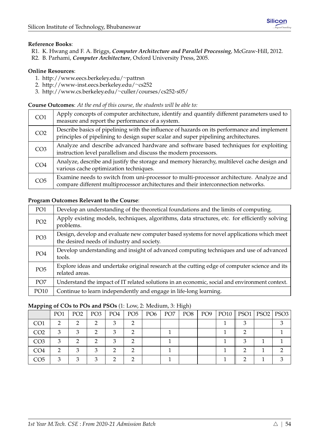## **Reference Books**:

- R1. K. Hwang and F. A. Briggs, *Computer Architecture and Parallel Processing*, McGraw-Hill, 2012.
- R2. B. Parhami, *Computer Architecture*, Oxford University Press, 2005.

#### **Online Resources**:

- 1. [http://www.eecs.berkeley.edu/](http://www.eecs.berkeley.edu/~pattrsn)∼pattrsn
- 2. [http://www-inst.eecs.berkeley.edu/](http://www-inst.eecs.berkeley.edu/~cs252)∼cs252
- 3. [http://www.cs.berkeley.edu/](http://www.cs.berkeley.edu/~culler/courses/cs252-s05/)∼culler/courses/cs252-s05/

#### **Course Outcomes**: *At the end of this course, the students will be able to:*

| CO <sub>1</sub> | Apply concepts of computer architecture, identify and quantify different parameters used to<br>measure and report the performance of a system.                                      |
|-----------------|-------------------------------------------------------------------------------------------------------------------------------------------------------------------------------------|
| CO <sub>2</sub> | Describe basics of pipelining with the influence of hazards on its performance and implement<br>principles of pipelining to design super scalar and super pipelining architectures. |
| CO <sub>3</sub> | Analyze and describe advanced hardware and software based techniques for exploiting<br>instruction level parallelism and discuss the modern processors.                             |
| CO <sub>4</sub> | Analyze, describe and justify the storage and memory hierarchy, multilevel cache design and<br>various cache optimization techniques.                                               |
| CO <sub>5</sub> | Examine needs to switch from uni-processor to multi-processor architecture. Analyze and<br>compare different multiprocessor architectures and their interconnection networks.       |

## **Program Outcomes Relevant to the Course**:

| PO1             | Develop an understanding of the theoretical foundations and the limits of computing.                                                    |
|-----------------|-----------------------------------------------------------------------------------------------------------------------------------------|
| PO <sub>2</sub> | Apply existing models, techniques, algorithms, data structures, etc. for efficiently solving<br>problems.                               |
| PO <sub>3</sub> | Design, develop and evaluate new computer based systems for novel applications which meet<br>the desired needs of industry and society. |
| PO4             | Develop understanding and insight of advanced computing techniques and use of advanced<br>tools.                                        |
| PO <sub>5</sub> | Explore ideas and undertake original research at the cutting edge of computer science and its<br>related areas.                         |
| PO <sub>7</sub> | Understand the impact of IT related solutions in an economic, social and environment context.                                           |
| PO10            | Continue to learn independently and engage in life-long learning.                                                                       |

| .               |     |                 |                 |     |                 |                 |                 | $\cup$ $\cdot$  |                 |                            |  |
|-----------------|-----|-----------------|-----------------|-----|-----------------|-----------------|-----------------|-----------------|-----------------|----------------------------|--|
|                 | PO1 | PO <sub>2</sub> | PO <sub>3</sub> | PO4 | PO <sub>5</sub> | PO <sub>6</sub> | PO <sub>7</sub> | PO <sub>8</sub> | PO <sub>9</sub> | PO10    PSO1   PSO2   PSO3 |  |
| CO <sub>1</sub> |     |                 |                 |     |                 |                 |                 |                 |                 |                            |  |
| CO <sub>2</sub> | 3   | ◠               |                 | ⌒   |                 |                 |                 |                 |                 |                            |  |
| CO <sub>3</sub> |     |                 |                 | ⌒   |                 |                 |                 |                 |                 |                            |  |
| CO <sub>4</sub> |     |                 |                 |     |                 |                 |                 |                 |                 |                            |  |
| CO5             |     |                 |                 |     |                 |                 |                 |                 |                 |                            |  |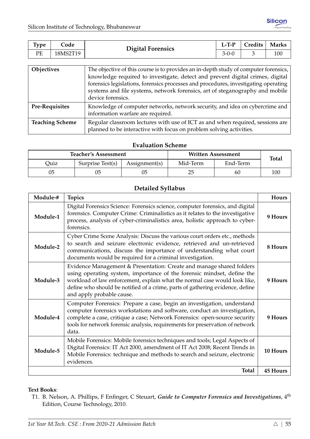| $\tau_{\rm vpe}$ | ode      | <b>Digital Forensics</b> | $L-TP$      | Credits | <b>Marks</b> |
|------------------|----------|--------------------------|-------------|---------|--------------|
| PE               | 18MS2T19 |                          | $3 - 0 - 0$ |         | 100          |

| <b>Objectives</b>      | The objective of this course is to provides an in-depth study of computer forensics,<br>knowledge required to investigate, detect and prevent digital crimes, digital<br>forensics legislations, forensics processes and procedures, investigating operating<br>systems and file systems, network forensics, art of steganography and mobile<br>device forensics. |
|------------------------|-------------------------------------------------------------------------------------------------------------------------------------------------------------------------------------------------------------------------------------------------------------------------------------------------------------------------------------------------------------------|
| <b>Pre-Requisites</b>  | Knowledge of computer networks, network security, and idea on cybercrime and<br>information warfare are required.                                                                                                                                                                                                                                                 |
| <b>Teaching Scheme</b> | Regular classroom lectures with use of ICT as and when required, sessions are<br>planned to be interactive with focus on problem solving activities.                                                                                                                                                                                                              |

|      | <b>Teacher's Assessment</b> |               | <b>Written Assessment</b> | <b>Total</b> |     |
|------|-----------------------------|---------------|---------------------------|--------------|-----|
| Duiz | Surprise Test(s)            | Assignment(s) | Mid-Term                  | End-Term     |     |
| 05   | 05                          |               | 25                        | 60           | 100 |

# **Detailed Syllabus**

| Module-# | <b>Topics</b>                                                                                                                                                                                                                                                                                                                              | <b>Hours</b>    |
|----------|--------------------------------------------------------------------------------------------------------------------------------------------------------------------------------------------------------------------------------------------------------------------------------------------------------------------------------------------|-----------------|
| Module-1 | Digital Forensics Science: Forensics science, computer forensics, and digital<br>forensics. Computer Crime: Criminalistics as it relates to the investigative<br>process, analysis of cyber-criminalistics area, holistic approach to cyber-<br>forensics.                                                                                 | 9 Hours         |
| Module-2 | Cyber Crime Scene Analysis: Discuss the various court orders etc., methods<br>to search and seizure electronic evidence, retrieved and un-retrieved<br>communications, discuss the importance of understanding what court<br>documents would be required for a criminal investigation.                                                     | 8 Hours         |
| Module-3 | Evidence Management & Presentation: Create and manage shared folders<br>using operating system, importance of the forensic mindset, define the<br>workload of law enforcement, explain what the normal case would look like,<br>define who should be notified of a crime, parts of gathering evidence, define<br>and apply probable cause. | 9 Hours         |
| Module-4 | Computer Forensics: Prepare a case, begin an investigation, understand<br>computer forensics workstations and software, conduct an investigation,<br>complete a case, critique a case; Network Forensics: open-source security<br>tools for network forensic analysis, requirements for preservation of network<br>data.                   | 9 Hours         |
| Module-5 | Mobile Forensics: Mobile forensics techniques and tools; Legal Aspects of<br>Digital Forensics: IT Act 2000, amendment of IT Act 2008; Recent Trends in<br>Mobile Forensics: technique and methods to search and seizure, electronic<br>evidences.                                                                                         | 10 Hours        |
|          | <b>Total</b>                                                                                                                                                                                                                                                                                                                               | <b>45 Hours</b> |

#### **Text Books**:

T1. B. Nelson, A. Phillips, F Enfinger, C Steuart, *Guide to Computer Forensics and Investigations*, 4th Edition, Course Technology, 2010.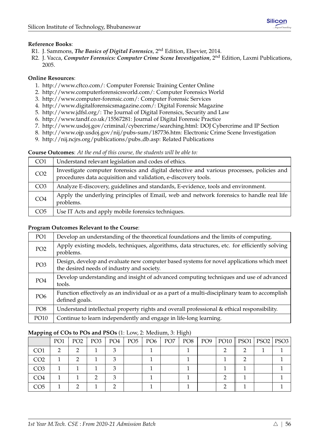## **Reference Books**:

- R1. J. Sammons, *The Basics of Digital Forensics*, 2nd Edition, Elsevier, 2014.
- R2. J. Vacca, *Computer Forensics: Computer Crime Scene Investigation*, 2nd Edition, Laxmi Publications, 2005.

## **Online Resources**:

- 1. [http://www.cftco.com/:](http://www.cftco.com/) Computer Forensic Training Center Online
- 2. [http://www.computerforensicsworld.com/:](http://www.computerforensicsworld.com/) Computer Forensics World
- 3. [http://www.computer-forensic.com/:](http://www.computer-forensic.com/) Computer Forensic Services
- 4. [http://www.digitalforensicsmagazine.com/:](http://www.digitalforensicsmagazine.com/) Digital Forensic Magazine
- 5. [http://www.jdfsl.org/:](http://www.jdfsl.org/) The Journal of Digital Forensics, Security and Law
- 6. [http://www.tandf.co.uk/15567281:](http://www.tandf.co.uk/15567281) Journal of Digital Forensic Practice
- 7. [http://www.usdoj.gov/criminal/cybercrime/searching.html:](http://www.usdoj.gov/criminal/cybercrime/searching.html) DOJ Cybercrime and IP Section
- 8. [http://www.ojp.usdoj.gov/nij/pubs-sum/187736.htm:](http://www.ojp.usdoj.gov/nij/pubs-sum/187736.htm) Electronic Crime Scene Investigation
- 9. [http://nij.ncjrs.org/publications/pubs](http://nij.ncjrs.org/publications/pubs_db.asp) db.asp: Related Publications

#### **Course Outcomes**: *At the end of this course, the students will be able to:*

| CO <sub>1</sub> | Understand relevant legislation and codes of ethics.                                                                                                       |
|-----------------|------------------------------------------------------------------------------------------------------------------------------------------------------------|
| CO <sub>2</sub> | Investigate computer forensics and digital detective and various processes, policies and<br>procedures data acquisition and validation, e-discovery tools. |
| CO <sub>3</sub> | Analyze E-discovery, guidelines and standards, E-evidence, tools and environment.                                                                          |
| CO <sub>4</sub> | Apply the underlying principles of Email, web and network forensics to handle real life<br>problems.                                                       |
| CO <sub>5</sub> | Use IT Acts and apply mobile forensics techniques.                                                                                                         |

## **Program Outcomes Relevant to the Course**:

| PO <sub>1</sub> | Develop an understanding of the theoretical foundations and the limits of computing.                                                    |
|-----------------|-----------------------------------------------------------------------------------------------------------------------------------------|
| PO <sub>2</sub> | Apply existing models, techniques, algorithms, data structures, etc. for efficiently solving<br>problems.                               |
| PO <sub>3</sub> | Design, develop and evaluate new computer based systems for novel applications which meet<br>the desired needs of industry and society. |
| PO <sub>4</sub> | Develop understanding and insight of advanced computing techniques and use of advanced<br>tools.                                        |
| PO <sub>6</sub> | Function effectively as an individual or as a part of a multi-disciplinary team to accomplish<br>defined goals.                         |
| PO <sub>8</sub> | Understand intellectual property rights and overall professional & ethical responsibility.                                              |
| PO10            | Continue to learn independently and engage in life-long learning.                                                                       |

| .               |                 |                 |     |     |           |                 | $\sim$ $\sim$ |     |                            |  |
|-----------------|-----------------|-----------------|-----|-----|-----------|-----------------|---------------|-----|----------------------------|--|
|                 | PO <sub>1</sub> | PO <sub>2</sub> | PO3 | PO4 | PO5   PO6 | PO <sub>7</sub> | PO8           | PO9 | PO10    PSO1   PSO2   PSO3 |  |
| CO1             |                 |                 |     |     |           |                 |               |     |                            |  |
| CO <sub>2</sub> |                 |                 |     |     |           |                 |               |     |                            |  |
| CO <sub>3</sub> |                 |                 |     |     |           |                 |               |     |                            |  |
| CO4             |                 |                 |     |     |           |                 |               |     |                            |  |
| CO5             |                 |                 |     |     |           |                 |               |     |                            |  |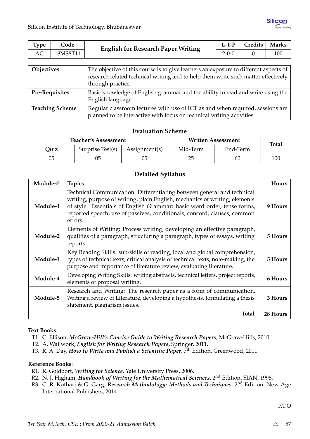| <b>Type</b>          | Code     | <b>English for Research Paper Writing</b>  | $L-T-P$     | Credits | <b>Marks</b> |
|----------------------|----------|--------------------------------------------|-------------|---------|--------------|
| АC                   | 18MS8T11 |                                            | $2 - 0 - 0$ |         | 100          |
|                      |          |                                            |             |         |              |
| $\sim$ $\sim$ $\sim$ |          | <b>COMP</b><br>$\sim$ $\sim$ $\sim$ $\sim$ |             |         |              |

| <b>Objectives</b>      | The objective of this course is to give learners an exposure to different aspects of<br>research related technical writing and to help them write such matter effectively  <br>through practice. |
|------------------------|--------------------------------------------------------------------------------------------------------------------------------------------------------------------------------------------------|
| <b>Pre-Requisites</b>  | Basic knowledge of English grammar and the ability to read and write using the<br>English language.                                                                                              |
| <b>Teaching Scheme</b> | Regular classroom lectures with use of ICT as and when required, sessions are<br>planned to be interactive with focus on technical writing activities.                                           |

|      | <b>Teacher's Assessment</b> |               | Written Assessment | <b>Total</b> |     |
|------|-----------------------------|---------------|--------------------|--------------|-----|
| Quiz | Surprise Test(s)            | Assignment(s) | Mid-Term           | End-Term     |     |
| 05   | 05                          | 05            | 25                 | 60           | 100 |

## **Detailed Syllabus**

| Module-# | <b>Topics</b>                                                                                                                                                                                                                                                                                                          | <b>Hours</b> |
|----------|------------------------------------------------------------------------------------------------------------------------------------------------------------------------------------------------------------------------------------------------------------------------------------------------------------------------|--------------|
| Module-1 | Technical Communication: Differentiating between general and technical<br>writing, purpose of writing, plain English, mechanics of writing, elements<br>of style. Essentials of English Grammar: basic word order, tense forms,<br>reported speech, use of passives, conditionals, concord, clauses, common<br>errors. | 9 Hours      |
| Module-2 | Elements of Writing: Process writing, developing an effective paragraph,<br>qualities of a paragraph, structuring a paragraph, types of essays, writing<br>reports.                                                                                                                                                    | 5 Hours      |
| Module-3 | Key Reading Skills: sub-skills of reading, local and global comprehension,<br>types of technical texts, critical analysis of technical texts, note-making, the<br>purpose and importance of literature review, evaluating literature.                                                                                  | 5 Hours      |
| Module-4 | Developing Writing Skills: writing abstracts, technical letters, project reports,<br>elements of proposal writing.                                                                                                                                                                                                     | 6 Hours      |
| Module-5 | Research and Writing: The research paper as a form of communication,<br>Writing a review of Literature, developing a hypothesis, formulating a thesis<br>statement, plagiarism issues.                                                                                                                                 | 3 Hours      |
|          | Total                                                                                                                                                                                                                                                                                                                  | 28 Hours     |

#### **Text Books**:

T1. C. Ellison, *McGraw-Hill's Concise Guide to Writing Research Papers*, McGraw-Hills, 2010.

- T2. A. Wallwork, *English for Writing Research Papers*, Springer, 2011.
- T3. R. A. Day, *How to Write and Publish a Scientific Paper*, 7th Edition, Greenwood, 2011.

#### **Reference Books**:

- R1. R. Goldbort, *Writing for Science*, Yale University Press, 2006.
- R2. N. J. Higham, *Handbook of Writing for the Mathematical Sciences*, 2nd Edition, SIAN, 1998.
- R3. C. R. Kothari & G. Garg, *Research Methodology: Methods and Techniques*, 2<sup>nd</sup> Edition, New Age International Publishers, 2014.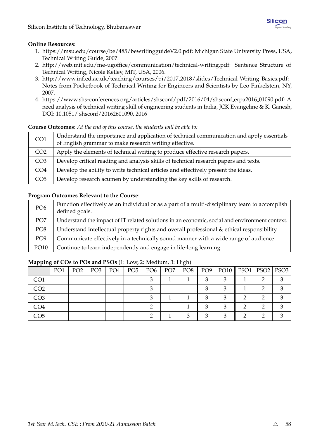## **Online Resources**:

- 1. [https://msu.edu/course/be/485/bewritingguideV2.0.pdf:](https://msu.edu/course/be/485/bewritingguideV2.0.pdf) Michigan State University Press, USA, Technical Writing Guide, 2007.
- 2. [http://web.mit.edu/me-ugoffice/communication/technical-writing.pdf:](http://web.mit.edu/me-ugoffice/communication/technical-writing.pdf) Sentence Structure of Technical Writing, Nicole Kelley, MIT, USA, 2006.
- 3. [http://www.inf.ed.ac.uk/teaching/courses/pi/2017](http://www.inf.ed.ac.uk/teaching/courses/pi/2017_2018/slides/Technical-Writing-Basics.pdf) 2018/slides/Technical-Writing-Basics.pdf: Notes from Pocketbook of Technical Writing for Engineers and Scientists by Leo Finkelstein, NY, 2007.
- 4. [https://www.shs-conferences.org/articles/shsconf/pdf/2016/04/shsconf](https://www.shs-conferences.org/articles/shsconf/pdf/2016/04/shsconf_erpa2016_01090.pdf) erpa2016 01090.pdf: A need analysis of technical writing skill of engineering students in India, JCK Evangeline & K. Ganesh, DOI: 10.1051/ shsconf/20162601090, 2016

## **Course Outcomes**: *At the end of this course, the students will be able to:*

| CO <sub>1</sub> | Understand the importance and application of technical communication and apply essentials<br>of English grammar to make research writing effective. |
|-----------------|-----------------------------------------------------------------------------------------------------------------------------------------------------|
| CO <sub>2</sub> | Apply the elements of technical writing to produce effective research papers.                                                                       |
| CO <sub>3</sub> | Develop critical reading and analysis skills of technical research papers and texts.                                                                |
| CO <sub>4</sub> | Develop the ability to write technical articles and effectively present the ideas.                                                                  |
| CO <sub>5</sub> | Develop research acumen by understanding the key skills of research.                                                                                |

## **Program Outcomes Relevant to the Course**:

| PO <sub>6</sub> | Function effectively as an individual or as a part of a multi-disciplinary team to accomplish<br>defined goals. |
|-----------------|-----------------------------------------------------------------------------------------------------------------|
| PO <sub>7</sub> | Understand the impact of IT related solutions in an economic, social and environment context.                   |
| PO <sub>8</sub> | Understand intellectual property rights and overall professional & ethical responsibility.                      |
| PO <sub>9</sub> | Communicate effectively in a technically sound manner with a wide range of audience.                            |
| PO10            | Continue to learn independently and engage in life-long learning.                                               |

|                 | PO <sub>1</sub> | PO <sub>2</sub> | PO <sub>3</sub> | PO <sub>4</sub> | PO <sub>5</sub> | PO <sub>6</sub> | PO <sub>7</sub> | PO8 | PO <sub>9</sub> |   | PO10    PSO1   PSO2   PSO3 |   |
|-----------------|-----------------|-----------------|-----------------|-----------------|-----------------|-----------------|-----------------|-----|-----------------|---|----------------------------|---|
| CO <sub>1</sub> |                 |                 |                 |                 |                 |                 |                 |     |                 |   |                            | ◠ |
| CO <sub>2</sub> |                 |                 |                 |                 |                 |                 |                 |     |                 |   |                            |   |
| CO <sub>3</sub> |                 |                 |                 |                 |                 |                 |                 |     |                 |   |                            |   |
| CO <sub>4</sub> |                 |                 |                 |                 |                 |                 |                 |     | ◠               | ◠ |                            |   |
| CO <sub>5</sub> |                 |                 |                 |                 |                 |                 |                 | ◠   | ◠               |   |                            |   |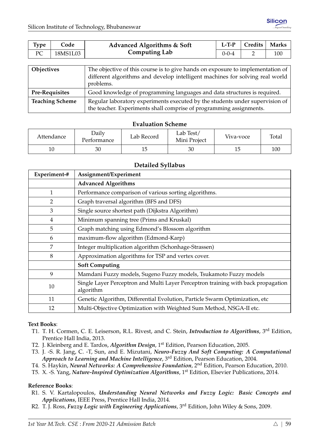| <b>Type</b>         | Code     | Advanced Algorithms & Soft                                                             | $L-T-P$     | Credits | <b>Marks</b> |
|---------------------|----------|----------------------------------------------------------------------------------------|-------------|---------|--------------|
| PC                  | 18MS1L03 | <b>Computing Lab</b>                                                                   | $0 - 0 - 4$ |         | 100          |
|                     |          |                                                                                        |             |         |              |
| $\bigcap$ Objective |          | The objective of this course is to give hands on expesure to implementation of $\vert$ |             |         |              |

| Objectives             | The objective of this course is to give hands on exposure to implementation of |
|------------------------|--------------------------------------------------------------------------------|
|                        | different algorithms and develop intelligent machines for solving real world   |
|                        | problems.                                                                      |
| <b>Pre-Requisites</b>  | Good knowledge of programming languages and data structures is required.       |
| <b>Teaching Scheme</b> | Regular laboratory experiments executed by the students under supervision of   |
|                        | the teacher. Experiments shall comprise of programming assignments.            |

| Attendance | Daily<br>Performance | Lab Record | Lab Test/<br>Mini Project | Viva-voce | Total |
|------------|----------------------|------------|---------------------------|-----------|-------|
| 10         | 30                   | ⊥◡         | 30                        | 15        | 100   |

## **Detailed Syllabus**

| Experiment-#   | Assignment/Experiment                                                                          |
|----------------|------------------------------------------------------------------------------------------------|
|                | <b>Advanced Algorithms</b>                                                                     |
| $\mathbf{1}$   | Performance comparison of various sorting algorithms.                                          |
| $\overline{2}$ | Graph traversal algorithm (BFS and DFS)                                                        |
| 3              | Single source shortest path (Dijkstra Algorithm)                                               |
| 4              | Minimum spanning tree (Prims and Kruskal)                                                      |
| 5              | Graph matching using Edmond's Blossom algorithm                                                |
| 6              | maximum-flow algorithm (Edmond-Karp)                                                           |
| 7              | Integer multiplication algorithm (Schonhage-Strassen)                                          |
| 8              | Approximation algorithms for TSP and vertex cover.                                             |
|                | <b>Soft Computing</b>                                                                          |
| 9              | Mamdani Fuzzy models, Sugeno Fuzzy models, Tsukamoto Fuzzy models                              |
| 10             | Single Layer Perceptron and Multi Layer Perceptron training with back propagation<br>algorithm |
| 11             | Genetic Algorithm, Differential Evolution, Particle Swarm Optimization, etc                    |
| 12             | Multi-Objective Optimization with Weighted Sum Method, NSGA-II etc.                            |

#### **Text Books**:

- T1. T. H. Cormen, C. E. Leiserson, R.L. Rivest, and C. Stein, *Introduction to Algorithms*, 3rd Edition, Prentice Hall India, 2013.
- T2. J. Kleinberg and E. Tardos, *Algorithm Design*, 1st Edition, Pearson Education, 2005.
- T3. J. -S. R. Jang, C. -T, Sun, and E. Mizutani, *Neuro-Fuzzy And Soft Computing: A Computational Approach to Learning and Machine Intelligence*, 3rd Edition, Pearson Education, 2004.
- T4. S. Haykin, *Neural Networks: A Comprehensive Foundation*, 2nd Edition, Pearson Education, 2010.
- T5. X. -S. Yang, *Nature-Inspired Optimization Algorithms*, 1st Edition, Elsevier Publications, 2014.

## **Reference Books**:

- R1. S. V. Kartalopoulos, *Understanding Neural Networks and Fuzzy Logic: Basic Concepts and Applications*, IEEE Press, Prentice Hall India, 2014.
- R2. T. J. Ross, *Fuzzy Logic with Engineering Applications*, 3rd Edition, John Wiley & Sons, 2009.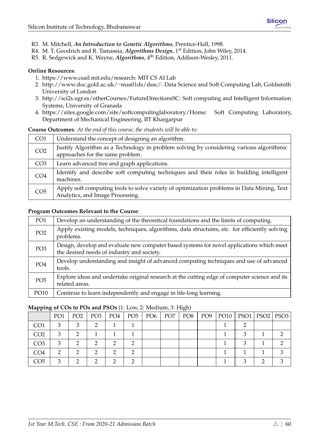- R3. M. Mitchell, *An Introduction to Genetic Algorithms*, Prentice-Hall, 1998.
- R4. M. T. Goodrich and R. Tamassia, *Algorithms Design*, 1st Edition, John Wiley, 2014.
- R5. R. Sedgewick and K. Wayne, *Algorithms*, 4th Edition, Addison-Wesley, 2011.

#### **Online Resources**:

- 1. [https://www.csail.mit.edu/research:](https://www.csail.mit.edu/research) MIT CS AI Lab
- 2. [http://www.doc.gold.ac.uk/](http://www.doc.gold.ac.uk/~mas01ds/dssc/)∼mas01ds/dssc/: Data Science and Soft Computing Lab, Goldsmith University of London
- 3. [http://sci2s.ugr.es/otherCourses/FutureDirectionsSC:](http://sci2s.ugr.es/otherCourses/FutureDirectionsSC) Soft computing and Intelligent Information Systems, University of Granada
- 4. [https://sites.google.com/site/softcomputinglaboratory/Home:](https://sites.google.com/site/softcomputinglaboratory/Home) Soft Computing Laboratory, Department of Mechanical Engineering, IIT Khargarpur

#### **Course Outcomes**: *At the end of this course, the students will be able to:*

| CO <sub>1</sub> | Understand the concept of designing an algorithm.                                                                             |
|-----------------|-------------------------------------------------------------------------------------------------------------------------------|
| CO <sub>2</sub> | Justify Algorithm as a Technology in problem solving by considering various algorithmic<br>approaches for the same problem.   |
| CO <sub>3</sub> | Learn advanced tree and graph applications.                                                                                   |
| CO <sub>4</sub> | Identify and describe soft computing techniques and their roles in building intelligent<br>machines.                          |
| CO <sub>5</sub> | Apply soft computing tools to solve variety of optimization problems in Data Mining, Text<br>Analytics, and Image Processing. |

## **Program Outcomes Relevant to the Course**:

| PO1             | Develop an understanding of the theoretical foundations and the limits of computing.                                                    |
|-----------------|-----------------------------------------------------------------------------------------------------------------------------------------|
| PO <sub>2</sub> | Apply existing models, techniques, algorithms, data structures, etc. for efficiently solving<br>problems.                               |
| PO <sub>3</sub> | Design, develop and evaluate new computer based systems for novel applications which meet<br>the desired needs of industry and society. |
| PO <sub>4</sub> | Develop understanding and insight of advanced computing techniques and use of advanced<br>tools.                                        |
| PO <sub>5</sub> | Explore ideas and undertake original research at the cutting edge of computer science and its<br>related areas.                         |
| PO10            | Continue to learn independently and engage in life-long learning.                                                                       |

| 11 U            |                 |                 |     |     |               |                 | $\cup$ $\rightarrow$ |     |                            |  |  |
|-----------------|-----------------|-----------------|-----|-----|---------------|-----------------|----------------------|-----|----------------------------|--|--|
|                 | PO <sub>1</sub> | PO <sub>2</sub> | PO3 | PO4 | $PO5$   $PO6$ | PO <sub>7</sub> | PO8                  | PO9 | PO10    PSO1   PSO2   PSO3 |  |  |
| CO <sub>1</sub> |                 |                 |     |     |               |                 |                      |     |                            |  |  |
| CO <sub>2</sub> |                 | ⌒               |     |     |               |                 |                      |     |                            |  |  |
| CO <sub>3</sub> | 3               |                 |     | ◠   |               |                 |                      |     |                            |  |  |
| CO <sub>4</sub> |                 |                 |     | ◠   |               |                 |                      |     |                            |  |  |
| CO5             |                 |                 |     |     |               |                 |                      |     |                            |  |  |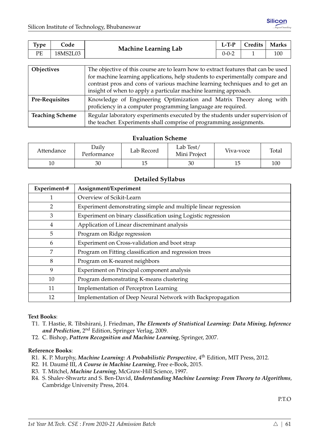|                                                        | <b>Type</b><br>Code | <b>Marks</b><br>Credits |
|--------------------------------------------------------|---------------------|-------------------------|
| <b>Machine Learning Lab</b><br>РE<br>18MS2L03<br>0-0-2 |                     | 100                     |

| <b>Objectives</b>      | The objective of this course are to learn how to extract features that can be used |
|------------------------|------------------------------------------------------------------------------------|
|                        | for machine learning applications, help students to experimentally compare and     |
|                        | contrast pros and cons of various machine learning techniques and to get an        |
|                        | insight of when to apply a particular machine learning approach.                   |
| <b>Pre-Requisites</b>  | Knowledge of Engineering Optimization and Matrix Theory along with                 |
|                        | proficiency in a computer programming language are required.                       |
| <b>Teaching Scheme</b> | Regular laboratory experiments executed by the students under supervision of       |
|                        | the teacher. Experiments shall comprise of programming assignments.                |

| Attendance | Daily<br>Performance | Lab Record | Lab Test/<br>Mini Project | Viva-voce | Total |
|------------|----------------------|------------|---------------------------|-----------|-------|
| 10         | 30                   |            | 30                        | 15        | 100   |

## **Detailed Syllabus**

| Experiment-# | Assignment/Experiment                                          |
|--------------|----------------------------------------------------------------|
|              | Overview of Scikit-Learn                                       |
| 2            | Experiment demonstrating simple and multiple linear regression |
| 3            | Experiment on binary classification using Logistic regression  |
| 4            | Application of Linear discreminant analysis                    |
| 5            | Program on Ridge regression                                    |
| 6            | Experiment on Cross-validation and boot strap                  |
| 7            | Program on Fitting classification and regression trees         |
| 8            | Program on K-nearest neighbors                                 |
| 9            | Experiment on Principal component analysis                     |
| 10           | Program demonstrating K-means clustering                       |
| 11           | Implementation of Perceptron Learning                          |
| 12           | Implementation of Deep Neural Network with Backpropagation     |

#### **Text Books**:

- T1. T. Hastie, R. Tibshirani, J. Friedman, *The Elements of Statistical Learning: Data Mining, Inference and Prediction*, 2nd Edition, Springer Verlag, 2009.
- T2. C. Bishop, *Pattern Recognition and Machine Learning*, Springer, 2007.

#### **Reference Books**:

- R1. K. P. Murphy, *Machine Learning: A Probabilistic Perspective*, 4th Edition, MIT Press, 2012.
- R2. H. Daumé III, *A Course in Machine Learning*, Free e-Book, 2015.
- R3. T. Mitchel, *Machine Learning*, McGraw-Hill Science, 1997.
- R4. S. Shalev-Shwartz and S. Ben-David, *Understanding Machine Learning: From Theory to Algorithms*, Cambridge University Press, 2014.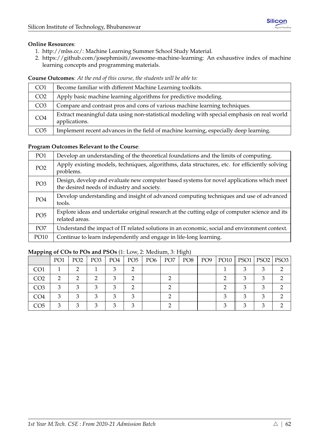## **Online Resources**:

- 1. [http://mlss.cc/:](http://mlss.cc/) Machine Learning Summer School Study Material.
- 2. [https://github.com/josephmisiti/awesome-machine-learning:](https://github.com/josephmisiti/awesome-machine-learning) An exhaustive index of machine learning concepts and programming materials.

**Course Outcomes**: *At the end of this course, the students will be able to:*

| CO <sub>1</sub> | Become familiar with different Machine Learning toolkits.                                                   |
|-----------------|-------------------------------------------------------------------------------------------------------------|
| CO <sub>2</sub> | Apply basic machine learning algorithms for predictive modeling.                                            |
| CO <sub>3</sub> | Compare and contrast pros and cons of various machine learning techniques.                                  |
| CO <sub>4</sub> | Extract meaningful data using non-statistical modeling with special emphasis on real world<br>applications. |
| CO <sub>5</sub> | Implement recent advances in the field of machine learning, especially deep learning.                       |

## **Program Outcomes Relevant to the Course**:

| PO <sub>1</sub> | Develop an understanding of the theoretical foundations and the limits of computing.                                                    |
|-----------------|-----------------------------------------------------------------------------------------------------------------------------------------|
| PO <sub>2</sub> | Apply existing models, techniques, algorithms, data structures, etc. for efficiently solving<br>problems.                               |
| PO <sub>3</sub> | Design, develop and evaluate new computer based systems for novel applications which meet<br>the desired needs of industry and society. |
| PO <sub>4</sub> | Develop understanding and insight of advanced computing techniques and use of advanced<br>tools.                                        |
| PO <sub>5</sub> | Explore ideas and undertake original research at the cutting edge of computer science and its<br>related areas.                         |
| PO <sub>7</sub> | Understand the impact of IT related solutions in an economic, social and environment context.                                           |
| PO10            | Continue to learn independently and engage in life-long learning.                                                                       |

|                 | PO1 | PO <sub>2</sub> | PO <sub>3</sub> | PO4 | PO5 | $\vert$ PO <sub>6</sub> | PO <sub>7</sub> | PO8 | PO9 | PO10    PSO1   PSO2   PSO3 |  |
|-----------------|-----|-----------------|-----------------|-----|-----|-------------------------|-----------------|-----|-----|----------------------------|--|
| CO <sub>1</sub> |     |                 |                 |     |     |                         |                 |     |     |                            |  |
| CO <sub>2</sub> |     |                 |                 |     |     |                         |                 |     |     |                            |  |
| CO <sub>3</sub> | З   | 2               |                 | ◠   |     |                         |                 |     |     |                            |  |
| CO <sub>4</sub> | ⌒   | ⌒               |                 | ◠   |     |                         |                 |     |     |                            |  |
| CO <sub>5</sub> |     |                 |                 |     |     |                         |                 |     |     |                            |  |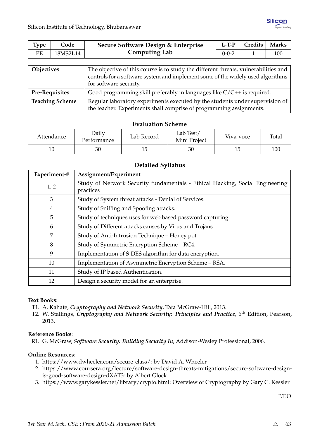| <b>Type</b>       | Code     | Secure Software Design & Enterprise                                                 | $L-T-P$     | Credits | <b>Marks</b> |  |  |
|-------------------|----------|-------------------------------------------------------------------------------------|-------------|---------|--------------|--|--|
| PE                | 18MS2L14 | <b>Computing Lab</b>                                                                | $0 - 0 - 2$ |         | 100          |  |  |
|                   |          |                                                                                     |             |         |              |  |  |
| <b>Objectives</b> |          | The objective of this course is to study the different threats, vulnerabilities and |             |         |              |  |  |
|                   |          | controls for a software system and implement some of the widely used algorithms     |             |         |              |  |  |

|                        | for software security.                                                       |
|------------------------|------------------------------------------------------------------------------|
| <b>Pre-Requisites</b>  | Good programming skill preferably in languages like $C/C++$ is required.     |
| <b>Teaching Scheme</b> | Regular laboratory experiments executed by the students under supervision of |
|                        | the teacher. Experiments shall comprise of programming assignments.          |

| Attendance | Daily<br>Performance | Lab Record | Lab Test/<br>Mini Project | Viva-voce | Total |
|------------|----------------------|------------|---------------------------|-----------|-------|
| 10         | 30                   |            | 30                        |           | 100   |

## **Detailed Syllabus**

| Experiment-# | Assignment/Experiment                                                                     |
|--------------|-------------------------------------------------------------------------------------------|
| 1, 2         | Study of Network Security fundamentals - Ethical Hacking, Social Engineering<br>practices |
| 3            | Study of System threat attacks - Denial of Services.                                      |
| 4            | Study of Sniffing and Spoofing attacks.                                                   |
| 5            | Study of techniques uses for web based password capturing.                                |
| 6            | Study of Different attacks causes by Virus and Trojans.                                   |
| 7            | Study of Anti-Intrusion Technique - Honey pot.                                            |
| 8            | Study of Symmetric Encryption Scheme – RC4.                                               |
| 9            | Implementation of S-DES algorithm for data encryption.                                    |
| 10           | Implementation of Asymmetric Encryption Scheme - RSA.                                     |
| 11           | Study of IP based Authentication.                                                         |
| 12           | Design a security model for an enterprise.                                                |

#### **Text Books**:

- T1. A. Kahate, *Cryptography and Network Security*, Tata McGraw-Hill, 2013.
- T2. W. Stallings, *Cryptography and Network Security: Principles and Practice*, 6<sup>th</sup> Edition, Pearson, 2013.

## **Reference Books**:

R1. G. McGraw, *Software Security: Building Security In*, Addison-Wesley Professional, 2006.

## **Online Resources**:

- 1. [https://www.dwheeler.com/secure-class/:](https://www.dwheeler.com/secure-class/) by David A. Wheeler
- 2. [https://www.coursera.org/lecture/software-design-threats-mitigations/secure-software-design](https://www.coursera.org/lecture/software-design-threats-mitigations/secure-software-design-is-good-software-design-dXAT3)[is-good-software-design-dXAT3:](https://www.coursera.org/lecture/software-design-threats-mitigations/secure-software-design-is-good-software-design-dXAT3) by Albert Glock
- 3. [https://www.garykessler.net/library/crypto.html:](https://www.garykessler.net/library/crypto.html) Overview of Cryptography by Gary C. Kessler

P.T.O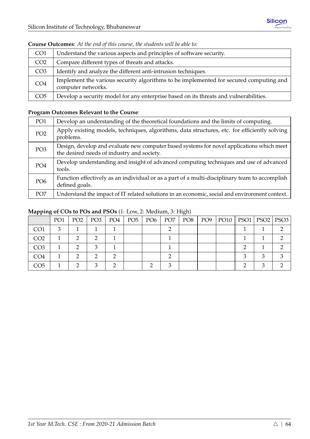| CO <sub>1</sub> | Understand the various aspects and principles of software security.                                         |
|-----------------|-------------------------------------------------------------------------------------------------------------|
|                 |                                                                                                             |
| CO <sub>2</sub> | Compare different types of threats and attacks.                                                             |
| CO <sub>3</sub> | Identify and analyze the different anti-intrusion techniques.                                               |
| CO <sub>4</sub> | Implement the various security algorithms to be implemented for secured computing and<br>computer networks. |
| CO <sub>5</sub> | Develop a security model for any enterprise based on its threats and vulnerabilities.                       |

#### **Course Outcomes**: *At the end of this course, the students will be able to:*

# **Program Outcomes Relevant to the Course**:

| PO <sub>1</sub> | Develop an understanding of the theoretical foundations and the limits of computing.                                                    |
|-----------------|-----------------------------------------------------------------------------------------------------------------------------------------|
| PO <sub>2</sub> | Apply existing models, techniques, algorithms, data structures, etc. for efficiently solving<br>problems.                               |
| PO <sub>3</sub> | Design, develop and evaluate new computer based systems for novel applications which meet<br>the desired needs of industry and society. |
| PO <sub>4</sub> | Develop understanding and insight of advanced computing techniques and use of advanced<br>tools.                                        |
| PO <sub>6</sub> | Function effectively as an individual or as a part of a multi-disciplinary team to accomplish<br>defined goals.                         |
| PO <sub>7</sub> | Understand the impact of IT related solutions in an economic, social and environment context.                                           |

|                 | PO <sub>1</sub> | PO <sub>2</sub> | PO <sub>3</sub> | PO4 | PO5 | PO <sub>6</sub> | PO <sub>7</sub> | PO8 | PO9 | $PO10$   PSO1 | PSO2   PSO3 |  |
|-----------------|-----------------|-----------------|-----------------|-----|-----|-----------------|-----------------|-----|-----|---------------|-------------|--|
| CO <sub>1</sub> |                 |                 |                 |     |     |                 |                 |     |     |               |             |  |
| CO <sub>2</sub> |                 |                 |                 |     |     |                 |                 |     |     |               |             |  |
| CO <sub>3</sub> |                 |                 |                 |     |     |                 |                 |     |     |               |             |  |
| CO <sub>4</sub> |                 |                 |                 | ◠   |     |                 |                 |     |     |               |             |  |
| CO <sub>5</sub> |                 |                 |                 |     |     |                 |                 |     |     |               |             |  |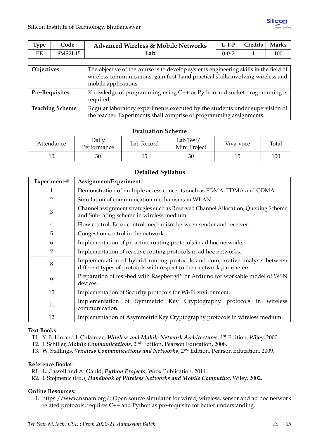| <b>Type</b> | Code     | <b>Advanced Wireless &amp; Mobile Networks</b> | $L-T-P$     | <b>Tredits</b> | <b>Marks</b> |
|-------------|----------|------------------------------------------------|-------------|----------------|--------------|
| PЕ          | 18MS2L15 | ∟ab                                            | $0 - 0 - 2$ |                |              |

| Objectives             | The objective of the course is to develop systems engineering skills in the field of<br>wireless communications, gain first-hand practical skills involving wireless and<br>mobile applications. |
|------------------------|--------------------------------------------------------------------------------------------------------------------------------------------------------------------------------------------------|
| <b>Pre-Requisites</b>  | Knowledge of programming using $C++$ or Python and socket programming is<br>required.                                                                                                            |
| <b>Teaching Scheme</b> | Regular laboratory experiments executed by the students under supervision of<br>the teacher. Experiments shall comprise of programming assignments.                                              |

| Attendance | Daily<br>Performance | Lab Record | Lab Test/<br>Mini Project | Viva-voce | Total |
|------------|----------------------|------------|---------------------------|-----------|-------|
| 10         | 30                   |            | 30                        |           | 100   |

## **Detailed Syllabus**

| Experiment-#   | Assignment/Experiment                                                                                                                                 |  |  |  |  |  |
|----------------|-------------------------------------------------------------------------------------------------------------------------------------------------------|--|--|--|--|--|
| 1              | Demonstration of multiple access concepts such as FDMA, TDMA and CDMA.                                                                                |  |  |  |  |  |
| $\overline{2}$ | Simulation of communication mechanisms in WLAN.                                                                                                       |  |  |  |  |  |
| 3              | Channel assignment strategies such as Reserved Channel Allocation, Queuing Scheme<br>and Sub-rating scheme in wireless medium.                        |  |  |  |  |  |
| 4              | Flow control, Error control mechanism between sender and receiver.                                                                                    |  |  |  |  |  |
| 5              | Congestion control in the network.                                                                                                                    |  |  |  |  |  |
| 6              | Implementation of proactive routing protocols in ad hoc networks.                                                                                     |  |  |  |  |  |
| 7              | Implementation of reactive routing protocols in ad hoc networks.                                                                                      |  |  |  |  |  |
| 8              | Implementation of hybrid routing protocols and comparative analysis between<br>different types of protocols with respect to their network parameters. |  |  |  |  |  |
| 9              | Preparation of test-bed with RaspberryPi or Arduino for workable model of WSN<br>devices.                                                             |  |  |  |  |  |
| 10             | Implementation of Security protocols for Wi-Fi environment.                                                                                           |  |  |  |  |  |
| 11             | Implementation of Symmetric Key Cryptography protocols in wireless<br>communication.                                                                  |  |  |  |  |  |
| 12             | Implementation of Asymmetric Key Cryptography protocols in wireless medium.                                                                           |  |  |  |  |  |

#### **Text Books**:

T1. Y. B. Lin and I. Chlamtac, *Wireless and Mobile Network Architectures*, 1st Edition, Wiley, 2000.

- T2. J. Schiller, *Mobile Communications*, 2nd Edition, Pearson Education, 2008.
- T3. W. Stallings, *Wireless Communications and Networks*, 2nd Edition, Pearson Education, 2009.

#### **Reference Books**:

- R1. L. Cassell and A. Gauld, *Python Projects*, Wrox Publication, 2014.
- R2. I. Stojmenic (Ed.), *Handbook of Wireless Networks and Mobile Computing*, Wiley, 2002.

#### **Online Resources**:

1. [https://www.nsnam.org/:](https://www.nsnam.org/) Open source simulator for wired, wireless, sensor and ad hoc network related protocols; requires C++ and Python as pre-requisite for better understanding.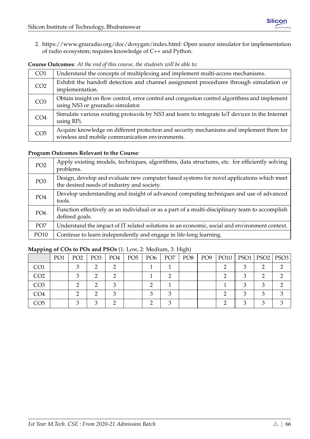2. [https://www.gnuradio.org/doc/doxygen/index.html:](https://www.gnuradio.org/doc/doxygen/index.html) Open source simulator for implementation of radio ecosystem; requires knowledge of C++ and Python.

| CO <sub>1</sub> | Understand the concepts of multiplexing and implement multi-access mechanisms.                                                              |
|-----------------|---------------------------------------------------------------------------------------------------------------------------------------------|
| CO <sub>2</sub> | Exhibit the handoff detection and channel assignment procedures through simulation or<br>implementation.                                    |
| CO <sub>3</sub> | Obtain insight on flow control, error control and congestion control algorithms and implement<br>using NS3 or gnuradio simulator.           |
| CO <sub>4</sub> | Simulate various routing protocols by NS3 and learn to integrate IoT devices in the Internet<br>using RPi.                                  |
| CO <sub>5</sub> | Acquire knowledge on different protection and security mechanisms and implement them for<br>wireless and mobile communication environments. |

**Course Outcomes**: *At the end of this course, the students will be able to:*

## **Program Outcomes Relevant to the Course**:

| PO <sub>2</sub> | Apply existing models, techniques, algorithms, data structures, etc. for efficiently solving<br>problems.                               |
|-----------------|-----------------------------------------------------------------------------------------------------------------------------------------|
| PO <sub>3</sub> | Design, develop and evaluate new computer based systems for novel applications which meet<br>the desired needs of industry and society. |
| PO <sub>4</sub> | Develop understanding and insight of advanced computing techniques and use of advanced<br>tools.                                        |
| PO <sub>6</sub> | Function effectively as an individual or as a part of a multi-disciplinary team to accomplish<br>defined goals.                         |
| PO <sub>7</sub> | Understand the impact of IT related solutions in an economic, social and environment context.                                           |
| PO10            | Continue to learn independently and engage in life-long learning.                                                                       |

|                 | PO <sub>1</sub> | PO <sub>2</sub> | PO <sub>3</sub> | PO4 | PO <sub>5</sub> | PO <sub>6</sub> | PO <sub>7</sub> | PO8 | PO9 | PO10    PSO1   PSO2   PSO3 |   |  |
|-----------------|-----------------|-----------------|-----------------|-----|-----------------|-----------------|-----------------|-----|-----|----------------------------|---|--|
| CO <sub>1</sub> |                 |                 |                 |     |                 |                 |                 |     |     |                            |   |  |
| CO <sub>2</sub> |                 |                 |                 |     |                 |                 |                 |     |     |                            |   |  |
| CO <sub>3</sub> |                 |                 |                 |     |                 |                 |                 |     |     |                            |   |  |
| CO4             |                 |                 |                 |     |                 |                 |                 |     |     |                            | ◠ |  |
| CO5             |                 |                 |                 |     |                 |                 |                 |     |     |                            |   |  |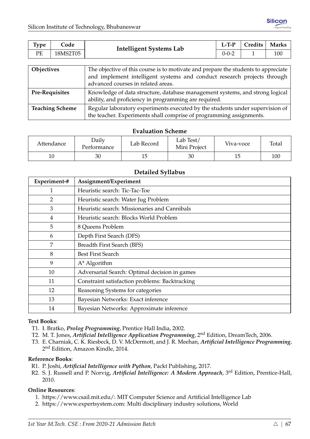| <b>Type</b>       | Code     | <b>Intelligent Systems Lab</b>                                                     | $L-T-P$     | Credits | <b>Marks</b> |
|-------------------|----------|------------------------------------------------------------------------------------|-------------|---------|--------------|
| РE                | 18MS2T05 |                                                                                    | $0 - 0 - 2$ |         | 100          |
|                   |          |                                                                                    |             |         |              |
| <b>Objectives</b> |          | The objective of this course is to motivate and prepare the students to appreciate |             |         |              |

|                        | and implement intelligent systems and conduct research projects through<br>advanced courses in related areas. |
|------------------------|---------------------------------------------------------------------------------------------------------------|
| <b>Pre-Requisites</b>  | Knowledge of data structure, database management systems, and strong logical                                  |
|                        | ability, and proficiency in programming are required.                                                         |
| <b>Teaching Scheme</b> | Regular laboratory experiments executed by the students under supervision of                                  |
|                        | the teacher. Experiments shall comprise of programming assignments.                                           |

| Attendance | Daily<br>Performance | Lab Record | ab Test/<br>Mini Project | Viva-voce | Total |
|------------|----------------------|------------|--------------------------|-----------|-------|
| 10         | 30                   |            | 30                       | 15        | 100   |

#### **Detailed Syllabus**

| Experiment-#   | Assignment/Experiment                          |
|----------------|------------------------------------------------|
| 1              | Heuristic search: Tic-Tac-Toe                  |
| $\overline{2}$ | Heuristic search: Water Jug Problem            |
| 3              | Heuristic search: Missionaries and Cannibals   |
| 4              | Heuristic search: Blocks World Problem         |
| 5              | 8 Queens Problem                               |
| 6              | Depth First Search (DFS)                       |
| 7              | Breadth First Search (BFS)                     |
| 8              | <b>Best First Search</b>                       |
| 9              | A* Algorithm                                   |
| 10             | Adversarial Search: Optimal decision in games  |
| 11             | Constraint satisfaction problems: Backtracking |
| 12             | Reasoning Systems for categories               |
| 13             | Bayesian Networks: Exact inference             |
| 14             | Bayesian Networks: Approximate inference       |

#### **Text Books**:

- T1. I. Bratko, *Prolog Programming*, Prentice Hall India, 2002.
- T2. M. T. Jones, *Artificial Intelligence Application Programming*, 2nd Edition, DreamTech, 2006.
- T3. E. Charniak, C. K. Riesbeck, D. V. McDermott, and J. R. Meehan, *Artificial Intelligence Programming*, 2 nd Edition, Amazon Kindle, 2014.

#### **Reference Books**:

- R1. P. Joshi, *Artificial Intelligence with Python*, Packt Publishing, 2017.
- R2. S. J. Russell and P. Norvig, *Artificial Intelligence: A Modern Approach*, 3rd Edition, Prentice-Hall, 2010.

#### **Online Resources**:

- 1. [https://www.csail.mit.edu/:](https://www.csail.mit.edu/) MIT Computer Science and Artificial Intelligence Lab
- 2. [https://www.expertsystem.com:](https://www.expertsystem.com) Multi disciplinary industry solutions, World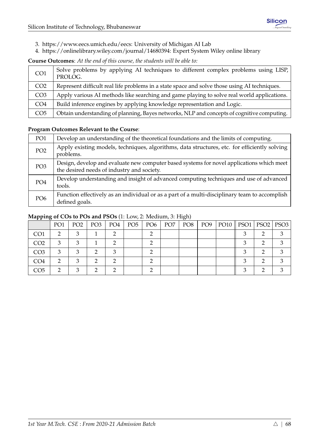- 3. [https://www.eecs.umich.edu/eecs:](https://www.eecs.umich.edu/eecs) University of Michigan AI Lab
- 4. [https://onlinelibrary.wiley.com/journal/14680394:](https://onlinelibrary.wiley.com/journal/14680394) Expert System Wiley online library

## **Course Outcomes**: *At the end of this course, the students will be able to:*

| CO <sub>1</sub> | Solve problems by applying AI techniques to different complex problems using LISP,<br>PROLOG. |
|-----------------|-----------------------------------------------------------------------------------------------|
| CO <sub>2</sub> | Represent difficult real life problems in a state space and solve those using AI techniques.  |
| CO <sub>3</sub> | Apply various AI methods like searching and game playing to solve real world applications.    |
| CO <sub>4</sub> | Build inference engines by applying knowledge representation and Logic.                       |
| CO <sub>5</sub> | Obtain understanding of planning, Bayes networks, NLP and concepts of cognitive computing.    |

## **Program Outcomes Relevant to the Course**:

| PO <sub>1</sub> | Develop an understanding of the theoretical foundations and the limits of computing.                                                    |
|-----------------|-----------------------------------------------------------------------------------------------------------------------------------------|
| PO <sub>2</sub> | Apply existing models, techniques, algorithms, data structures, etc. for efficiently solving<br>problems.                               |
| PO <sub>3</sub> | Design, develop and evaluate new computer based systems for novel applications which meet<br>the desired needs of industry and society. |
| PO <sub>4</sub> | Develop understanding and insight of advanced computing techniques and use of advanced<br>tools.                                        |
| PO <sub>6</sub> | Function effectively as an individual or as a part of a multi-disciplinary team to accomplish<br>defined goals.                         |

|                 | PO <sub>1</sub> | PO <sub>2</sub> | PO <sub>3</sub> | PO4 | PO5 | PO6 | PO <sub>7</sub> | PO8 | PO9 | PO10    PSO1   PSO2   PSO3 |  |
|-----------------|-----------------|-----------------|-----------------|-----|-----|-----|-----------------|-----|-----|----------------------------|--|
| CO <sub>1</sub> |                 |                 |                 |     |     |     |                 |     |     |                            |  |
| CO <sub>2</sub> |                 |                 |                 |     |     |     |                 |     |     |                            |  |
| CO <sub>3</sub> |                 |                 |                 |     |     |     |                 |     |     |                            |  |
| CO4             |                 |                 |                 |     |     |     |                 |     |     |                            |  |
| CO <sub>5</sub> |                 |                 |                 |     |     |     |                 |     |     |                            |  |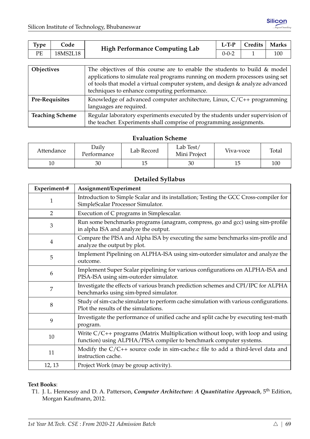| <b>Type</b> | Code     | <b>High Performance Computing Lab</b> | $L-TP$ | Credits | <b>Marks</b> |
|-------------|----------|---------------------------------------|--------|---------|--------------|
| PE          | 18MS2L18 |                                       | 0-0-2  |         | 100          |

| Objectives             | The objectives of this course are to enable the students to build & model     |
|------------------------|-------------------------------------------------------------------------------|
|                        | applications to simulate real programs running on modern processors using set |
|                        | of tools that model a virtual computer system, and design & analyze advanced  |
|                        | techniques to enhance computing performance.                                  |
| <b>Pre-Requisites</b>  | Knowledge of advanced computer architecture, Linux, C/C++ programming         |
|                        | languages are required.                                                       |
| <b>Teaching Scheme</b> | Regular laboratory experiments executed by the students under supervision of  |
|                        | the teacher. Experiments shall comprise of programming assignments.           |

| Attendance | Daily<br>Performance | Lab Test/<br>Lab Record<br>Mini Project |    | Viva-voce | Total |
|------------|----------------------|-----------------------------------------|----|-----------|-------|
| 10         | 30                   |                                         | 30 |           | 100   |

## **Detailed Syllabus**

| Experiment-# | Assignment/Experiment                                                                                                                                 |
|--------------|-------------------------------------------------------------------------------------------------------------------------------------------------------|
| 1            | Introduction to Simple Scalar and its installation; Testing the GCC Cross-compiler for<br>SimpleScalar Processor Simulator.                           |
| 2            | Execution of C programs in Simplescalar.                                                                                                              |
| 3            | Run some benchmarks programs (anagram, compress, go and gcc) using sim-profile<br>in alpha ISA and analyze the output.                                |
| 4            | Compare the PISA and Alpha ISA by executing the same benchmarks sim-profile and<br>analyze the output by plot.                                        |
| 5            | Implement Pipelining on ALPHA-ISA using sim-outorder simulator and analyze the<br>outcome.                                                            |
| 6            | Implement Super Scalar pipelining for various configurations on ALPHA-ISA and<br>PISA-ISA using sim-outorder simulator.                               |
| 7            | Investigate the effects of various branch prediction schemes and CPI/IPC for ALPHA<br>benchmarks using sim-bpred simulator.                           |
| 8            | Study of sim-cache simulator to perform cache simulation with various configurations.<br>Plot the results of the simulations.                         |
| 9            | Investigate the performance of unified cache and split cache by executing test-math<br>program.                                                       |
| 10           | Write $C/C++$ programs (Matrix Multiplication without loop, with loop and using<br>function) using ALPHA/PISA compiler to benchmark computer systems. |
| 11           | Modify the $C/C++$ source code in sim-cache.c file to add a third-level data and<br>instruction cache.                                                |
| 12, 13       | Project Work (may be group activity).                                                                                                                 |

#### **Text Books**:

T1. J. L. Hennessy and D. A. Patterson, *Computer Architecture: A Quantitative Approach*, 5th Edition, Morgan Kaufmann, 2012.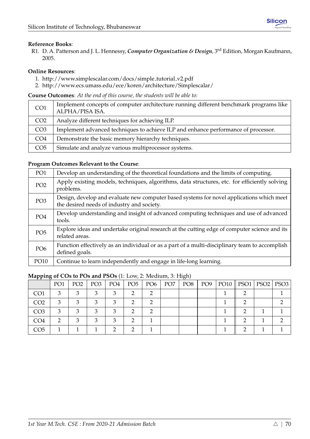R1. D. A. Patterson and J. L. Hennessy, *Computer Organization & Design*, 3rd Edition, Morgan Kaufmann, 2005.

#### **Online Resources**:

- 1. [http://www.simplescalar.com/docs/simple](http://www.simplescalar.com/docs/simple_tutorial_v2.pdf) tutorial v2.pdf
- 2. <http://www.ecs.umass.edu/ece/koren/architecture/Simplescalar/>

**Course Outcomes**: *At the end of this course, the students will be able to:*

| CO <sub>1</sub> | Implement concepts of computer architecture running different benchmark programs like<br>ALPHA/PISA ISA. |
|-----------------|----------------------------------------------------------------------------------------------------------|
| CO <sub>2</sub> | Analyze different techniques for achieving ILP.                                                          |
| CO <sub>3</sub> | Implement advanced techniques to achieve ILP and enhance performance of processor.                       |
| CO <sub>4</sub> | Demonstrate the basic memory hierarchy techniques.                                                       |
| CO <sub>5</sub> | Simulate and analyze various multiprocessor systems.                                                     |

#### **Program Outcomes Relevant to the Course**:

| PO <sub>1</sub> | Develop an understanding of the theoretical foundations and the limits of computing.                                                    |
|-----------------|-----------------------------------------------------------------------------------------------------------------------------------------|
| PO <sub>2</sub> | Apply existing models, techniques, algorithms, data structures, etc. for efficiently solving<br>problems.                               |
| PO <sub>3</sub> | Design, develop and evaluate new computer based systems for novel applications which meet<br>the desired needs of industry and society. |
| PO <sub>4</sub> | Develop understanding and insight of advanced computing techniques and use of advanced<br>tools.                                        |
| PO <sub>5</sub> | Explore ideas and undertake original research at the cutting edge of computer science and its<br>related areas.                         |
| PO <sub>6</sub> | Function effectively as an individual or as a part of a multi-disciplinary team to accomplish<br>defined goals.                         |
| PO10            | Continue to learn independently and engage in life-long learning.                                                                       |

|                 | PO <sub>1</sub> | PO <sub>2</sub> | PO <sub>3</sub> | PO4 | PO <sub>5</sub> | PO <sub>6</sub> | PO <sub>7</sub> | PO <sub>8</sub> | PO <sub>9</sub> | $PO10$   PSO1 | $PSO2$   PSO3 |
|-----------------|-----------------|-----------------|-----------------|-----|-----------------|-----------------|-----------------|-----------------|-----------------|---------------|---------------|
| CO <sub>1</sub> | 3               |                 |                 |     |                 |                 |                 |                 |                 |               |               |
| CO <sub>2</sub> | 3               | З               |                 |     |                 |                 |                 |                 |                 |               |               |
| CO <sub>3</sub> | 3               | ۰Ź,             |                 |     |                 |                 |                 |                 |                 |               |               |
| CO <sub>4</sub> | റ               |                 |                 | З   |                 |                 |                 |                 |                 |               |               |
| CO <sub>5</sub> |                 |                 |                 |     |                 |                 |                 |                 |                 |               |               |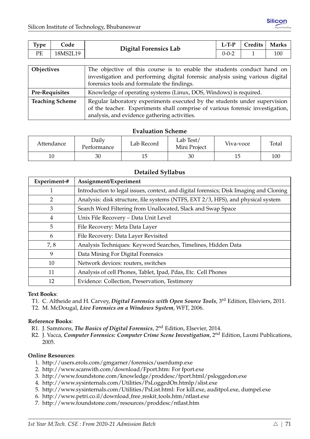| <b>Type</b> | Code     | Digital Forensics Lab                                                  | $L-T-P$     | Credits   Marks |     |
|-------------|----------|------------------------------------------------------------------------|-------------|-----------------|-----|
| РE          | 18MS2L19 |                                                                        | $0 - 0 - 2$ |                 | 100 |
|             |          |                                                                        |             |                 |     |
| Objectives  |          | The objective of this course is to enable the students conduct hand on |             |                 |     |

| ODICCUTES              | THE ODJECTIVE OF HIS COULSE IS TO EHADIE THE SUBJETIES CONDUCT HAIR OIL       |
|------------------------|-------------------------------------------------------------------------------|
|                        | investigation and performing digital forensic analysis using various digital  |
|                        | forensics tools and formulate the findings.                                   |
| <b>Pre-Requisites</b>  | Knowledge of operating systems (Linux, DOS, Windows) is required.             |
| <b>Teaching Scheme</b> | Regular laboratory experiments executed by the students under supervision     |
|                        | of the teacher. Experiments shall comprise of various forensic investigation, |
|                        | analysis, and evidence gathering activities.                                  |

| Attendance | <b>Daily</b><br>Performance | Lab Record | Lab Test/<br>Mini Project | Viva-voce | Total |
|------------|-----------------------------|------------|---------------------------|-----------|-------|
| 10         | 30                          |            | 30                        |           | 100   |

#### **Detailed Syllabus**

| Experiment-# | Assignment/Experiment                                                                  |
|--------------|----------------------------------------------------------------------------------------|
| 1            | Introduction to legal issues, context, and digital forensics; Disk Imaging and Cloning |
| 2            | Analysis: disk structure, file systems (NTFS, EXT 2/3, HFS), and physical system       |
| 3            | Search Word Filtering from Unallocated, Slack and Swap Space                           |
| 4            | Unix File Recovery - Data Unit Level                                                   |
| 5            | File Recovery: Meta Data Layer                                                         |
| 6            | File Recovery: Data Layer Revisited                                                    |
| 7,8          | Analysis Techniques: Keyword Searches, Timelines, Hidden Data                          |
| 9            | Data Mining For Digital Forensics                                                      |
| 10           | Network devices: routers, switches                                                     |
| 11           | Analysis of cell Phones, Tablet, Ipad, Pdas, Etc. Cell Phones                          |
| 12           | Evidence: Collection, Preservation, Testimony                                          |

#### **Text Books**:

- T1. C. Altheide and H. Carvey, *Digital Forensics with Open Source Tools*, 3rd Edition, Elsiviers, 2011.
- T2. M. McDougal, *Live Forensics on a Windows System*, WFT, 2006.

#### **Reference Books**:

- R1. J. Sammons, *The Basics of Digital Forensics*, 2nd Edition, Elsevier, 2014.
- R2. J. Vacca, *Computer Forensics: Computer Crime Scene Investigation*, 2nd Edition, Laxmi Publications, 2005.

#### **Online Resources**:

- 1. <http://users.erols.com/gmgarner/forensics/userdump.exe>
- 2. [http://www.scanwith.com/download/Fport.htm:](http://www.scanwith.com/download/Fport.htm) For fport.exe
- 3. <http://www.foundstone.com/knowledge/proddesc/fport.html/psloggedon.exe>
- 4. <http://www.sysinternals.com/Utilities/PsLoggedOn.htmlp/slist.exe>
- 5. [http://www.sysinternals.com/Utilities/PsList.html:](http://www.sysinternals.com/Utilities/PsList.html) For kill.exe, auditpol.exe, dumpel.exe
- 6. [http://www.petri.co.il/download](http://www.petri.co.il/download_free_reskit_tools.htm/ntlast.exe) free reskit tools.htm/ntlast.exe
- 7. <http://www.foundstone.com/resources/proddesc/ntlast.htm>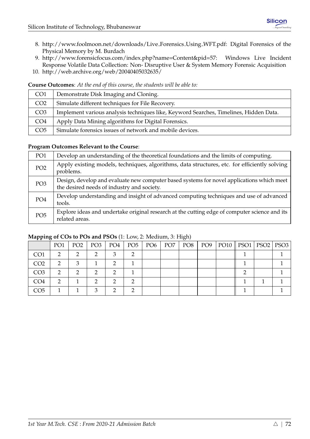- 8. [http://www.foolmoon.net/downloads/Live](http://www.foolmoon.net/downloads/Live_Forensics_Using_WFT.pdf) Forensics Using WFT.pdf: Digital Forensics of the Physical Memory by M. Burdach
- 9. [http://www.forensicfocus.com/index.php?name=Content&pid=57:](http://www.forensicfocus.com/index.php?name=Content&pid=57) Windows Live Incident Response Volatile Data Collection: Non- Disruptive User & System Memory Forensic Acquisition
- 10. <http://web.archive.org/web/20040405032635/>

**Course Outcomes**: *At the end of this course, the students will be able to:*

| CO <sub>1</sub> | Demonstrate Disk Imaging and Cloning.                                                 |
|-----------------|---------------------------------------------------------------------------------------|
| CO <sub>2</sub> | Simulate different techniques for File Recovery.                                      |
| CO <sub>3</sub> | Implement various analysis techniques like, Keyword Searches, Timelines, Hidden Data. |
| CO <sub>4</sub> | Apply Data Mining algorithms for Digital Forensics.                                   |
| CO <sub>5</sub> | Simulate forensics issues of network and mobile devices.                              |

#### **Program Outcomes Relevant to the Course**:

| PO <sub>1</sub> | Develop an understanding of the theoretical foundations and the limits of computing.                                                    |
|-----------------|-----------------------------------------------------------------------------------------------------------------------------------------|
| PO <sub>2</sub> | Apply existing models, techniques, algorithms, data structures, etc. for efficiently solving<br>problems.                               |
| PO <sub>3</sub> | Design, develop and evaluate new computer based systems for novel applications which meet<br>the desired needs of industry and society. |
| PO <sub>4</sub> | Develop understanding and insight of advanced computing techniques and use of advanced<br>tools.                                        |
| PO <sub>5</sub> | Explore ideas and undertake original research at the cutting edge of computer science and its<br>related areas.                         |

| .               |                 |                 |                 |     |               |                 | $\cup$ $\rightarrow$ |                 |                            |  |
|-----------------|-----------------|-----------------|-----------------|-----|---------------|-----------------|----------------------|-----------------|----------------------------|--|
|                 | PO <sub>1</sub> | PO <sub>2</sub> | PO <sub>3</sub> | PO4 | $PO5$   $PO6$ | PO <sub>7</sub> | PO8                  | PO <sub>9</sub> | PO10    PSO1   PSO2   PSO3 |  |
| CO <sub>1</sub> | ∍               |                 |                 | ◠   |               |                 |                      |                 |                            |  |
| CO <sub>2</sub> | ∍               |                 |                 |     |               |                 |                      |                 |                            |  |
| CO <sub>3</sub> | ∍               |                 |                 |     |               |                 |                      |                 |                            |  |
| CO <sub>4</sub> |                 |                 |                 |     |               |                 |                      |                 |                            |  |
| CO <sub>5</sub> |                 |                 |                 |     |               |                 |                      |                 |                            |  |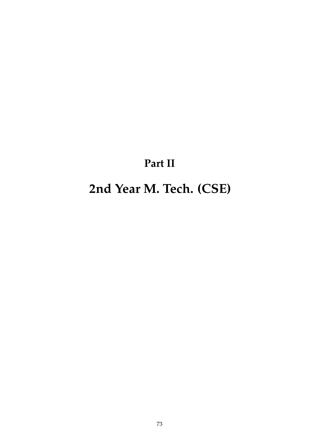# **Part II**

# **2nd Year M. Tech. (CSE)**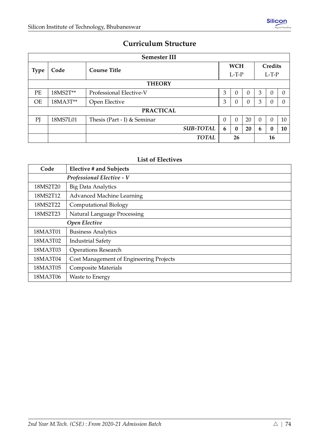## **Curriculum Structure**

| <b>Semester III</b> |                                    |                             |          |          |          |          |         |          |  |  |  |  |
|---------------------|------------------------------------|-----------------------------|----------|----------|----------|----------|---------|----------|--|--|--|--|
|                     | Code                               |                             |          |          |          |          | Credits |          |  |  |  |  |
|                     | <b>Course Title</b><br><b>Type</b> |                             |          |          |          |          | $L-T-P$ |          |  |  |  |  |
|                     | <b>THEORY</b>                      |                             |          |          |          |          |         |          |  |  |  |  |
| PE                  | 18MS2T**                           | Professional Elective-V     | 3        | 0        | $\Omega$ | 3        | 0       |          |  |  |  |  |
| <b>OE</b>           | 18MA3T**                           | Open Elective               | 3        | $\theta$ | $\theta$ | 3        | 0       | $\Omega$ |  |  |  |  |
|                     |                                    | <b>PRACTICAL</b>            |          |          |          |          |         |          |  |  |  |  |
| PI                  | 18MS7L01                           | Thesis (Part - I) & Seminar | $\theta$ | $\Omega$ | 20       | $\theta$ | 0       | 10       |  |  |  |  |
|                     |                                    | <b>SUB-TOTAL</b>            | 6        | $\Omega$ | 20       | 6        | 0       | 10       |  |  |  |  |
|                     |                                    | <b>TOTAL</b>                |          | 26       |          |          | 16      |          |  |  |  |  |

## **List of Electives**

| Code     | <b>Elective # and Subjects</b>          |
|----------|-----------------------------------------|
|          | Professional Elective - V               |
| 18MS2T20 | <b>Big Data Analytics</b>               |
| 18MS2T12 | <b>Advanced Machine Learning</b>        |
| 18MS2T22 | <b>Computational Biology</b>            |
| 18MS2T23 | Natural Language Processing             |
|          | Open Elective                           |
| 18MA3T01 | <b>Business Analytics</b>               |
| 18MA3T02 | <b>Industrial Safety</b>                |
| 18MA3T03 | <b>Operations Research</b>              |
| 18MA3T04 | Cost Management of Engineering Projects |
| 18MA3T05 | <b>Composite Materials</b>              |
| 18MA3T06 | Waste to Energy                         |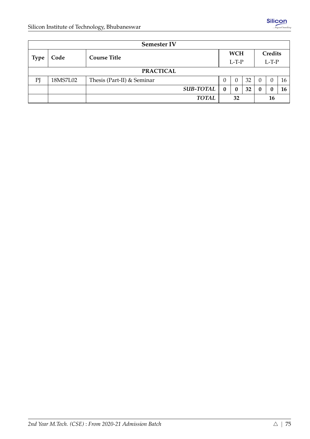|             | <b>Semester IV</b> |                            |          |            |    |                  |          |     |  |  |  |  |
|-------------|--------------------|----------------------------|----------|------------|----|------------------|----------|-----|--|--|--|--|
|             | Code               | <b>Course Title</b>        |          | <b>WCH</b> |    |                  | Credits  |     |  |  |  |  |
| <b>Type</b> |                    |                            |          |            |    | $L-T-P$          |          |     |  |  |  |  |
|             | <b>PRACTICAL</b>   |                            |          |            |    |                  |          |     |  |  |  |  |
| PI          | 18MS7L02           | Thesis (Part-II) & Seminar | $\theta$ | $\Omega$   | 32 | $\Omega$         | $\Omega$ | 16. |  |  |  |  |
|             |                    | <b>SUB-TOTAL</b>           | $\bf{0}$ | 0          | 32 | $\boldsymbol{0}$ | 0        | 16  |  |  |  |  |
|             |                    | <b>TOTAL</b>               | 32       |            | 16 |                  |          |     |  |  |  |  |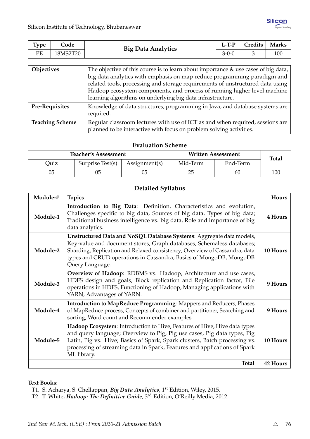| Type     | Code     | <b>Big Data Analytics</b> | $L-TP$ | Credits | <b>Marks</b> |
|----------|----------|---------------------------|--------|---------|--------------|
| DЕ<br>ΓD | 18MS2T20 |                           | 3-0-0  |         | 100          |

| Objectives             | The objective of this course is to learn about importance $\&$ use cases of big data, $ $<br>big data analytics with emphasis on map-reduce programming paradigm and<br>related tools, processing and storage requirements of unstructured data using<br>Hadoop ecosystem components, and process of running higher level machine<br>learning algorithms on underlying big data infrastructure. |
|------------------------|-------------------------------------------------------------------------------------------------------------------------------------------------------------------------------------------------------------------------------------------------------------------------------------------------------------------------------------------------------------------------------------------------|
| <b>Pre-Requisites</b>  | Knowledge of data structures, programming in Java, and database systems are<br>required.                                                                                                                                                                                                                                                                                                        |
| <b>Teaching Scheme</b> | Regular classroom lectures with use of ICT as and when required, sessions are<br>planned to be interactive with focus on problem solving activities.                                                                                                                                                                                                                                            |

|      | <b>Teacher's Assessment</b> |               |          | <b>Written Assessment</b> | <b>Total</b> |  |  |
|------|-----------------------------|---------------|----------|---------------------------|--------------|--|--|
| Quiz | Surprise Test(s)            | Assignment(s) | Mid-Term | End-Term                  |              |  |  |
| 05   | 05                          |               | 25       | 60                        | 100          |  |  |

## **Detailed Syllabus**

| Module-# | <b>Topics</b>                                                                                                                                                                                                                                                                                                                  | Hours    |
|----------|--------------------------------------------------------------------------------------------------------------------------------------------------------------------------------------------------------------------------------------------------------------------------------------------------------------------------------|----------|
| Module-1 | Introduction to Big Data: Definition, Characteristics and evolution,<br>Challenges specific to big data, Sources of big data, Types of big data;<br>Traditional business intelligence vs. big data, Role and importance of big<br>data analytics.                                                                              | 4 Hours  |
| Module-2 | Unstructured Data and NoSQL Database Systems: Aggregate data models,<br>Key-value and document stores, Graph databases, Schemaless databases;<br>Sharding, Replication and Relaxed consistency; Overview of Cassandra, data<br>types and CRUD operations in Cassandra; Basics of MongoDB, MongoDB<br>Query Language.           | 10 Hours |
| Module-3 | Overview of Hadoop: RDBMS vs. Hadoop, Architecture and use cases,<br>HDFS design and goals, Block replication and Replication factor, File<br>operations in HDFS, Functioning of Hadoop, Managing applications with<br>YARN, Advantages of YARN.                                                                               | 9 Hours  |
| Module-4 | Introduction to MapReduce Programming: Mappers and Reducers, Phases<br>of MapReduce process, Concepts of combiner and partitioner, Searching and<br>sorting, Word count and Recommender examples.                                                                                                                              | 9 Hours  |
| Module-5 | Hadoop Ecosystem: Introduction to Hive, Features of Hive, Hive data types<br>and query language; Overview to Pig, Pig use cases, Pig data types, Pig<br>Latin, Pig vs. Hive; Basics of Spark, Spark clusters, Batch processing vs.<br>processing of streaming data in Spark, Features and applications of Spark<br>ML library. | 10 Hours |
|          | <b>Total</b>                                                                                                                                                                                                                                                                                                                   | 42 Hours |

#### **Text Books**:

T2. T. White, *Hadoop: The Definitive Guide*, 3rd Edition, O'Reilly Media, 2012.

T1. S. Acharya, S. Chellappan, *Big Data Analytics*, 1st Edition, Wiley, 2015.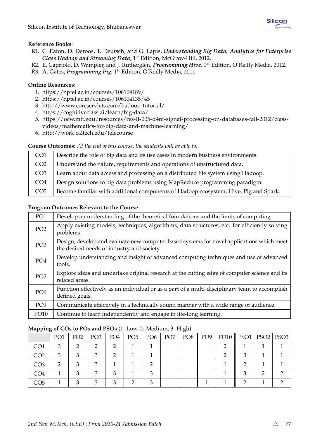- R1. C. Eaton, D. Deroos, T. Deutsch, and G. Lapis, *Understanding Big Data: Analytics for Enterprise Class Hadoop and Streaming Data*, 1st Edition, McGraw-Hill, 2012.
- R2. E. Capriolo, D. Wampler, and J. Rutherglen, *Programming Hive*, 1<sup>st</sup> Edition, O'Reilly Media, 2012.
- R3. A. Gates, *Programming Pig*, 1<sup>st</sup> Edition, O'Reilly Media, 2011.

## **Online Resources**:

- 1. <https://nptel.ac.in/courses/106104189/>
- 2. <https://nptel.ac.in/courses/106104135/45>
- 3. <http://www.coreservlets.com/hadoop-tutorial/>
- 4. <https://cognitiveclass.ai/learn/big-data/>
- 5. [https://ocw.mit.edu/resources/res-ll-005-d4m-signal-processing-on-databases-fall-2012/class](https://ocw.mit.edu/resources/res-ll-005-d4m-signal-processing-on-databases-fall-2012/class-videos/mathematics-for-big-data-and-machine-learning/)[videos/mathematics-for-big-data-and-machine-learning/](https://ocw.mit.edu/resources/res-ll-005-d4m-signal-processing-on-databases-fall-2012/class-videos/mathematics-for-big-data-and-machine-learning/)
- 6. <http://work.caltech.edu/telecourse>

#### **Course Outcomes**: *At the end of this course, the students will be able to:*

| CO <sub>1</sub> | Describe the role of big data and its use cases in modern business environments.     |
|-----------------|--------------------------------------------------------------------------------------|
| CO <sub>2</sub> | Understand the nature, requirements and operations of unstructured data.             |
| CO <sub>3</sub> | Learn about data access and processing on a distributed file system using Hadoop.    |
| CO <sub>4</sub> | Design solutions to big data problems using MapReduce programming paradigm.          |
| CO <sub>5</sub> | Become familiar with additional components of Hadoop ecosystem, Hive, Pig and Spark. |

#### **Program Outcomes Relevant to the Course**:

| PO <sub>1</sub> | Develop an understanding of the theoretical foundations and the limits of computing.                                                    |
|-----------------|-----------------------------------------------------------------------------------------------------------------------------------------|
| PO <sub>2</sub> | Apply existing models, techniques, algorithms, data structures, etc. for efficiently solving<br>problems.                               |
| PO <sub>3</sub> | Design, develop and evaluate new computer based systems for novel applications which meet<br>the desired needs of industry and society. |
| PO <sub>4</sub> | Develop understanding and insight of advanced computing techniques and use of advanced<br>tools.                                        |
| PO <sub>5</sub> | Explore ideas and undertake original research at the cutting edge of computer science and its<br>related areas.                         |
| PO <sub>6</sub> | Function effectively as an individual or as a part of a multi-disciplinary team to accomplish<br>defined goals.                         |
| PO <sub>9</sub> | Communicate effectively in a technically sound manner with a wide range of audience.                                                    |
| PO10            | Continue to learn independently and engage in life-long learning.                                                                       |

| 11 U            |                 |                 |                 |                 |                 |                 |                 | ◡               |                 |      |  |                    |
|-----------------|-----------------|-----------------|-----------------|-----------------|-----------------|-----------------|-----------------|-----------------|-----------------|------|--|--------------------|
|                 | PO <sub>1</sub> | PO <sub>2</sub> | PO <sub>3</sub> | PO <sub>4</sub> | PO <sub>5</sub> | PO <sub>6</sub> | PO <sub>7</sub> | PO <sub>8</sub> | PO <sub>9</sub> | PO10 |  | PSO1   PSO2   PSO3 |
| CO <sub>1</sub> | 3               | n               |                 | ◠               |                 |                 |                 |                 |                 |      |  |                    |
| CO <sub>2</sub> | 3               |                 |                 | ◠               |                 |                 |                 |                 |                 |      |  |                    |
| CO <sub>3</sub> | റ               |                 |                 |                 |                 |                 |                 |                 |                 |      |  |                    |
| CO <sub>4</sub> |                 |                 |                 |                 |                 |                 |                 |                 |                 |      |  |                    |
| CO <sub>5</sub> |                 |                 |                 |                 |                 |                 |                 |                 |                 |      |  |                    |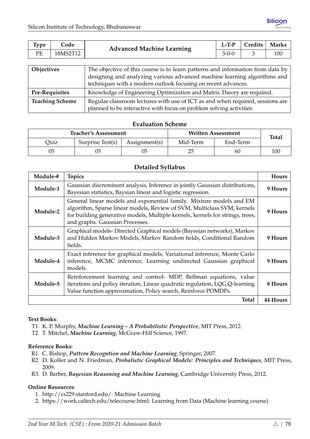| <b>Type</b> | Code     | <b>Advanced Machine Learning</b>                                               | $L-T-P$     | Credits | Marks |  |  |
|-------------|----------|--------------------------------------------------------------------------------|-------------|---------|-------|--|--|
| PE          | 18MS2T12 |                                                                                | $3 - 0 - 0$ |         | 100   |  |  |
|             |          |                                                                                |             |         |       |  |  |
| Objectives  |          | The objective of this course is to learn patterns and information from data by |             |         |       |  |  |
|             |          | designing and analyzing various advanced machine learning algorithms and       |             |         |       |  |  |

|                        | designing and analyzing various advanced machine learning algorithms and      |
|------------------------|-------------------------------------------------------------------------------|
|                        | techniques with a modern outlook focusing on recent advances.                 |
| <b>Pre-Requisites</b>  | Knowledge of Engineering Optimization and Matrix Theory are required.         |
| <b>Teaching Scheme</b> | Regular classroom lectures with use of ICT as and when required, sessions are |
|                        | planned to be interactive with focus on problem solving activities.           |

|      | <b>Teacher's Assessment</b> |               |          | Written Assessment | <b>Total</b> |
|------|-----------------------------|---------------|----------|--------------------|--------------|
| Duiz | Surprise Test(s)            | Assignment(s) | Mid-Term | End-Term           |              |
| 05   |                             | 05            | 25       | 60                 | 100          |

#### **Detailed Syllabus**

| Module-# | <b>Topics</b>                                                                                                                                                                                                                                                      | <b>Hours</b> |
|----------|--------------------------------------------------------------------------------------------------------------------------------------------------------------------------------------------------------------------------------------------------------------------|--------------|
| Module-1 | Gaussian discreminent analysis, Inference in jointly Gaussian distributions,<br>Bayesian statistics, Baysian linear and logistic regression.                                                                                                                       | 9 Hours      |
| Module-2 | General linear models and exponential family. Mixture models and EM<br>algorithm, Sparse linear models, Review of SVM, Multiclass SVM, kernels<br>for building generative models, Multiple kernels, kernels for strings, trees,<br>and graphs. Gaussian Processes. | 9 Hours      |
| Module-3 | Graphical models-Directed Graphical models (Bayesian networks), Markov<br>and Hidden Markov Models, Markov Random fields, Conditional Random<br>fields.                                                                                                            | 9 Hours      |
| Module-4 | Exact inference for graphical models, Variational inference, Monte Carlo<br>inference, MCMC inference, Learning undirected Gaussian graphical<br>models.                                                                                                           | 9 Hours      |
| Module-5 | Reinforcement learning and control- MDP, Bellman equations, value<br>iterations and policy iteration, Linear quadratic regulation, LQG, Q-learning<br>Value function approximation, Policy search, Reinforce POMDPs.                                               | 8 Hours      |
|          | <b>Total</b>                                                                                                                                                                                                                                                       | 44 Hours     |

#### **Text Books**:

- T1. K. P. Murphy, *Machine Learning A Probabilistic Perspective*, MIT Press, 2012.
- T2. T. Mitchel, *Machine Learning*, McGraw-Hill Science, 1997.

#### **Reference Books**:

- R1. C. Bishop, *Pattern Recogntion and Machine Learning*, Springer, 2007.
- R2. D. Koller and N. Friedman, *Probalistic Graphical Models: Principles and Techniques*, MIT Press, 2009.
- R3. D. Barber, *Bayesian Reasoning and Machine Learning*, Cambridge University Press, 2012.

#### **Online Resources**:

- 1. [http://cs229.stanford.edu/:](http://cs229.stanford.edu/) Machine Learning
- 2. [https://work.caltech.edu/telecourse.html:](https://work.caltech.edu/telecourse.html) Learning from Data (Machine learning course)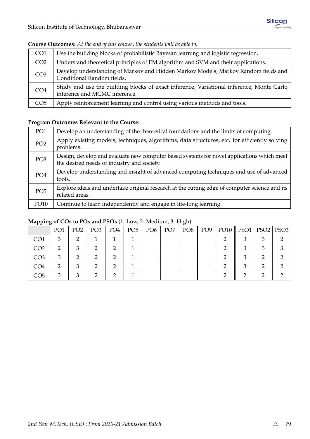| CO <sub>1</sub> | Use the building blocks of probabilistic Bayesan learning and logistic regression.                                        |
|-----------------|---------------------------------------------------------------------------------------------------------------------------|
| CO <sub>2</sub> | Understand theoretical principles of EM algorithm and SVM and their applications.                                         |
| CO <sub>3</sub> | Develop understanding of Markov and Hidden Markov Models, Markov Random fields and<br>Conditional Random fields.          |
| CO <sub>4</sub> | Study and use the building blocks of exact inference, Variational inference, Monte Carlo<br>inference and MCMC inference. |
| CO <sub>5</sub> | Apply reinforcement learning and control using various methods and tools.                                                 |

#### **Course Outcomes**: *At the end of this course, the students will be able to:*

## **Program Outcomes Relevant to the Course**:

| PO <sub>1</sub> | Develop an understanding of the theoretical foundations and the limits of computing.                                                    |
|-----------------|-----------------------------------------------------------------------------------------------------------------------------------------|
| PO <sub>2</sub> | Apply existing models, techniques, algorithms, data structures, etc. for efficiently solving<br>problems.                               |
| PO <sub>3</sub> | Design, develop and evaluate new computer based systems for novel applications which meet<br>the desired needs of industry and society. |
| PO <sub>4</sub> | Develop understanding and insight of advanced computing techniques and use of advanced<br>tools.                                        |
| PO <sub>5</sub> | Explore ideas and undertake original research at the cutting edge of computer science and its<br>related areas.                         |
| PO10            | Continue to learn independently and engage in life-long learning.                                                                       |

| .               | PO <sub>1</sub> | PO <sub>2</sub> | PO <sub>3</sub> | PO4 | PO5 | $\overline{P06}$ | PO <sub>7</sub> | $\sim$ $\sim$<br>PO <sub>8</sub> | PO9 | PO10    PSO1   PSO2   PSO3 |  |
|-----------------|-----------------|-----------------|-----------------|-----|-----|------------------|-----------------|----------------------------------|-----|----------------------------|--|
| CO <sub>1</sub> | 3               |                 |                 |     |     |                  |                 |                                  |     |                            |  |
| CO <sub>2</sub> |                 |                 |                 |     |     |                  |                 |                                  |     |                            |  |
| CO <sub>3</sub> | З               | רי              |                 | ◠   |     |                  |                 |                                  |     | ◠                          |  |
| CO <sub>4</sub> | ◠               |                 |                 | ◠   |     |                  |                 |                                  |     |                            |  |
| CO <sub>5</sub> | ⌒               |                 |                 | ◠   |     |                  |                 |                                  |     |                            |  |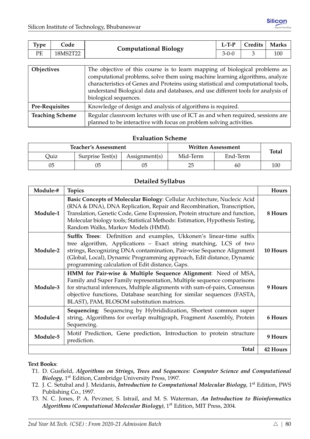| Type | Code     | <b>Computational Biology</b> | $L-TP$ | Credits | <b>Marks</b> |
|------|----------|------------------------------|--------|---------|--------------|
| PЕ   | 18MS2T22 |                              | 3-0-0  |         | 100          |

| Objectives             | The objective of this course is to learn mapping of biological problems as<br>computational problems, solve them using machine learning algorithms, analyze<br>characteristics of Genes and Proteins using statistical and computational tools,<br>understand Biological data and databases, and use different tools for analysis of<br>biological sequences. |
|------------------------|---------------------------------------------------------------------------------------------------------------------------------------------------------------------------------------------------------------------------------------------------------------------------------------------------------------------------------------------------------------|
| Pre-Requisites         | Knowledge of design and analysis of algorithms is required.                                                                                                                                                                                                                                                                                                   |
| <b>Teaching Scheme</b> | Regular classroom lectures with use of ICT as and when required, sessions are<br>planned to be interactive with focus on problem solving activities.                                                                                                                                                                                                          |

|      | <b>Teacher's Assessment</b> |               | <b>Written Assessment</b> | <b>Total</b> |     |
|------|-----------------------------|---------------|---------------------------|--------------|-----|
| Ouiz | Surprise Test(s)            | Assignment(s) | Mid-Term                  | End-Term     |     |
| 05   | 05                          |               | 25                        | 60           | 100 |

#### **Detailed Syllabus**

| Module-# | <b>Topics</b>                                                                                                                                                                                                                                                                                                                                             | Hours    |
|----------|-----------------------------------------------------------------------------------------------------------------------------------------------------------------------------------------------------------------------------------------------------------------------------------------------------------------------------------------------------------|----------|
| Module-1 | Basic Concepts of Molecular Biology: Cellular Architecture, Nuclecic Acid<br>(RNA & DNA), DNA Replication, Repair and Recombination, Transcription,<br>Translation, Genetic Code, Gene Expression, Protein structure and function,<br>Molecular biology tools; Statistical Methods: Estimation, Hypothesis Testing,<br>Random Walks, Markov Models (HMM). | 8 Hours  |
| Module-2 | Suffix Trees: Definition and examples, Ukkonen's linear-time suffix<br>tree algorithm, Applications - Exact string matching, LCS of two<br>strings, Recognizing DNA contamination, Pair-wise Sequence Alignment<br>(Global, Local), Dynamic Programming approach, Edit distance, Dynamic<br>programming calculation of Edit distance, Gaps.               | 10 Hours |
| Module-3 | HMM for Pair-wise & Multiple Sequence Alignment: Need of MSA,<br>Family and Super Family representation, Multiple sequence comparisons<br>for structural inferences, Multiple alignments with sum-of-pairs, Consensus<br>objective functions, Database searching for similar sequences (FASTA,<br>BLAST), PAM, BLOSOM substitution matrices.              | 9 Hours  |
| Module-4 | Sequencing: Sequencing by Hybrididization, Shortest common super<br>string, Algorithms for overlap multigraph, Fragment Assembly, Protein<br>Sequencing.                                                                                                                                                                                                  | 6 Hours  |
| Module-5 | Motif Prediction, Gene prediction, Introduction to protein structure<br>prediction.                                                                                                                                                                                                                                                                       | 9 Hours  |
|          | <b>Total</b>                                                                                                                                                                                                                                                                                                                                              | 42 Hours |

#### **Text Books**:

- T1. D. Gusfield, *Algorithms on Strings, Trees and Sequences: Computer Science and Computational Biology*, 1st Edition, Cambridge University Press, 1997.
- T2. J. C. Setubal and J. Meidanis, *Introduction to Computational Molecular Biology*, 1st Edition, PWS Publishing Co., 1997.
- T3. N. C. Jones, P. A. Pevzner, S. Istrail, and M. S. Waterman, *An Introduction to Bioinformatics Algorithms (Computational Molecular Biology)*, 1st Edition, MIT Press, 2004.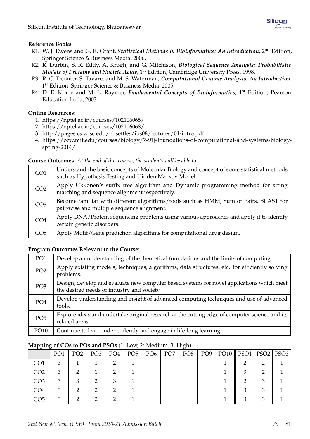- R1. W. J. Ewens and G. R. Grant, *Statistical Methods in Bioinformatics: An Introduction*, 2nd Edition, Springer Science & Business Media, 2006.
- R2. R. Durbin, S. R. Eddy, A. Krogh, and G. Mitchison, *Biological Sequence Analysis: Probabilistic Models of Proteins and Nucleic Acids*, 1<sup>st</sup> Edition, Cambridge University Press, 1998.
- R3. R. C. Deonier, S. Tavaré, and M. S. Waterman, *Computational Genome Analysis: An Introduction*, 1<sup>st</sup> Edition, Springer Science & Business Media, 2005.
- R4. D. E. Krane and M. L. Raymer, *Fundamental Concepts of Bioinformatics*, 1st Edition, Pearson Education India, 2003.

#### **Online Resources**:

- 1. <https://nptel.ac.in/courses/102106065/>
- 2. <https://nptel.ac.in/courses/102106068/>
- 3. http://pages.cs.wisc.edu/∼[bsettles/ibs08/lectures/01-intro.pdf](http://pages.cs.wisc.edu/~bsettles/ibs08/lectures/01-intro.pdf)
- 4. [https://ocw.mit.edu/courses/biology/7-91j-foundations-of-computational-and-systems-biology](https://ocw.mit.edu/courses/biology/7-91j-foundations-of-computational-and-systems-biology-spring-2014/)[spring-2014/](https://ocw.mit.edu/courses/biology/7-91j-foundations-of-computational-and-systems-biology-spring-2014/)

#### **Course Outcomes**: *At the end of this course, the students will be able to:*

| CO <sub>1</sub> | Understand the basic concepts of Molecular Biology and concept of some statistical methods<br>such as Hypothesis Testing and Hidden Markov Model. |
|-----------------|---------------------------------------------------------------------------------------------------------------------------------------------------|
| CO <sub>2</sub> | Apply Ukkonen's suffix tree algorithm and Dynamic programming method for string<br>matching and sequence alignment respectively.                  |
| CO <sub>3</sub> | Become familiar with different algorithms/tools such as HMM, Sum of Pairs, BLAST for<br>pair-wise and multiple sequence alignment.                |
| CO <sub>4</sub> | Apply DNA/Protein sequencing problems using various approaches and apply it to identify<br>certain genetic disorders.                             |
| CO <sub>5</sub> | Apply Motif/Gene prediction algorithms for computational drug design.                                                                             |

#### **Program Outcomes Relevant to the Course**:

| PO <sub>1</sub> | Develop an understanding of the theoretical foundations and the limits of computing.                                                    |
|-----------------|-----------------------------------------------------------------------------------------------------------------------------------------|
| PO <sub>2</sub> | Apply existing models, techniques, algorithms, data structures, etc. for efficiently solving<br>problems.                               |
| PO <sub>3</sub> | Design, develop and evaluate new computer based systems for novel applications which meet<br>the desired needs of industry and society. |
| PO <sub>4</sub> | Develop understanding and insight of advanced computing techniques and use of advanced<br>tools.                                        |
| PO <sub>5</sub> | Explore ideas and undertake original research at the cutting edge of computer science and its<br>related areas.                         |
| PO10            | Continue to learn independently and engage in life-long learning.                                                                       |

|                 | PO <sub>1</sub> | PO <sub>2</sub> | PO <sub>3</sub> | PO4 | PO <sub>5</sub> | PO <sub>6</sub> | PO <sub>7</sub> | PO8 | PO9 | $PO10$   PSO1 | PSO2 PSO3 |  |
|-----------------|-----------------|-----------------|-----------------|-----|-----------------|-----------------|-----------------|-----|-----|---------------|-----------|--|
| CO <sub>1</sub> |                 |                 |                 |     |                 |                 |                 |     |     |               |           |  |
| CO <sub>2</sub> |                 |                 |                 |     |                 |                 |                 |     |     |               |           |  |
| CO <sub>3</sub> |                 |                 |                 |     |                 |                 |                 |     |     |               |           |  |
| CO4             |                 |                 |                 |     |                 |                 |                 |     |     |               |           |  |
| CO <sub>5</sub> |                 |                 |                 |     |                 |                 |                 |     |     |               |           |  |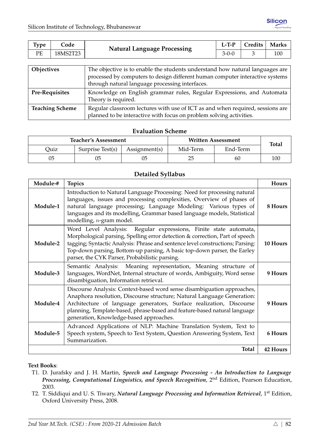| <b>Type</b> | Code     | <b>Natural Language Processing</b> | $L-TP$      | Credits | <b>Marks</b> |
|-------------|----------|------------------------------------|-------------|---------|--------------|
| PE          | 18MS2T23 |                                    | $3 - 0 - 0$ |         | 100          |
|             |          |                                    |             |         |              |

| Objectives             | The objective is to enable the students understand how natural languages are<br>processed by computers to design different human computer interactive systems<br>through natural language processing interfaces. |
|------------------------|------------------------------------------------------------------------------------------------------------------------------------------------------------------------------------------------------------------|
| <b>Pre-Requisites</b>  | Knowledge on English grammar rules, Regular Expressions, and Automata<br>Theory is required.                                                                                                                     |
| <b>Teaching Scheme</b> | Regular classroom lectures with use of ICT as and when required, sessions are<br>planned to be interactive with focus on problem solving activities.                                                             |

|      | <b>Teacher's Assessment</b> |               | <b>Written Assessment</b> | <b>Total</b> |     |
|------|-----------------------------|---------------|---------------------------|--------------|-----|
| Ouiz | Surprise Test(s)            | Assignment(s) | Mid-Term                  | End-Term     |     |
| 05   | 05                          | 05            | 25                        | 60           | 100 |

#### **Detailed Syllabus**

| Module-# | <b>Topics</b>                                                                                                                                                                                                                                                                                                                                                    | Hours    |
|----------|------------------------------------------------------------------------------------------------------------------------------------------------------------------------------------------------------------------------------------------------------------------------------------------------------------------------------------------------------------------|----------|
| Module-1 | Introduction to Natural Language Processing: Need for processing natural<br>languages, issues and processing complexities, Overview of phases of<br>natural language processing; Language Modeling: Various types of<br>languages and its modelling, Grammar based language models, Statistical<br>modelling, <i>n</i> -gram model.                              | 8 Hours  |
| Module-2 | Word Level Analysis: Regular expressions, Finite state automata,<br>Morphological parsing, Spelling error detection & correction, Part of speech<br>tagging; Syntactic Analysis: Phrase and sentence level constructions; Parsing:<br>Top-down parsing, Bottom-up parsing, A basic top-down parser, the Earley<br>parser, the CYK Parser, Probabilistic parsing. | 10 Hours |
| Module-3 | Semantic Analysis: Meaning representation, Meaning structure of<br>languages, WordNet, Internal structure of words, Ambiguity, Word sense<br>disambiguation, Information retrieval.                                                                                                                                                                              | 9 Hours  |
| Module-4 | Discourse Analysis: Context-based word sense disambiguation approaches,<br>Anaphora resolution, Discourse structure; Natural Language Generation:<br>Architecture of language generators, Surface realization, Discourse<br>planning, Template-based, phrase-based and feature-based natural language<br>generation, Knowledge-based approaches.                 | 9 Hours  |
| Module-5 | Advanced Applications of NLP: Machine Translation System, Text to<br>Speech system, Speech to Text System, Question Answering System, Text<br>Summarization.                                                                                                                                                                                                     | 6 Hours  |
|          | <b>Total</b>                                                                                                                                                                                                                                                                                                                                                     | 42 Hours |

#### **Text Books**:

- T1. D. Jurafsky and J. H. Martin, *Speech and Language Processing An Introduction to Language Processing, Computational Linguistics, and Speech Recognition*, 2nd Edition, Pearson Education, 2003.
- T2. T. Siddiqui and U. S. Tiwary, *Natural Language Processing and Information Retrieval*, 1st Edition, Oxford University Press, 2008.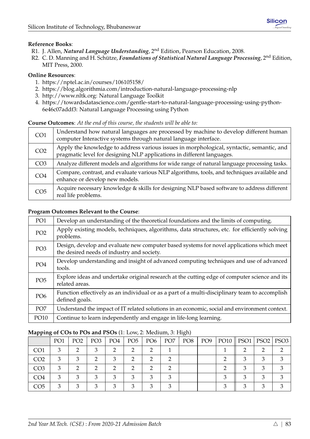- R1. J. Allen, *Natural Language Understanding*, 2nd Edition, Pearson Education, 2008.
- R2. C. D. Manning and H. Schütze, *Foundations of Statistical Natural Language Processing*, 2<sup>nd</sup> Edition, MIT Press, 2000.

#### **Online Resources**:

- 1. <https://nptel.ac.in/courses/106105158/>
- 2. <https://blog.algorithmia.com/introduction-natural-language-processing-nlp>
- 3. [http://www.nltk.org:](http://www.nltk.org) Natural Language Toolkit
- 4. [https://towardsdatascience.com/gentle-start-to-natural-language-processing-using-python-](https://towardsdatascience.com/gentle-start-to-natural-language-processing-using-python-6e46c07addf3)[6e46c07addf3:](https://towardsdatascience.com/gentle-start-to-natural-language-processing-using-python-6e46c07addf3) Natural Language Processing using Python

#### **Course Outcomes**: *At the end of this course, the students will be able to:*

| CO <sub>1</sub> | Understand how natural languages are processed by machine to develop different human<br>computer Interactive systems through natural language interface.           |
|-----------------|--------------------------------------------------------------------------------------------------------------------------------------------------------------------|
| CO <sub>2</sub> | Apply the knowledge to address various issues in morphological, syntactic, semantic, and<br>pragmatic level for designing NLP applications in different languages. |
| CO <sub>3</sub> | Analyze different models and algorithms for wide range of natural language processing tasks.                                                                       |
| CO <sub>4</sub> | Compare, contrast, and evaluate various NLP algorithms, tools, and techniques available and<br>enhance or develop new models.                                      |
| CO <sub>5</sub> | Acquire necessary knowledge & skills for designing NLP based software to address different<br>real life problems.                                                  |

#### **Program Outcomes Relevant to the Course**:

| PO <sub>1</sub> | Develop an understanding of the theoretical foundations and the limits of computing.                                                    |
|-----------------|-----------------------------------------------------------------------------------------------------------------------------------------|
| PO <sub>2</sub> | Apply existing models, techniques, algorithms, data structures, etc. for efficiently solving<br>problems.                               |
| PO <sub>3</sub> | Design, develop and evaluate new computer based systems for novel applications which meet<br>the desired needs of industry and society. |
| PO <sub>4</sub> | Develop understanding and insight of advanced computing techniques and use of advanced<br>tools.                                        |
| PO <sub>5</sub> | Explore ideas and undertake original research at the cutting edge of computer science and its<br>related areas.                         |
| PO <sub>6</sub> | Function effectively as an individual or as a part of a multi-disciplinary team to accomplish<br>defined goals.                         |
| PO <sub>7</sub> | Understand the impact of IT related solutions in an economic, social and environment context.                                           |
| PO10            | Continue to learn independently and engage in life-long learning.                                                                       |

|                 | PO <sub>1</sub> | PO <sub>2</sub> | PO <sub>3</sub> | PO <sub>4</sub> | PO <sub>5</sub> | PO <sub>6</sub> | PO <sub>7</sub> | PO <sub>8</sub> | PO <sub>9</sub> | $PO10$   PSO1 | PSO2 | PSO <sub>3</sub> |
|-----------------|-----------------|-----------------|-----------------|-----------------|-----------------|-----------------|-----------------|-----------------|-----------------|---------------|------|------------------|
| CO <sub>1</sub> | 3               |                 |                 | ◠               |                 |                 |                 |                 |                 |               |      |                  |
| CO <sub>2</sub> | З               | З               |                 | ◠               |                 |                 |                 |                 |                 |               |      |                  |
| CO <sub>3</sub> |                 |                 |                 | ◠               |                 |                 |                 |                 |                 |               |      |                  |
| CO4             | ર               | з               |                 | з               |                 |                 | З               |                 |                 |               |      |                  |
| CO5             | ◠               |                 |                 | ◠               |                 |                 | ◠               |                 |                 |               |      |                  |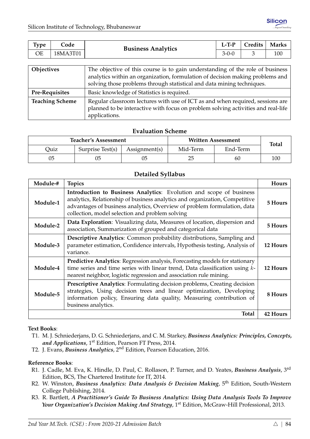| Type       | Code                  | <b>Business Analytics</b>                                                     | $L-T-P$     | Credits | <b>Marks</b> |  |  |  |  |  |
|------------|-----------------------|-------------------------------------------------------------------------------|-------------|---------|--------------|--|--|--|--|--|
| <b>OE</b>  | 18MA3T01              |                                                                               | $3 - 0 - 0$ | 3       | 100          |  |  |  |  |  |
|            |                       |                                                                               |             |         |              |  |  |  |  |  |
| Objectives |                       | The objective of this course is to gain understanding of the role of business |             |         |              |  |  |  |  |  |
|            |                       | analytics within an organization, formulation of decision making problems and |             |         |              |  |  |  |  |  |
|            |                       | solving those problems through statistical and data mining techniques.        |             |         |              |  |  |  |  |  |
|            | <b>Pre-Requisites</b> | Basic knowledge of Statistics is required.                                    |             |         |              |  |  |  |  |  |

| - - - - - - - - - - - - - - | $P$ and $P$ and $P$ are $P$ and $P$ are $P$ are $P$ and $P$ are $P$ and $P$ are $P$ |
|-----------------------------|-------------------------------------------------------------------------------------|
| <b>Teaching Scheme</b>      | Regular classroom lectures with use of ICT as and when required, sessions are       |
|                             | planned to be interactive with focus on problem solving activities and real-life    |
|                             | $\mu$ applications.                                                                 |

|      | <b>Teacher's Assessment</b> |               | <b>Written Assessment</b> | <b>Total</b> |     |
|------|-----------------------------|---------------|---------------------------|--------------|-----|
| Duiz | Surprise Test(s)            | Assignment(s) | Mid-Term                  | End-Term     |     |
| 05   |                             |               | 25                        | 60           | 100 |

#### **Detailed Syllabus**

| Module-# | <b>Topics</b>                                                                                                                                                                                                                                                                    | Hours           |
|----------|----------------------------------------------------------------------------------------------------------------------------------------------------------------------------------------------------------------------------------------------------------------------------------|-----------------|
| Module-1 | Introduction to Business Analytics: Evolution and scope of business<br>analytics, Relationship of business analytics and organization, Competitive<br>advantages of business analytics, Overview of problem formulation, data<br>collection, model selection and problem solving | 5 Hours         |
| Module-2 | Data Exploration: Visualizing data, Measures of location, dispersion and<br>association, Summarization of grouped and categorical data                                                                                                                                           | 5 Hours         |
| Module-3 | Descriptive Analytics: Common probability distributions, Sampling and<br>parameter estimation, Confidence intervals, Hypothesis testing, Analysis of<br>variance.                                                                                                                | 12 Hours        |
| Module-4 | Predictive Analytics: Regression analysis, Forecasting models for stationary<br>time series and time series with linear trend, Data classification using k-<br>nearest neighbor, logistic regression and association rule mining.                                                | 12 Hours        |
| Module-5 | <b>Prescriptive Analytics:</b> Formulating decision problems, Creating decision<br>strategies, Using decision trees and linear optimization, Developing<br>information policy, Ensuring data quality, Measuring contribution of<br>business analytics.                           | 8 Hours         |
|          | Total                                                                                                                                                                                                                                                                            | <b>42 Hours</b> |

#### **Text Books**:

- T1. M. J. Schniederjans, D. G. Schniederjans, and C. M. Starkey, *Business Analytics: Principles, Concepts,* and Applications, 1<sup>st</sup> Edition, Pearson FT Press, 2014.
- T2. J. Evans, *Business Analytics*, 2nd Edition, Pearson Education, 2016.

#### **Reference Books**:

- R1. J. Cadle, M. Eva, K. Hindle, D. Paul, C. Rollason, P. Turner, and D. Yeates, *Business Analysis*, 3rd Edition, BCS, The Chartered Institute for IT, 2014.
- R2. W. Winston, *Business Analytics: Data Analysis & Decision Making*, <sup>5th</sup> Edition, South-Western College Publishing, 2014.
- R3. R. Bartlett, *A Practitioner's Guide To Business Analytics: Using Data Analysis Tools To Improve Your Organization's Decision Making And Strategy*, 1<sup>st</sup> Edition, McGraw-Hill Professional, 2013.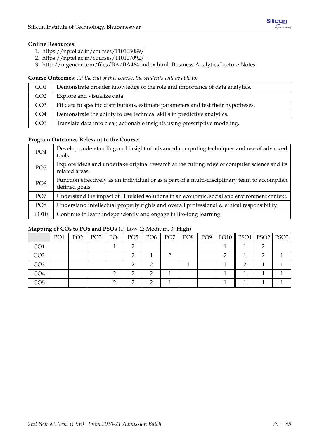#### **Online Resources**:

- 1. <https://nptel.ac.in/courses/110105089/>
- 2. <https://nptel.ac.in/courses/110107092/>
- 3. [http://mgencer.com/files/BA/BA464-index.html:](http://mgencer.com/files/BA/BA464-index.html) Business Analytics Lecture Notes

#### **Course Outcomes**: *At the end of this course, the students will be able to:*

| CO <sub>1</sub> | Demonstrate broader knowledge of the role and importance of data analytics.        |
|-----------------|------------------------------------------------------------------------------------|
| CO <sub>2</sub> | Explore and visualize data.                                                        |
| CO <sub>3</sub> | Fit data to specific distributions, estimate parameters and test their hypotheses. |
| CO <sub>4</sub> | Demonstrate the ability to use technical skills in predictive analytics.           |
| CO <sub>5</sub> | Translate data into clear, actionable insights using prescriptive modeling.        |

#### **Program Outcomes Relevant to the Course**:

| PO <sub>4</sub> | Develop understanding and insight of advanced computing techniques and use of advanced<br>tools.                |
|-----------------|-----------------------------------------------------------------------------------------------------------------|
| PO <sub>5</sub> | Explore ideas and undertake original research at the cutting edge of computer science and its<br>related areas. |
| PO <sub>6</sub> | Function effectively as an individual or as a part of a multi-disciplinary team to accomplish<br>defined goals. |
| PO <sub>7</sub> | Understand the impact of IT related solutions in an economic, social and environment context.                   |
| PO <sub>8</sub> | Understand intellectual property rights and overall professional & ethical responsibility.                      |
| PO10            | Continue to learn independently and engage in life-long learning.                                               |

| .               |                 |                 |     |     |               |                 | $\cup$ $\rightarrow$ |                 |                            |  |
|-----------------|-----------------|-----------------|-----|-----|---------------|-----------------|----------------------|-----------------|----------------------------|--|
|                 | PO <sub>1</sub> | PO <sub>2</sub> | PO3 | PO4 | $PO5$   $PO6$ | PO <sub>7</sub> | PO8                  | PO <sub>9</sub> | PO10    PSO1   PSO2   PSO3 |  |
| CO <sub>1</sub> |                 |                 |     |     |               |                 |                      |                 |                            |  |
| CO <sub>2</sub> |                 |                 |     |     |               |                 |                      |                 |                            |  |
| CO <sub>3</sub> |                 |                 |     |     |               |                 |                      |                 |                            |  |
| CO <sub>4</sub> |                 |                 |     |     |               |                 |                      |                 |                            |  |
| CO5             |                 |                 |     |     |               |                 |                      |                 |                            |  |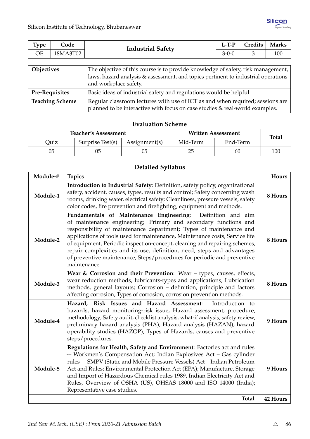| <b>Type</b> | Code                                                                              | <b>Industrial Safety</b> | $L-TP$                                                                           | Credits | <b>Marks</b> |
|-------------|-----------------------------------------------------------------------------------|--------------------------|----------------------------------------------------------------------------------|---------|--------------|
| <b>OE</b>   | 18MA3T02                                                                          |                          | $3 - 0 - 0$                                                                      |         | 100          |
|             |                                                                                   |                          |                                                                                  |         |              |
| Objectives  |                                                                                   |                          | The objective of this course is to provide knowledge of safety, risk management, |         |              |
|             | laws, hazard analysis & assessment, and topics pertinent to industrial operations |                          |                                                                                  |         |              |

|                        | and workplace safety.                                                         |
|------------------------|-------------------------------------------------------------------------------|
| <b>Pre-Requisites</b>  | Basic ideas of industrial safety and regulations would be helpful.            |
| <b>Teaching Scheme</b> | Regular classroom lectures with use of ICT as and when required; sessions are |
|                        | planned to be interactive with focus on case studies & real-world examples.   |

|      | <b>Teacher's Assessment</b>                                        |  | <b>Written Assessment</b> | <b>Total</b> |     |
|------|--------------------------------------------------------------------|--|---------------------------|--------------|-----|
| Quiz | Surprise Test(s)<br>Mid-Term<br>End-Term<br>$\text{Assignment}(s)$ |  |                           |              |     |
| 05   |                                                                    |  | 25                        | 60           | 100 |

## **Detailed Syllabus**

| Module-# | <b>Topics</b>                                                                                                                                                                                                                                                                                                                                                                                                                                                                                                                              | Hours           |
|----------|--------------------------------------------------------------------------------------------------------------------------------------------------------------------------------------------------------------------------------------------------------------------------------------------------------------------------------------------------------------------------------------------------------------------------------------------------------------------------------------------------------------------------------------------|-----------------|
| Module-1 | Introduction to Industrial Safety: Definition, safety policy, organizational<br>safety, accident, causes, types, results and control; Safety concerning wash<br>rooms, drinking water, electrical safety; Cleanliness, pressure vessels, safety<br>color codes, fire prevention and firefighting, equipment and methods.                                                                                                                                                                                                                   | 8 Hours         |
| Module-2 | Fundamentals of Maintenance Engineering:<br>Definition and aim<br>of maintenance engineering; Primary and secondary functions and<br>responsibility of maintenance department; Types of maintenance and<br>applications of tools used for maintenance, Maintenance costs, Service life<br>of equipment, Periodic inspection-concept, cleaning and repairing schemes,<br>repair complexities and its use, definition, need, steps and advantages<br>of preventive maintenance, Steps/procedures for periodic and preventive<br>maintenance. | 8 Hours         |
| Module-3 | Wear & Corrosion and their Prevention: Wear - types, causes, effects,<br>wear reduction methods, lubricants-types and applications, Lubrication<br>methods, general layouts; Corrosion – definition, principle and factors<br>affecting corrosion, Types of corrosion, corrosion prevention methods.                                                                                                                                                                                                                                       | 8 Hours         |
| Module-4 | Hazard, Risk Issues and Hazard Assessment:<br>Introduction to<br>hazards, hazard monitoring-risk issue, Hazard assessment, procedure,<br>methodology; Safety audit, checklist analysis, what-if analysis, safety review,<br>preliminary hazard analysis (PHA), Hazard analysis (HAZAN), hazard<br>operability studies (HAZOP), Types of Hazards, causes and preventive<br>steps/procedures.                                                                                                                                                | 9 Hours         |
| Module-5 | Regulations for Health, Safety and Environment: Factories act and rules<br>-- Workmen's Compensation Act; Indian Explosives Act - Gas cylinder<br>rules -- SMPV (Static and Mobile Pressure Vessels) Act - Indian Petroleum<br>Act and Rules; Environmental Protection Act (EPA); Manufacture, Storage<br>and Import of Hazardous Chemical rules 1989, Indian Electricity Act and<br>Rules, Overview of OSHA (US), OHSAS 18000 and ISO 14000 (India);<br>Representative case studies.                                                      | 9 Hours         |
|          | <b>Total</b>                                                                                                                                                                                                                                                                                                                                                                                                                                                                                                                               | <b>42 Hours</b> |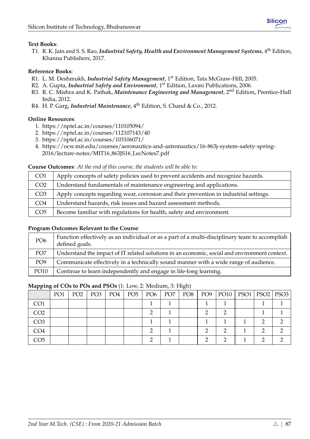## **Text Books**:

T1. R. K. Jain and S. S. Rao, *Industrial Safety, Health and Environment Management Systems*, 4th Edition, Khanna Publishers, 2017.

## **Reference Books**:

- R1. L. M. Deshmukh, *Industrial Safety Management*, 1st Edition, Tata McGraw-Hill, 2005.
- R2. A. Gupta, *Industrial Safety and Environment*, 1st Edition, Laxmi Publications, 2006.
- R3. R. C. Mishra and K. Pathak, *Maintenance Engineering and Management*, 2nd Edition, Prentice-Hall India, 2012.
- R4. H. P. Garg, *Industrial Maintenance*, 4th Edition, S. Chand & Co., 2012.

#### **Online Resources**:

- 1. <https://nptel.ac.in/courses/110105094/>
- 2. <https://nptel.ac.in/courses/112107143/40>
- 3. <https://nptel.ac.in/courses/103106071/>
- 4. [https://ocw.mit.edu/courses/aeronautics-and-astronautics/16-863j-system-safety-spring-](https://ocw.mit.edu/courses/aeronautics-and-astronautics/16-863j-system-safety-spring-2016/lecture-notes/MIT16_863JS16_LecNotes7.pdf)[2016/lecture-notes/MIT16](https://ocw.mit.edu/courses/aeronautics-and-astronautics/16-863j-system-safety-spring-2016/lecture-notes/MIT16_863JS16_LecNotes7.pdf) 863JS16 LecNotes7.pdf

#### **Course Outcomes**: *At the end of this course, the students will be able to:*

| CO <sub>1</sub> | Apply concepts of safety policies used to prevent accidents and recognize hazards.    |
|-----------------|---------------------------------------------------------------------------------------|
| CO <sub>2</sub> | Understand fundamentals of maintenance engineering and applications.                  |
| CO <sub>3</sub> | Apply concepts regarding wear, corrosion and their prevention in industrial settings. |
| CO <sub>4</sub> | Understand hazards, risk issues and hazard assessment methods.                        |
| CO <sub>5</sub> | Become familiar with regulations for health, safety and environment.                  |

#### **Program Outcomes Relevant to the Course**:

| PO <sub>6</sub> | Function effectively as an individual or as a part of a multi-disciplinary team to accomplish<br>defined goals. |
|-----------------|-----------------------------------------------------------------------------------------------------------------|
| PO <sub>7</sub> | Understand the impact of IT related solutions in an economic, social and environment context.                   |
| PO <sub>9</sub> | Communicate effectively in a technically sound manner with a wide range of audience.                            |
| <b>PO10</b>     | Continue to learn independently and engage in life-long learning.                                               |

|                 | PO <sub>1</sub> | PO <sub>2</sub> | PO <sub>3</sub> | PO4 | PO <sub>5</sub> | PO <sub>6</sub> | PO <sub>7</sub> | PO <sub>8</sub> | PO9 | $PO10$    $PSO1$   $PSO2$   $PSO3$ |   |  |
|-----------------|-----------------|-----------------|-----------------|-----|-----------------|-----------------|-----------------|-----------------|-----|------------------------------------|---|--|
| CO <sub>1</sub> |                 |                 |                 |     |                 |                 |                 |                 |     |                                    |   |  |
| CO <sub>2</sub> |                 |                 |                 |     |                 |                 |                 |                 |     |                                    |   |  |
| CO <sub>3</sub> |                 |                 |                 |     |                 |                 |                 |                 |     |                                    |   |  |
| CO <sub>4</sub> |                 |                 |                 |     |                 |                 |                 |                 |     |                                    | ⌒ |  |
| CO <sub>5</sub> |                 |                 |                 |     |                 |                 |                 |                 |     |                                    |   |  |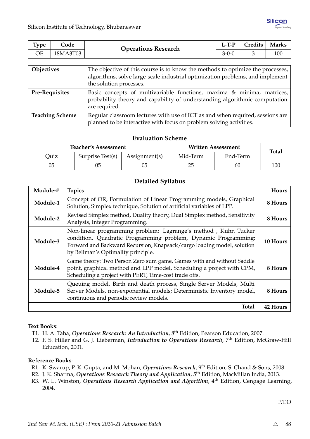| <b>Type</b> | Code     | <b>Operations Research</b> | $L-T-P$     | Credits | <b>Marks</b> |
|-------------|----------|----------------------------|-------------|---------|--------------|
| ОE          | 18MA3T03 |                            | $3 - 0 - 0$ |         | 100          |
|             |          |                            |             |         |              |

| Objectives             | The objective of this course is to know the methods to optimize the processes,<br>algorithms, solve large-scale industrial optimization problems, and implement  <br>the solution processes. |
|------------------------|----------------------------------------------------------------------------------------------------------------------------------------------------------------------------------------------|
| <b>Pre-Requisites</b>  | Basic concepts of multivariable functions, maxima & minima, matrices,<br>probability theory and capability of understanding algorithmic computation<br>are required.                         |
| <b>Teaching Scheme</b> | Regular classroom lectures with use of ICT as and when required, sessions are<br>planned to be interactive with focus on problem solving activities.                                         |

|      | <b>Teacher's Assessment</b> |               | <b>Written Assessment</b> | <b>Total</b> |     |
|------|-----------------------------|---------------|---------------------------|--------------|-----|
| Ouiz | Surprise Test(s)            | Assignment(s) | Mid-Term                  |              |     |
| 05   | 05                          |               |                           | 60           | 100 |

#### **Detailed Syllabus**

| Module-# | <b>Topics</b>                                                                                                                                                                                                                                    | <b>Hours</b> |
|----------|--------------------------------------------------------------------------------------------------------------------------------------------------------------------------------------------------------------------------------------------------|--------------|
| Module-1 | Concept of OR, Formulation of Linear Programming models, Graphical<br>Solution, Simplex technique, Solution of artificial variables of LPP.                                                                                                      | 8 Hours      |
| Module-2 | Revised Simplex method, Duality theory, Dual Simplex method, Sensitivity<br>Analysis, Integer Programming.                                                                                                                                       | 8 Hours      |
| Module-3 | Non-linear programming problem: Lagrange's method, Kuhn Tucker<br>condition, Quadratic Programming problem, Dynamic Programming:<br>Forward and Backward Recursion, Knapsack/cargo loading model, solution<br>by Bellman's Optimality principle. | 10 Hours     |
| Module-4 | Game theory: Two Person Zero sum game, Games with and without Saddle<br>point, graphical method and LPP model, Scheduling a project with CPM,<br>Scheduling a project with PERT, Time-cost trade offs.                                           | 8 Hours      |
| Module-5 | Queuing model, Birth and death process, Single Server Models, Multi<br>Server Models, non-exponential models; Deterministic Inventory model,<br>continuous and periodic review models.                                                           | 8 Hours      |
|          | <b>Total</b>                                                                                                                                                                                                                                     | 42 Hours     |

#### **Text Books**:

- T1. H. A. Taha, *Operations Research: An Introduction*, 8th Edition, Pearson Education, 2007.
- T2. F. S. Hiller and G. J. Lieberman, *Introduction to Operations Research*, 7th Edition, McGraw-Hill Education, 2001.

#### **Reference Books**:

- R1. K. Swarup, P. K. Gupta, and M. Mohan, *Operations Research*, 9th Edition, S. Chand & Sons, 2008.
- R2. J. K. Sharma, *Operations Research Theory and Application*, 5th Edition, MacMillan India, 2013.
- R3. W. L. Winston, *Operations Research Application and Algorithm,* 4<sup>th</sup> Edition, Cengage Learning, 2004.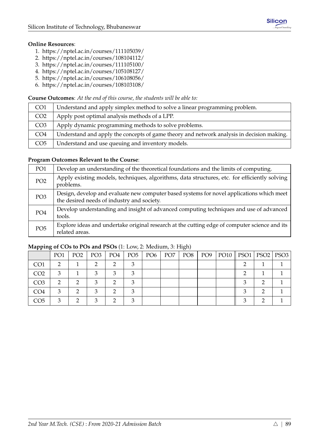## **Online Resources**:

- 1. <https://nptel.ac.in/courses/111105039/>
- 2. <https://nptel.ac.in/courses/108104112/>
- 3. <https://nptel.ac.in/courses/111105100/>
- 4. <https://nptel.ac.in/courses/105108127/>
- 5. <https://nptel.ac.in/courses/106108056/>
- 6. <https://nptel.ac.in/courses/108103108/>

#### **Course Outcomes**: *At the end of this course, the students will be able to:*

| CO <sub>1</sub> | Understand and apply simplex method to solve a linear programming problem.                |
|-----------------|-------------------------------------------------------------------------------------------|
| CO <sub>2</sub> | Apply post optimal analysis methods of a LPP.                                             |
| CO <sub>3</sub> | Apply dynamic programming methods to solve problems.                                      |
| CO <sub>4</sub> | Understand and apply the concepts of game theory and network analysis in decision making. |
| CO <sub>5</sub> | Understand and use queuing and inventory models.                                          |

#### **Program Outcomes Relevant to the Course**:

| PO1             | Develop an understanding of the theoretical foundations and the limits of computing.                                                    |
|-----------------|-----------------------------------------------------------------------------------------------------------------------------------------|
| PO <sub>2</sub> | Apply existing models, techniques, algorithms, data structures, etc. for efficiently solving<br>problems.                               |
| PO <sub>3</sub> | Design, develop and evaluate new computer based systems for novel applications which meet<br>the desired needs of industry and society. |
| PO <sub>4</sub> | Develop understanding and insight of advanced computing techniques and use of advanced<br>tools.                                        |
| PO <sub>5</sub> | Explore ideas and undertake original research at the cutting edge of computer science and its<br>related areas.                         |

| .               |                 |                 |                 |     |     |     |                 | $\cup$ $\rightarrow$ |                 |                            |  |
|-----------------|-----------------|-----------------|-----------------|-----|-----|-----|-----------------|----------------------|-----------------|----------------------------|--|
|                 | PO <sub>1</sub> | PO <sub>2</sub> | PO <sub>3</sub> | PO4 | PO5 | PO6 | PO <sub>7</sub> | PO8                  | PO <sub>9</sub> | PO10    PSO1   PSO2   PSO3 |  |
| CO <sub>1</sub> | റ               |                 |                 | ⌒   |     |     |                 |                      |                 |                            |  |
| CO <sub>2</sub> | 3               |                 |                 | ⌒   |     |     |                 |                      |                 |                            |  |
| CO <sub>3</sub> | റ               |                 |                 | ◠   |     |     |                 |                      |                 |                            |  |
| CO <sub>4</sub> | З               |                 |                 | ◠   |     |     |                 |                      |                 |                            |  |
| CO5             |                 |                 |                 | ◠   |     |     |                 |                      |                 |                            |  |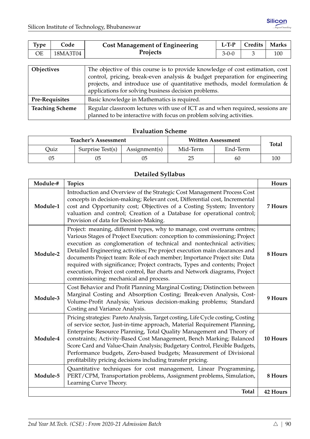| Type                   | Code     | <b>Cost Management of Engineering</b>                                                                                                                                                                                                                                                           | $L-T-P$ | Credits | <b>Marks</b> |  |  |  |
|------------------------|----------|-------------------------------------------------------------------------------------------------------------------------------------------------------------------------------------------------------------------------------------------------------------------------------------------------|---------|---------|--------------|--|--|--|
| <b>OE</b>              | 18MA3T04 | Projects                                                                                                                                                                                                                                                                                        | $3-0-0$ | 3       | 100          |  |  |  |
|                        |          |                                                                                                                                                                                                                                                                                                 |         |         |              |  |  |  |
| Objectives             |          | The objective of this course is to provide knowledge of cost estimation, cost<br>control, pricing, break-even analysis & budget preparation for engineering<br>projects, and introduce use of quantitative methods, model formulation &<br>applications for solving business decision problems. |         |         |              |  |  |  |
| <b>Pre-Requisites</b>  |          | Basic knowledge in Mathematics is required.                                                                                                                                                                                                                                                     |         |         |              |  |  |  |
| <b>Teaching Scheme</b> |          | Regular classroom lectures with use of ICT as and when required, sessions are<br>planned to be interactive with focus on problem solving activities.                                                                                                                                            |         |         |              |  |  |  |

|      | <b>Teacher's Assessment</b> |               | Written Assessment | <b>Total</b> |     |
|------|-----------------------------|---------------|--------------------|--------------|-----|
| Ouiz | Surprise Test(s)            | Assignment(s) | Mid-Term           | End-Term     |     |
| 05   | 05                          | 05            | 25                 | 60           | 100 |

## **Detailed Syllabus**

| Module-# | <b>Topics</b>                                                                                                                                                                                                                                                                                                                                                                                                                                                                                                                                                                                   | Hours           |
|----------|-------------------------------------------------------------------------------------------------------------------------------------------------------------------------------------------------------------------------------------------------------------------------------------------------------------------------------------------------------------------------------------------------------------------------------------------------------------------------------------------------------------------------------------------------------------------------------------------------|-----------------|
| Module-1 | Introduction and Overview of the Strategic Cost Management Process Cost<br>concepts in decision-making; Relevant cost, Differential cost, Incremental<br>cost and Opportunity cost; Objectives of a Costing System; Inventory<br>valuation and control; Creation of a Database for operational control;<br>Provision of data for Decision-Making.                                                                                                                                                                                                                                               | 7 Hours         |
| Module-2 | Project: meaning, different types, why to manage, cost overruns centres;<br>Various Stages of Project Execution: conception to commissioning; Project<br>execution as conglomeration of technical and nontechnical activities;<br>Detailed Engineering activities; Pre project execution main clearances and<br>documents Project team: Role of each member; Importance Project site: Data<br>required with significance; Project contracts, Types and contents; Project<br>execution, Project cost control, Bar charts and Network diagrams, Project<br>commissioning: mechanical and process. | 8 Hours         |
| Module-3 | Cost Behavior and Profit Planning Marginal Costing; Distinction between<br>Marginal Costing and Absorption Costing; Break-even Analysis, Cost-<br>Volume-Profit Analysis; Various decision-making problems; Standard<br>Costing and Variance Analysis.                                                                                                                                                                                                                                                                                                                                          | 9 Hours         |
| Module-4 | Pricing strategies: Pareto Analysis, Target costing, Life Cycle costing, Costing<br>of service sector, Just-in-time approach, Material Requirement Planning,<br>Enterprise Resource Planning, Total Quality Management and Theory of<br>constraints; Activity-Based Cost Management, Bench Marking; Balanced<br>Score Card and Value-Chain Analysis; Budgetary Control, Flexible Budgets,<br>Performance budgets, Zero-based budgets; Measurement of Divisional<br>profitability pricing decisions including transfer pricing.                                                                  | 10 Hours        |
| Module-5 | Quantitative techniques for cost management, Linear Programming,<br>PERT/CPM, Transportation problems, Assignment problems, Simulation,<br>Learning Curve Theory.                                                                                                                                                                                                                                                                                                                                                                                                                               | 8 Hours         |
|          | <b>Total</b>                                                                                                                                                                                                                                                                                                                                                                                                                                                                                                                                                                                    | <b>42 Hours</b> |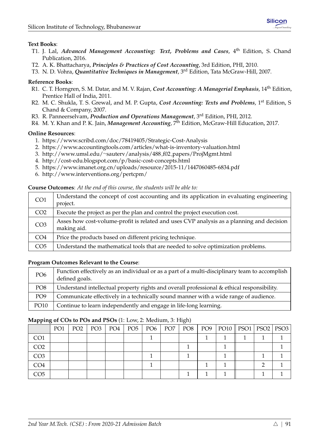#### **Text Books**:

- T1. J. Lal, *Advanced Management Accounting: Text, Problems and Cases*, 4<sup>th</sup> Edition, S. Chand Publication, 2016.
- T2. A. K. Bhattacharya, *Principles & Practices of Cost Accounting*, 3rd Edition, PHI, 2010.
- T3. N. D. Vohra, *Quantitative Techniques in Management*, 3rd Edition, Tata McGraw-Hill, 2007.

#### **Reference Books**:

- R1. C. T. Horngren, S. M. Datar, and M. V. Rajan, *Cost Accounting: A Managerial Emphasis*, 14th Edition, Prentice Hall of India, 2011.
- R2. M. C. Shukla, T. S. Grewal, and M. P. Gupta, *Cost Accounting: Texts and Problems*, 1st Edition, S Chand & Company, 2007.
- R3. R. Panneerselvam, *Production and Operations Management*, 3rd Edition, PHI, 2012.
- R4. M. Y. Khan and P. K. Jain, *Management Accounting*, 7th Edition, McGraw-Hill Education, 2017.

#### **Online Resources**:

- 1. <https://www.scribd.com/doc/78419405/Strategic-Cost-Analysis>
- 2. <https://www.accountingtools.com/articles/what-is-inventory-valuation.html>
- 3. [http://www.umsl.edu/](http://www.umsl.edu/~sauterv/analysis/488_f02_papers/ProjMgmt.html)∼sauterv/analysis/488 f02 papers/ProjMgmt.html
- 4. <http://cost-edu.blogspot.com/p/basic-cost-concepts.html>
- 5. <https://www.imanet.org.cn/uploads/resource/2015-11/1447060485-6834.pdf>
- 6. <http://www.interventions.org/pertcpm/>

#### **Course Outcomes**: *At the end of this course, the students will be able to:*

| CO <sub>1</sub> | Understand the concept of cost accounting and its application in evaluating engineering<br>project.     |
|-----------------|---------------------------------------------------------------------------------------------------------|
| CO <sub>2</sub> | Execute the project as per the plan and control the project execution cost.                             |
| CO <sub>3</sub> | Asses how cost-volume-profit is related and uses CVP analysis as a planning and decision<br>making aid. |
| CO <sub>4</sub> | Price the products based on different pricing technique.                                                |
| CO <sub>5</sub> | Understand the mathematical tools that are needed to solve optimization problems.                       |

## **Program Outcomes Relevant to the Course**:

| PO <sub>6</sub> | Function effectively as an individual or as a part of a multi-disciplinary team to accomplish<br>defined goals. |
|-----------------|-----------------------------------------------------------------------------------------------------------------|
| PO <sub>8</sub> | Understand intellectual property rights and overall professional & ethical responsibility.                      |
| PO <sub>9</sub> | Communicate effectively in a technically sound manner with a wide range of audience.                            |
| <b>PO10</b>     | Continue to learn independently and engage in life-long learning.                                               |

| -- -            |     |  |                       |  | $\sim$ . |                                                         |  |  |
|-----------------|-----|--|-----------------------|--|----------|---------------------------------------------------------|--|--|
|                 | PO1 |  | $PO2$   $PO3$   $PO4$ |  |          | PO5   PO6   PO7   PO8   PO9  PO10    PSO1   PSO2   PSO3 |  |  |
| CO <sub>1</sub> |     |  |                       |  |          |                                                         |  |  |
| CO <sub>2</sub> |     |  |                       |  |          |                                                         |  |  |
| CO <sub>3</sub> |     |  |                       |  |          |                                                         |  |  |
| CO <sub>4</sub> |     |  |                       |  |          |                                                         |  |  |
| CO5             |     |  |                       |  |          |                                                         |  |  |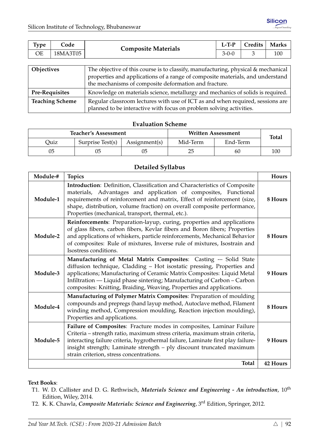| <b>Type</b>    | Code | <b>Composite Materials</b>                                                        | $L-T-P$     | Credits | <b>Marks</b> |  |  |
|----------------|------|-----------------------------------------------------------------------------------|-------------|---------|--------------|--|--|
| 18MA3T05<br>ОE |      |                                                                                   | $3 - 0 - 0$ |         | 100          |  |  |
|                |      |                                                                                   |             |         |              |  |  |
| Objectives     |      | The objective of this course is to classify, manufacturing, physical & mechanical |             |         |              |  |  |

|                        | properties and applications of a range of composite materials, and understand   |
|------------------------|---------------------------------------------------------------------------------|
|                        | the mechanisms of composite deformation and fracture.                           |
| <b>Pre-Requisites</b>  | Knowledge on materials science, metallurgy and mechanics of solids is required. |
| <b>Teaching Scheme</b> | Regular classroom lectures with use of ICT as and when required, sessions are   |
|                        | planned to be interactive with focus on problem solving activities.             |

|      | <b>Teacher's Assessment</b> |                           | Written Assessment | <b>Total</b> |     |
|------|-----------------------------|---------------------------|--------------------|--------------|-----|
| Ouiz | Surprise Test(s)            | Mid-Term<br>Assignment(s) |                    | End-Term     |     |
| 05   |                             | 05                        | 25                 | 60           | 100 |

## **Detailed Syllabus**

| Module-# | <b>Topics</b>                                                                                                                                                                                                                                                                                                                                                            | Hours           |
|----------|--------------------------------------------------------------------------------------------------------------------------------------------------------------------------------------------------------------------------------------------------------------------------------------------------------------------------------------------------------------------------|-----------------|
| Module-1 | Introduction: Definition, Classification and Characteristics of Composite<br>materials, Advantages and application of composites, Functional<br>requirements of reinforcement and matrix, Effect of reinforcement (size,<br>shape, distribution, volume fraction) on overall composite performance,<br>Properties (mechanical, transport, thermal, etc.).                | 8 Hours         |
| Module-2 | Reinforcements: Preparation-layup, curing, properties and applications<br>of glass fibers, carbon fibers, Kevlar fibers and Boron fibers; Properties<br>and applications of whiskers, particle reinforcements, Mechanical Behavior<br>of composites: Rule of mixtures, Inverse rule of mixtures, Isostrain and<br>Isostress conditions.                                  | 8 Hours         |
| Module-3 | Manufacturing of Metal Matrix Composites: Casting -- Solid State<br>diffusion technique, Cladding - Hot isostatic pressing, Properties and<br>applications; Manufacturing of Ceramic Matrix Composites: Liquid Metal<br>Infiltration — Liquid phase sintering; Manufacturing of Carbon – Carbon<br>composites: Knitting, Braiding, Weaving, Properties and applications. | 9 Hours         |
| Module-4 | Manufacturing of Polymer Matrix Composites: Preparation of moulding<br>compounds and prepregs (hand layup method, Autoclave method, Filament<br>winding method, Compression moulding, Reaction injection moulding),<br>Properties and applications.                                                                                                                      | 8 Hours         |
| Module-5 | Failure of Composites: Fracture modes in composites, Laminar Failure<br>Criteria - strength ratio, maximum stress criteria, maximum strain criteria,<br>interacting failure criteria, hygrothermal failure, Laminate first play failure-<br>insight strength; Laminate strength - ply discount truncated maximum<br>strain criterion, stress concentrations.             | 9 Hours         |
|          | Total                                                                                                                                                                                                                                                                                                                                                                    | <b>42 Hours</b> |

#### **Text Books**:

- T1. W. D. Callister and D. G. Rethwisch, *Materials Science and Engineering An introduction*,  $10^{\text{th}}$ Edition, Wiley, 2014.
- T2. K. K. Chawla, *Composite Materials: Science and Engineering*, 3rd Edition, Springer, 2012.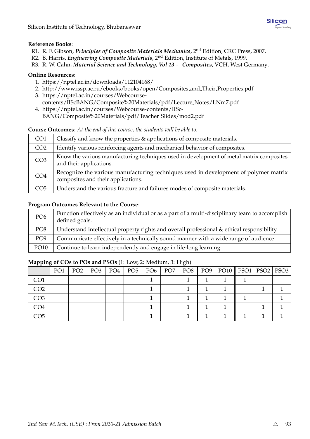- R1. R. F. Gibson, *Principles of Composite Materials Mechanics*, 2nd Edition, CRC Press, 2007.
- R2. B. Harris, *Engineering Composite Materials*, 2nd Edition, Institute of Metals, 1999.
- R3. R. W. Cahn, *Material Science and Technology, Vol 13 -– Composites*, VCH, West Germany.

#### **Online Resources**:

- 1. <https://nptel.ac.in/downloads/112104168/>
- 2. [http://www.issp.ac.ru/ebooks/books/open/Composites](http://www.issp.ac.ru/ebooks/books/open/Composites_and_Their_Properties.pdf) and Their Properties.pdf
- 3. [https://nptel.ac.in/courses/Webcourse](https://nptel.ac.in/courses/Webcourse-contents/IISc BANG/Composite%20Materials/pdf/Lecture_Notes/LNm7.pdf)[contents/IIScBANG/Composite%20Materials/pdf/Lecture](https://nptel.ac.in/courses/Webcourse-contents/IISc BANG/Composite%20Materials/pdf/Lecture_Notes/LNm7.pdf) Notes/LNm7.pdf
- 4. [https://nptel.ac.in/courses/Webcourse-contents/IISc-](https://nptel.ac.in/courses/Webcourse-contents/IISc-BANG/Composite%20Materials/pdf/Teacher_Slides/mod2.pdf)[BANG/Composite%20Materials/pdf/Teacher](https://nptel.ac.in/courses/Webcourse-contents/IISc-BANG/Composite%20Materials/pdf/Teacher_Slides/mod2.pdf) Slides/mod2.pdf

#### **Course Outcomes**: *At the end of this course, the students will be able to:*

| CO <sub>1</sub> | Classify and know the properties & applications of composite materials.                                                    |
|-----------------|----------------------------------------------------------------------------------------------------------------------------|
| CO <sub>2</sub> | Identify various reinforcing agents and mechanical behavior of composites.                                                 |
| CO <sub>3</sub> | Know the various manufacturing techniques used in development of metal matrix composites<br>and their applications.        |
| CO <sub>4</sub> | Recognize the various manufacturing techniques used in development of polymer matrix<br>composites and their applications. |
| CO <sub>5</sub> | Understand the various fracture and failures modes of composite materials.                                                 |

#### **Program Outcomes Relevant to the Course**:

| PO <sub>6</sub> | Function effectively as an individual or as a part of a multi-disciplinary team to accomplish<br>defined goals. |
|-----------------|-----------------------------------------------------------------------------------------------------------------|
| PO <sub>8</sub> | Understand intellectual property rights and overall professional & ethical responsibility.                      |
| PO <sub>9</sub> | Communicate effectively in a technically sound manner with a wide range of audience.                            |
| <b>PO10</b>     | Continue to learn independently and engage in life-long learning.                                               |

| .               |                 |                 |                   |     |               |                 | $\cup$ , |     |                            |  |  |
|-----------------|-----------------|-----------------|-------------------|-----|---------------|-----------------|----------|-----|----------------------------|--|--|
|                 | PO <sub>1</sub> | PO <sub>2</sub> | $\mid$ PO3 $\mid$ | PO4 | $PO5$   $PO6$ | PO <sub>7</sub> | PO8      | PO9 | PO10    PSO1   PSO2   PSO3 |  |  |
| CO <sub>1</sub> |                 |                 |                   |     |               |                 |          |     |                            |  |  |
| CO <sub>2</sub> |                 |                 |                   |     |               |                 |          |     |                            |  |  |
| CO <sub>3</sub> |                 |                 |                   |     |               |                 |          |     |                            |  |  |
| CO4             |                 |                 |                   |     |               |                 |          |     |                            |  |  |
| CO5             |                 |                 |                   |     |               |                 |          |     |                            |  |  |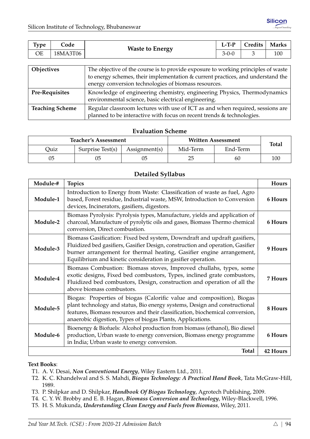| Type                   | Code     | <b>Waste to Energy</b>                                                                                                                                                                                                       | $L-T-P$     | Credits | <b>Marks</b> |  |  |  |  |  |
|------------------------|----------|------------------------------------------------------------------------------------------------------------------------------------------------------------------------------------------------------------------------------|-------------|---------|--------------|--|--|--|--|--|
| <b>OE</b>              | 18MA3T06 |                                                                                                                                                                                                                              | $3 - 0 - 0$ |         | 100          |  |  |  |  |  |
|                        |          |                                                                                                                                                                                                                              |             |         |              |  |  |  |  |  |
| Objectives             |          | The objective of the course is to provide exposure to working principles of waste<br>to energy schemes, their implementation & current practices, and understand the<br>energy conversion technologies of biomass resources. |             |         |              |  |  |  |  |  |
| <b>Pre-Requisites</b>  |          | Knowledge of engineering chemistry, engineering Physics, Thermodynamics<br>environmental science, basic electrical engineering.                                                                                              |             |         |              |  |  |  |  |  |
| <b>Teaching Scheme</b> |          | Regular classroom lectures with use of ICT as and when required, sessions are                                                                                                                                                |             |         |              |  |  |  |  |  |

planned to be interactive with focus on recent trends & technologies.

|      | <b>Teacher's Assessment</b> |               | Written Assessment | <b>Total</b> |     |
|------|-----------------------------|---------------|--------------------|--------------|-----|
| Quiz | Surprise Test(s)            | Assignment(s) | Mid-Term           | End-Term     |     |
| 05   | 05                          | 05            | 25                 | 60           | 100 |

#### **Detailed Syllabus**

| Module-# | <b>Topics</b>                                                                                                                                                                                                                                                                                       | <b>Hours</b> |
|----------|-----------------------------------------------------------------------------------------------------------------------------------------------------------------------------------------------------------------------------------------------------------------------------------------------------|--------------|
| Module-1 | Introduction to Energy from Waste: Classification of waste as fuel, Agro<br>based, Forest residue, Industrial waste, MSW, Introduction to Conversion<br>devices, Incinerators, gasifiers, digestors.                                                                                                | 6 Hours      |
| Module-2 | Biomass Pyrolysis: Pyrolysis types, Manufacture, yields and application of<br>charcoal, Manufacture of pyrolytic oils and gases, Biomass Thermo chemical<br>conversion, Direct combustion.                                                                                                          | 6 Hours      |
| Module-3 | Biomass Gasification: Fixed bed system, Downdraft and updraft gasifiers,<br>Fluidized bed gasifiers, Gasifier Design, construction and operation, Gasifier<br>burner arrangement for thermal heating, Gasifier engine arrangement,<br>Equilibrium and kinetic consideration in gasifier operation.  | 9 Hours      |
| Module-4 | Biomass Combustion: Biomass stoves, Improved chullahs, types, some<br>exotic designs, Fixed bed combustors, Types, inclined grate combustors,<br>Fluidized bed combustors, Design, construction and operation of all the<br>above biomass combustors.                                               | 7 Hours      |
| Module-5 | Biogas: Properties of biogas (Calorific value and composition), Biogas<br>plant technology and status, Bio energy systems, Design and constructional<br>features, Biomass resources and their classification, biochemical conversion,<br>anaerobic digestion, Types of biogas Plants, Applications. | 8 Hours      |
| Module-6 | Bioenergy & Biofuels: Alcohol production from biomass (ethanol), Bio diesel<br>production, Urban waste to energy conversion, Biomass energy programme<br>in India; Urban waste to energy conversion.                                                                                                | 6 Hours      |
|          | <b>Total</b>                                                                                                                                                                                                                                                                                        | 42 Hours     |

#### **Text Books**:

- T1. A. V. Desai, *Non Conventional Energy*, Wiley Eastern Ltd., 2011.
- T2. K. C. Khandelwal and S. S. Mahdi, *Biogas Technology: A Practical Hand Book*, Tata McGraw-Hill, 1989.
- T3. P. Shilpkar and D. Shilpkar, *Handbook Of Biogas Technology*, Agrotech Publishing, 2009.
- T4. C. Y. W. Brobby and E. B. Hagan, *Biomass Conversion and Technology*, Wiley-Blackwell, 1996.
- T5. H. S. Mukunda, *Understanding Clean Energy and Fuels from Biomass*, Wiley, 2011.